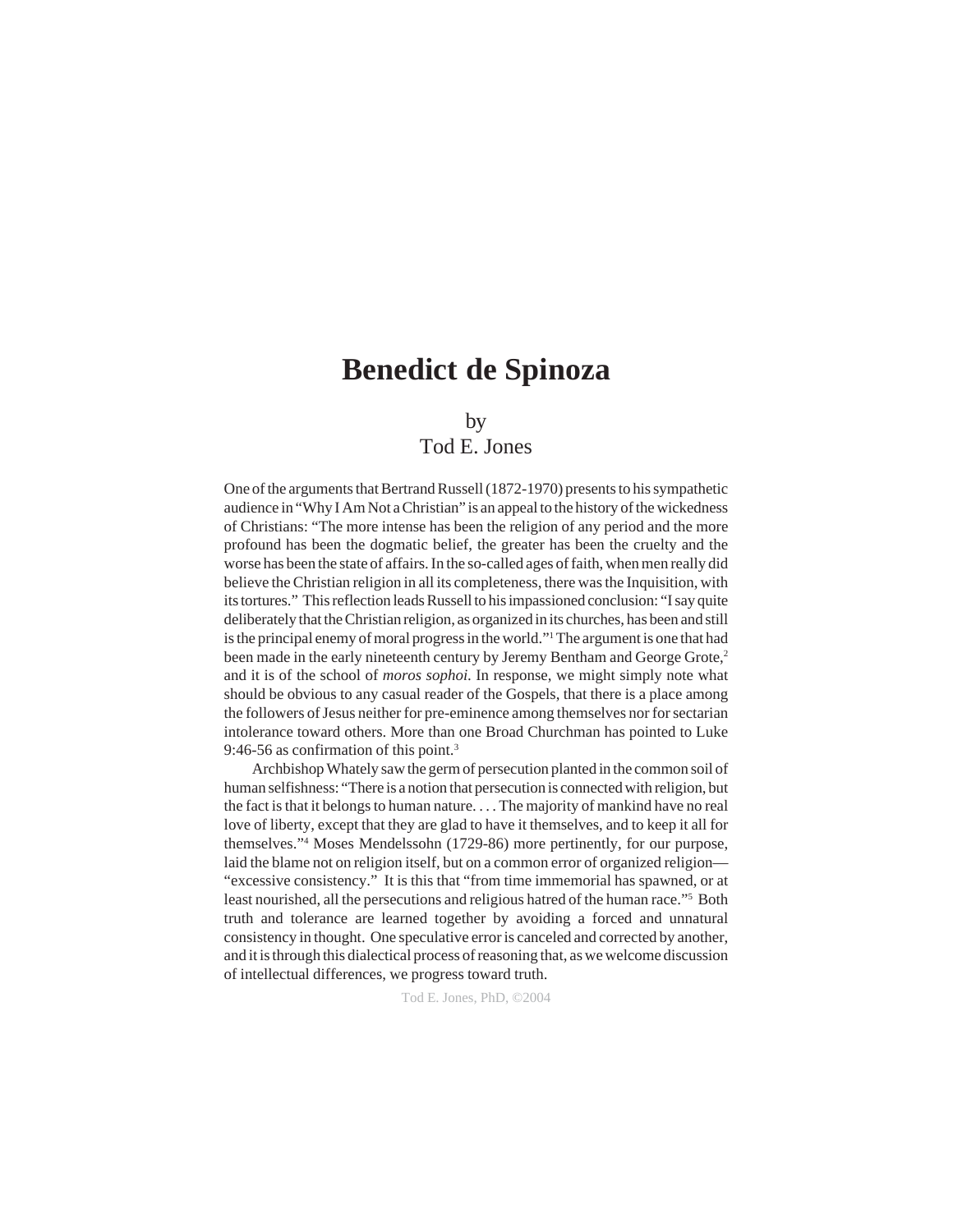## by

# Tod E. Jones

One of the arguments that Bertrand Russell (1872-1970) presents to his sympathetic audience in "Why I Am Not a Christian" is an appeal to the history of the wickedness of Christians: "The more intense has been the religion of any period and the more profound has been the dogmatic belief, the greater has been the cruelty and the worse has been the state of affairs. In the so-called ages of faith, when men really did believe the Christian religion in all its completeness, there was the Inquisition, with its tortures." This reflection leads Russell to his impassioned conclusion: "I say quite deliberately that the Christian religion, as organized in its churches, has been and still is the principal enemy of moral progress in the world."1 The argument is one that had been made in the early nineteenth century by Jeremy Bentham and George Grote,<sup>2</sup> and it is of the school of *moros sophoi*. In response, we might simply note what should be obvious to any casual reader of the Gospels, that there is a place among the followers of Jesus neither for pre-eminence among themselves nor for sectarian intolerance toward others. More than one Broad Churchman has pointed to Luke 9:46-56 as confirmation of this point.<sup>3</sup>

Archbishop Whately saw the germ of persecution planted in the common soil of human selfishness: "There is a notion that persecution is connected with religion, but the fact is that it belongs to human nature. . . . The majority of mankind have no real love of liberty, except that they are glad to have it themselves, and to keep it all for themselves."4 Moses Mendelssohn (1729-86) more pertinently, for our purpose, laid the blame not on religion itself, but on a common error of organized religion— "excessive consistency." It is this that "from time immemorial has spawned, or at least nourished, all the persecutions and religious hatred of the human race."<sup>5</sup> Both truth and tolerance are learned together by avoiding a forced and unnatural consistency in thought. One speculative error is canceled and corrected by another, and it is through this dialectical process of reasoning that, as we welcome discussion of intellectual differences, we progress toward truth.

Tod E. Jones, PhD, ©2004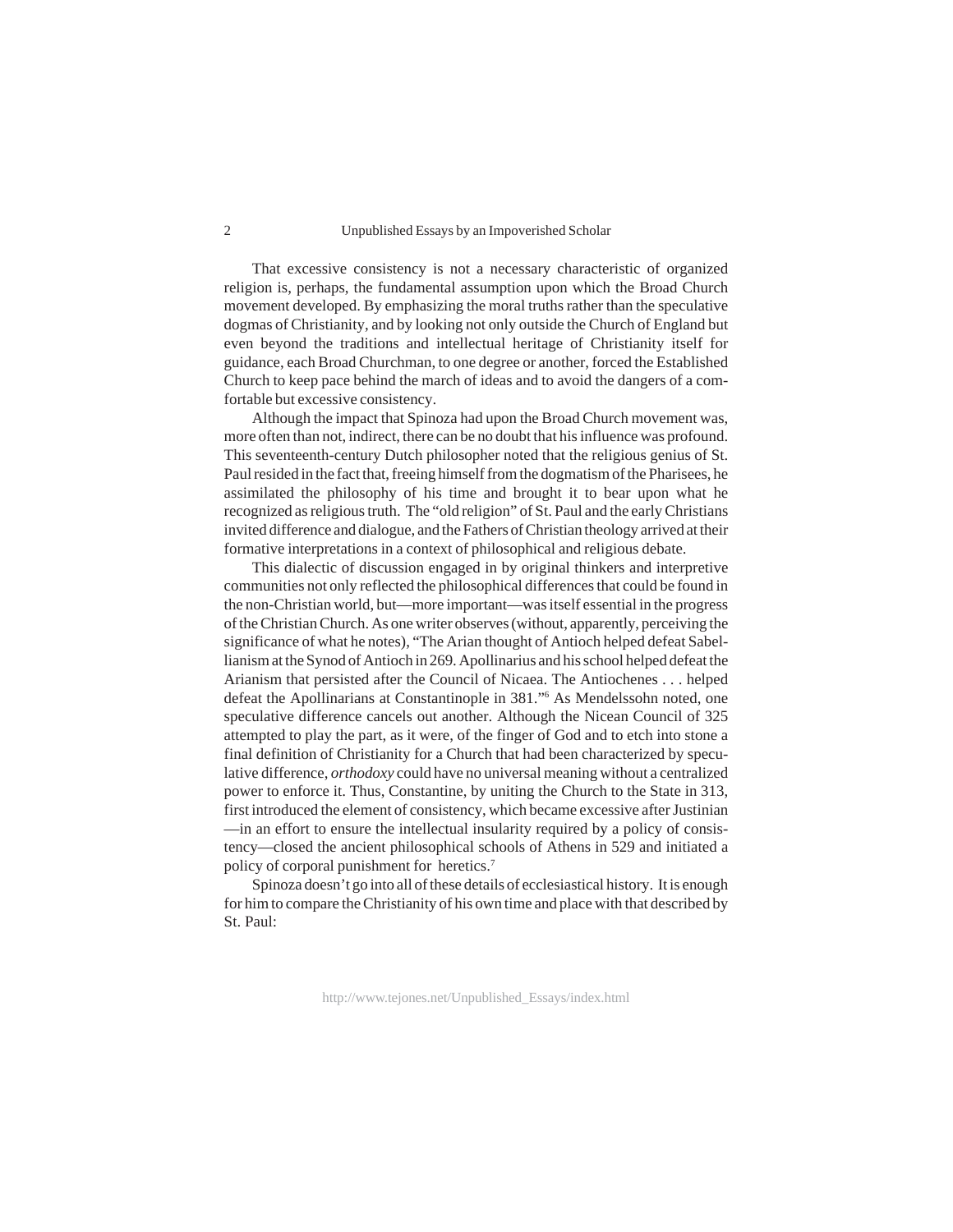#### Unpublished Essays by an Impoverished Scholar

That excessive consistency is not a necessary characteristic of organized religion is, perhaps, the fundamental assumption upon which the Broad Church movement developed. By emphasizing the moral truths rather than the speculative dogmas of Christianity, and by looking not only outside the Church of England but even beyond the traditions and intellectual heritage of Christianity itself for guidance, each Broad Churchman, to one degree or another, forced the Established Church to keep pace behind the march of ideas and to avoid the dangers of a comfortable but excessive consistency.

Although the impact that Spinoza had upon the Broad Church movement was, more often than not, indirect, there can be no doubt that his influence was profound. This seventeenth-century Dutch philosopher noted that the religious genius of St. Paul resided in the fact that, freeing himself from the dogmatism of the Pharisees, he assimilated the philosophy of his time and brought it to bear upon what he recognized as religious truth. The "old religion" of St. Paul and the early Christians invited difference and dialogue, and the Fathers of Christian theology arrived at their formative interpretations in a context of philosophical and religious debate.

This dialectic of discussion engaged in by original thinkers and interpretive communities not only reflected the philosophical differences that could be found in the non-Christian world, but—more important—was itself essential in the progress of the Christian Church. As one writer observes (without, apparently, perceiving the significance of what he notes), "The Arian thought of Antioch helped defeat Sabellianism at the Synod of Antioch in 269. Apollinarius and his school helped defeat the Arianism that persisted after the Council of Nicaea. The Antiochenes . . . helped defeat the Apollinarians at Constantinople in 381."6 As Mendelssohn noted, one speculative difference cancels out another. Although the Nicean Council of 325 attempted to play the part, as it were, of the finger of God and to etch into stone a final definition of Christianity for a Church that had been characterized by speculative difference, *orthodoxy* could have no universal meaning without a centralized power to enforce it. Thus, Constantine, by uniting the Church to the State in 313, first introduced the element of consistency, which became excessive after Justinian —in an effort to ensure the intellectual insularity required by a policy of consistency—closed the ancient philosophical schools of Athens in 529 and initiated a policy of corporal punishment for heretics.7

Spinoza doesn't go into all of these details of ecclesiastical history. It is enough for him to compare the Christianity of his own time and place with that described by St. Paul: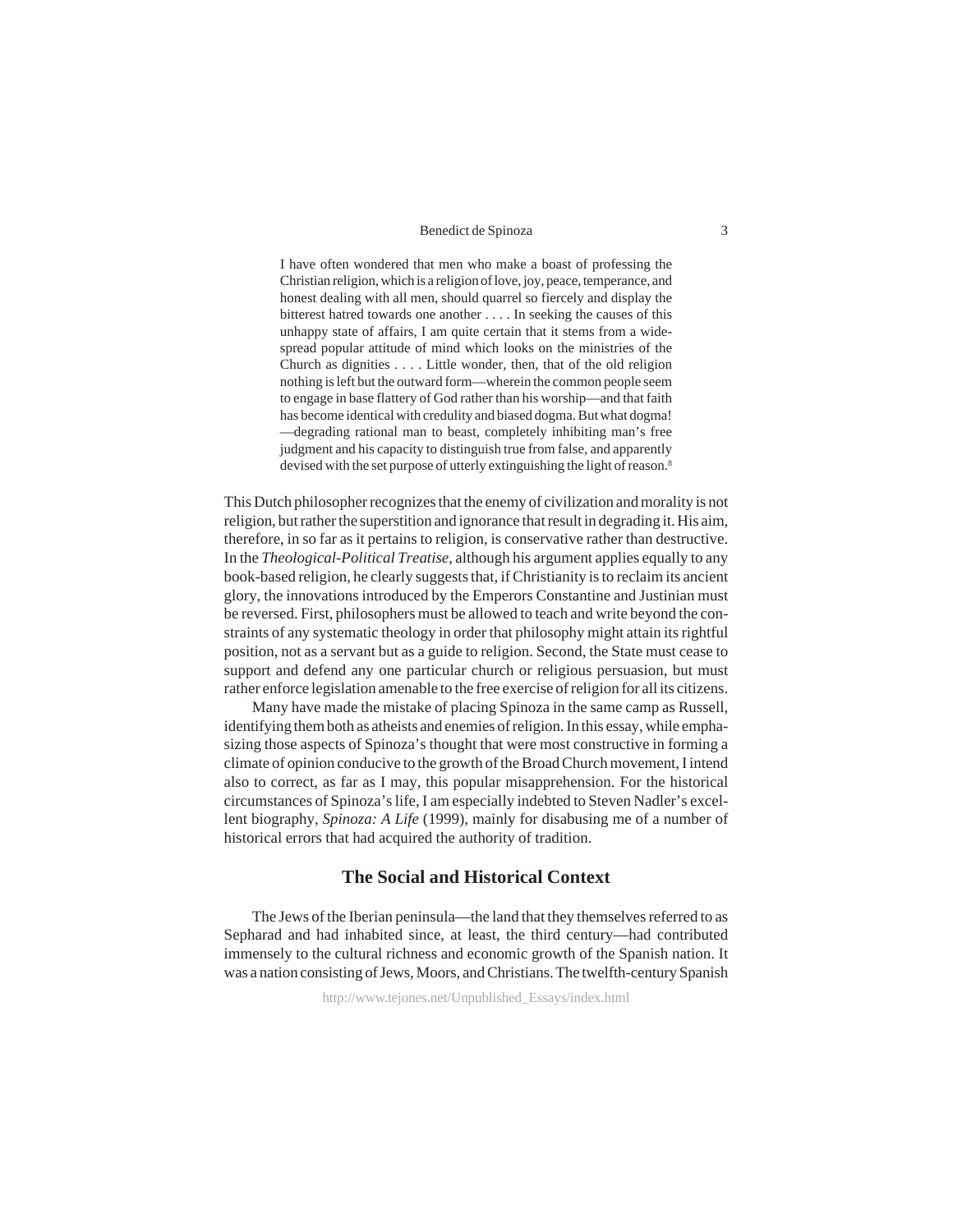I have often wondered that men who make a boast of professing the Christian religion, which is a religion of love, joy, peace, temperance, and honest dealing with all men, should quarrel so fiercely and display the bitterest hatred towards one another . . . . In seeking the causes of this unhappy state of affairs, I am quite certain that it stems from a widespread popular attitude of mind which looks on the ministries of the Church as dignities . . . . Little wonder, then, that of the old religion nothing is left but the outward form—wherein the common people seem to engage in base flattery of God rather than his worship—and that faith has become identical with credulity and biased dogma. But what dogma! —degrading rational man to beast, completely inhibiting man's free judgment and his capacity to distinguish true from false, and apparently devised with the set purpose of utterly extinguishing the light of reason.<sup>8</sup>

This Dutch philosopher recognizes that the enemy of civilization and morality is not religion, but rather the superstition and ignorance that result in degrading it. His aim, therefore, in so far as it pertains to religion, is conservative rather than destructive. In the *Theological-Political Treatise*, although his argument applies equally to any book-based religion, he clearly suggests that, if Christianity is to reclaim its ancient glory, the innovations introduced by the Emperors Constantine and Justinian must be reversed. First, philosophers must be allowed to teach and write beyond the constraints of any systematic theology in order that philosophy might attain its rightful position, not as a servant but as a guide to religion. Second, the State must cease to support and defend any one particular church or religious persuasion, but must rather enforce legislation amenable to the free exercise of religion for all its citizens.

Many have made the mistake of placing Spinoza in the same camp as Russell, identifying them both as atheists and enemies of religion. In this essay, while emphasizing those aspects of Spinoza's thought that were most constructive in forming a climate of opinion conducive to the growth of the Broad Church movement, I intend also to correct, as far as I may, this popular misapprehension. For the historical circumstances of Spinoza's life, I am especially indebted to Steven Nadler's excellent biography, *Spinoza: A Life* (1999), mainly for disabusing me of a number of historical errors that had acquired the authority of tradition.

## **The Social and Historical Context**

The Jews of the Iberian peninsula—the land that they themselves referred to as Sepharad and had inhabited since, at least, the third century—had contributed immensely to the cultural richness and economic growth of the Spanish nation. It was a nation consisting of Jews, Moors, and Christians. The twelfth-century Spanish

http://www.tejones.net/Unpublished\_Essays/index.html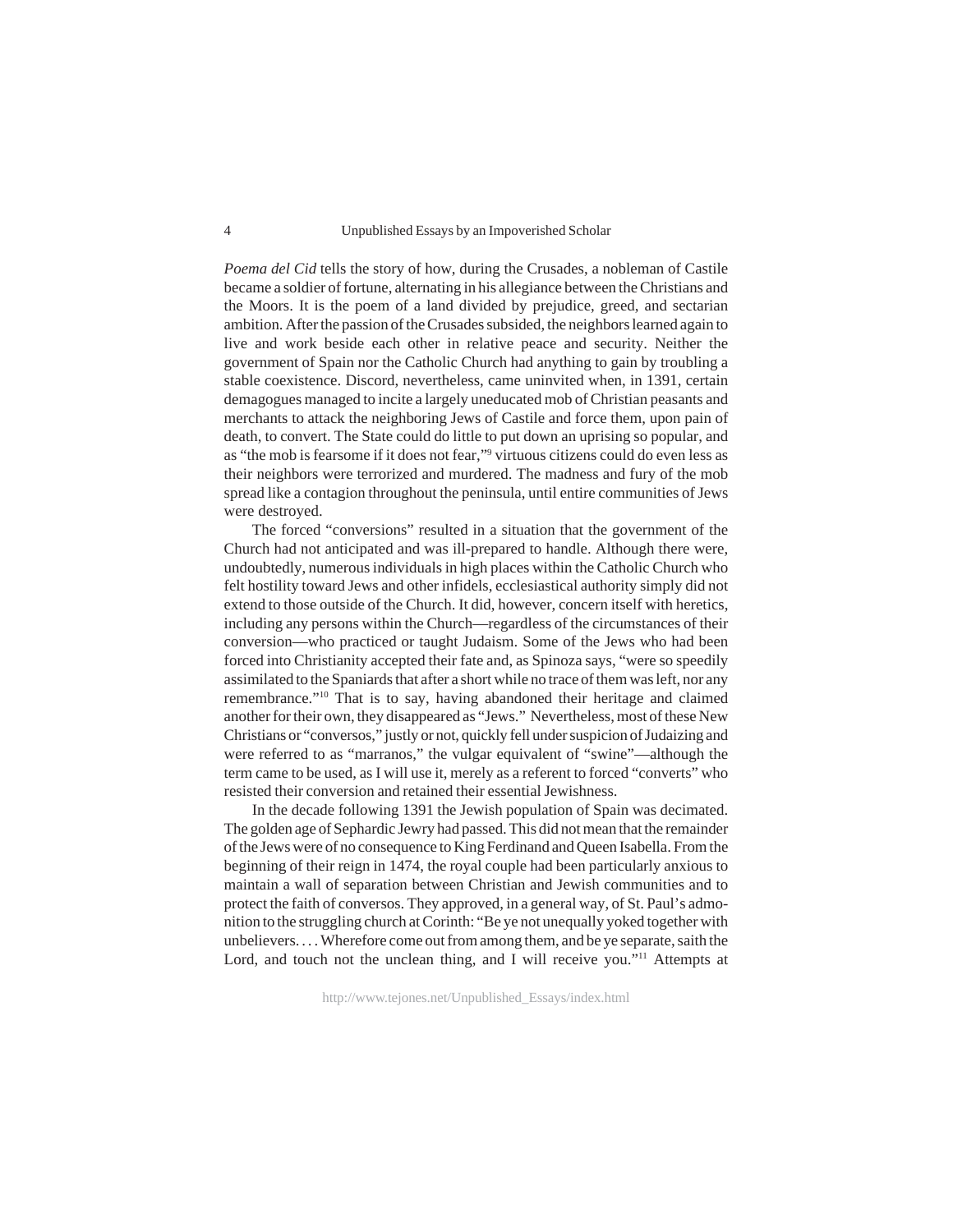*Poema del Cid* tells the story of how, during the Crusades, a nobleman of Castile became a soldier of fortune, alternating in his allegiance between the Christians and the Moors. It is the poem of a land divided by prejudice, greed, and sectarian ambition. After the passion of the Crusades subsided, the neighbors learned again to live and work beside each other in relative peace and security. Neither the government of Spain nor the Catholic Church had anything to gain by troubling a stable coexistence. Discord, nevertheless, came uninvited when, in 1391, certain demagogues managed to incite a largely uneducated mob of Christian peasants and merchants to attack the neighboring Jews of Castile and force them, upon pain of death, to convert. The State could do little to put down an uprising so popular, and as "the mob is fearsome if it does not fear,"9 virtuous citizens could do even less as their neighbors were terrorized and murdered. The madness and fury of the mob spread like a contagion throughout the peninsula, until entire communities of Jews were destroyed.

The forced "conversions" resulted in a situation that the government of the Church had not anticipated and was ill-prepared to handle. Although there were, undoubtedly, numerous individuals in high places within the Catholic Church who felt hostility toward Jews and other infidels, ecclesiastical authority simply did not extend to those outside of the Church. It did, however, concern itself with heretics, including any persons within the Church—regardless of the circumstances of their conversion—who practiced or taught Judaism. Some of the Jews who had been forced into Christianity accepted their fate and, as Spinoza says, "were so speedily assimilated to the Spaniards that after a short while no trace of them was left, nor any remembrance."10 That is to say, having abandoned their heritage and claimed another for their own, they disappeared as "Jews." Nevertheless, most of these New Christians or "conversos," justly or not, quickly fell under suspicion of Judaizing and were referred to as "marranos," the vulgar equivalent of "swine"—although the term came to be used, as I will use it, merely as a referent to forced "converts" who resisted their conversion and retained their essential Jewishness.

In the decade following 1391 the Jewish population of Spain was decimated. The golden age of Sephardic Jewry had passed. This did not mean that the remainder of the Jews were of no consequence to King Ferdinand and Queen Isabella. From the beginning of their reign in 1474, the royal couple had been particularly anxious to maintain a wall of separation between Christian and Jewish communities and to protect the faith of conversos. They approved, in a general way, of St. Paul's admonition to the struggling church at Corinth: "Be ye not unequally yoked together with unbelievers. . . . Wherefore come out from among them, and be ye separate, saith the Lord, and touch not the unclean thing, and I will receive you."<sup>11</sup> Attempts at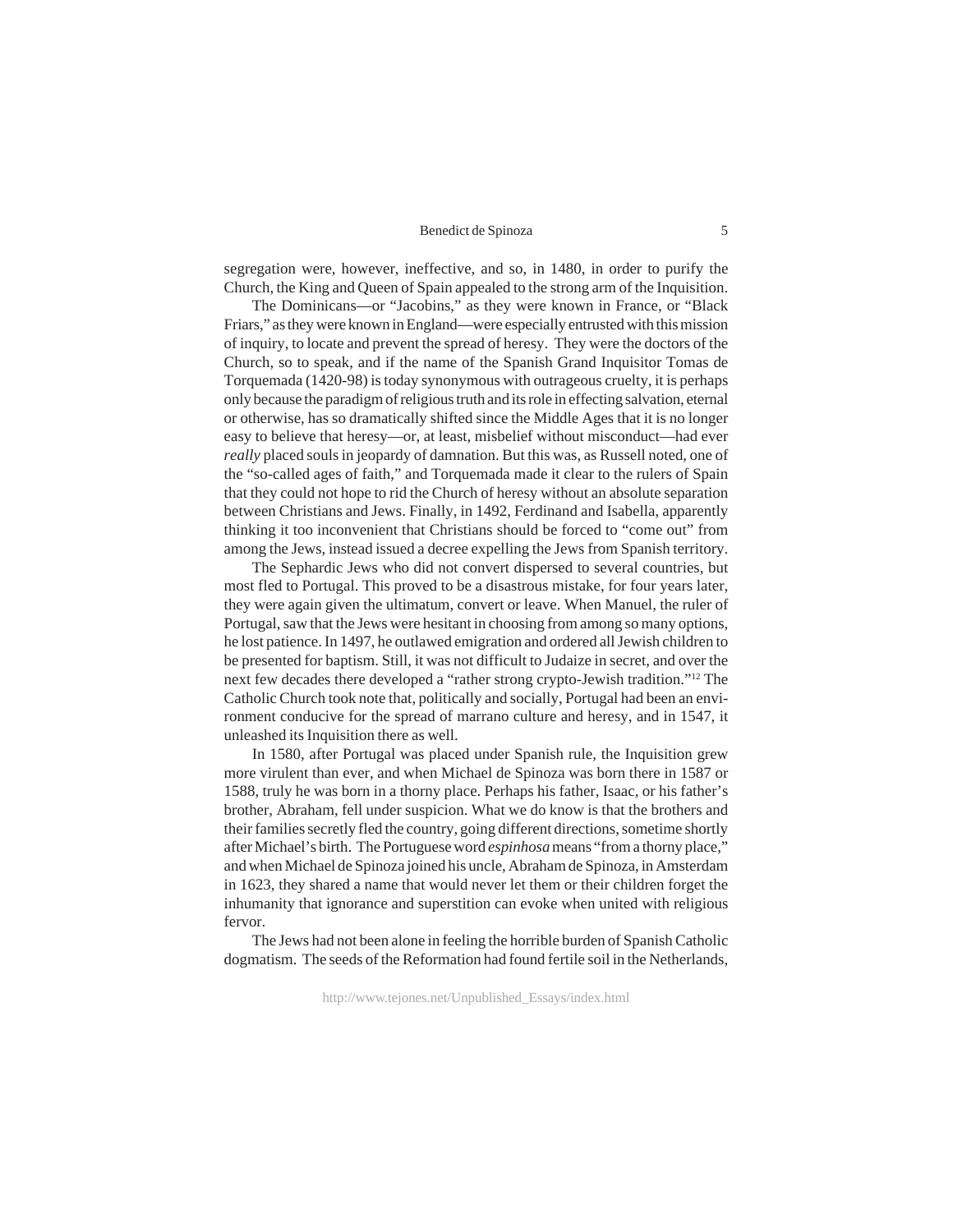segregation were, however, ineffective, and so, in 1480, in order to purify the Church, the King and Queen of Spain appealed to the strong arm of the Inquisition.

The Dominicans—or "Jacobins," as they were known in France, or "Black Friars," as they were known in England—were especially entrusted with this mission of inquiry, to locate and prevent the spread of heresy. They were the doctors of the Church, so to speak, and if the name of the Spanish Grand Inquisitor Tomas de Torquemada (1420-98) is today synonymous with outrageous cruelty, it is perhaps only because the paradigm of religious truth and its role in effecting salvation, eternal or otherwise, has so dramatically shifted since the Middle Ages that it is no longer easy to believe that heresy—or, at least, misbelief without misconduct—had ever *really* placed souls in jeopardy of damnation. But this was, as Russell noted, one of the "so-called ages of faith," and Torquemada made it clear to the rulers of Spain that they could not hope to rid the Church of heresy without an absolute separation between Christians and Jews. Finally, in 1492, Ferdinand and Isabella, apparently thinking it too inconvenient that Christians should be forced to "come out" from among the Jews, instead issued a decree expelling the Jews from Spanish territory.

The Sephardic Jews who did not convert dispersed to several countries, but most fled to Portugal. This proved to be a disastrous mistake, for four years later, they were again given the ultimatum, convert or leave. When Manuel, the ruler of Portugal, saw that the Jews were hesitant in choosing from among so many options, he lost patience. In 1497, he outlawed emigration and ordered all Jewish children to be presented for baptism. Still, it was not difficult to Judaize in secret, and over the next few decades there developed a "rather strong crypto-Jewish tradition."12 The Catholic Church took note that, politically and socially, Portugal had been an environment conducive for the spread of marrano culture and heresy, and in 1547, it unleashed its Inquisition there as well.

In 1580, after Portugal was placed under Spanish rule, the Inquisition grew more virulent than ever, and when Michael de Spinoza was born there in 1587 or 1588, truly he was born in a thorny place. Perhaps his father, Isaac, or his father's brother, Abraham, fell under suspicion. What we do know is that the brothers and their families secretly fled the country, going different directions, sometime shortly after Michael's birth. The Portuguese word *espinhosa* means "from a thorny place," and when Michael de Spinoza joined his uncle, Abraham de Spinoza, in Amsterdam in 1623, they shared a name that would never let them or their children forget the inhumanity that ignorance and superstition can evoke when united with religious fervor.

The Jews had not been alone in feeling the horrible burden of Spanish Catholic dogmatism. The seeds of the Reformation had found fertile soil in the Netherlands,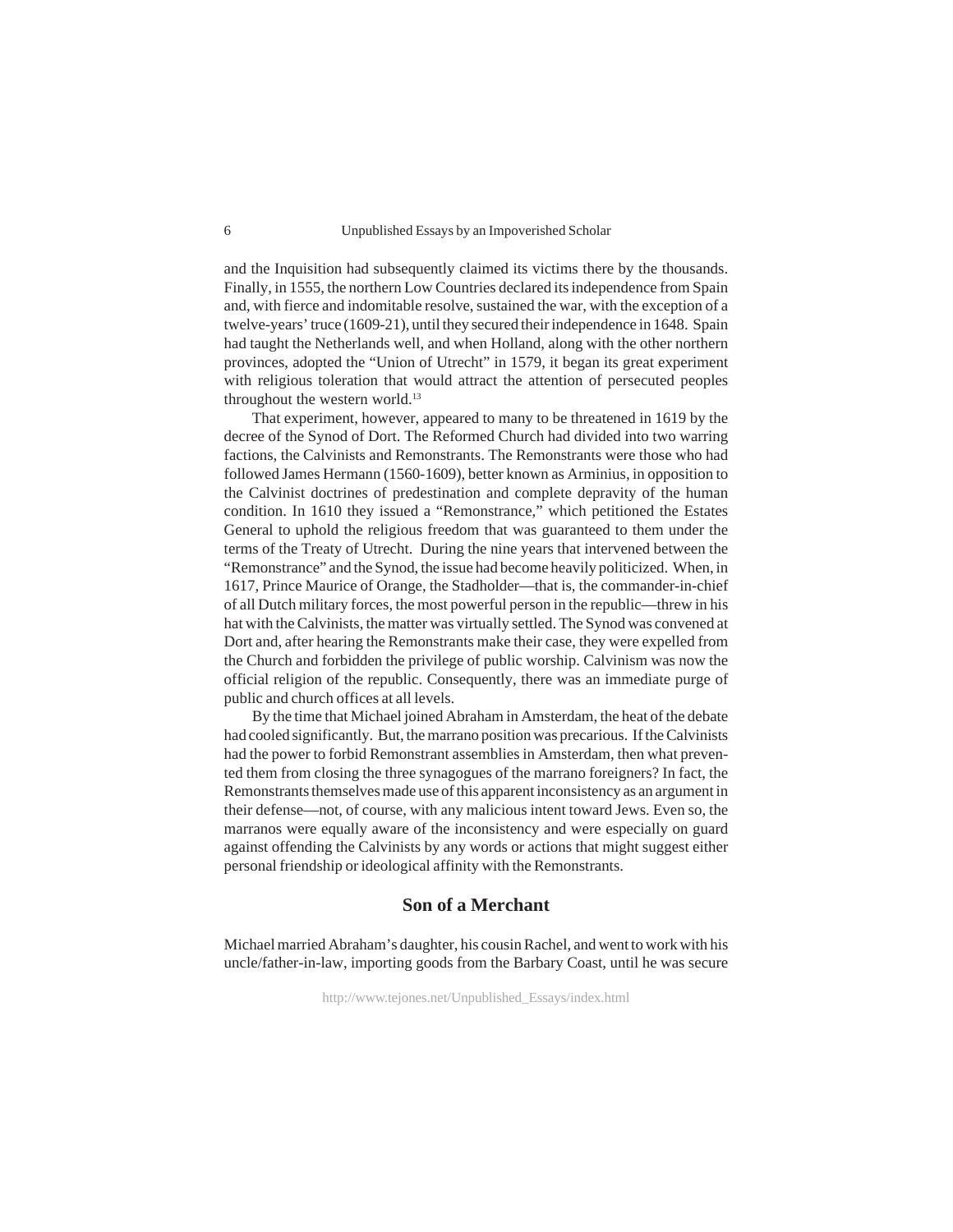and the Inquisition had subsequently claimed its victims there by the thousands. Finally, in 1555, the northern Low Countries declared its independence from Spain and, with fierce and indomitable resolve, sustained the war, with the exception of a twelve-years' truce (1609-21), until they secured their independence in 1648. Spain had taught the Netherlands well, and when Holland, along with the other northern provinces, adopted the "Union of Utrecht" in 1579, it began its great experiment with religious toleration that would attract the attention of persecuted peoples throughout the western world.<sup>13</sup>

That experiment, however, appeared to many to be threatened in 1619 by the decree of the Synod of Dort. The Reformed Church had divided into two warring factions, the Calvinists and Remonstrants. The Remonstrants were those who had followed James Hermann (1560-1609), better known as Arminius, in opposition to the Calvinist doctrines of predestination and complete depravity of the human condition. In 1610 they issued a "Remonstrance," which petitioned the Estates General to uphold the religious freedom that was guaranteed to them under the terms of the Treaty of Utrecht. During the nine years that intervened between the "Remonstrance" and the Synod, the issue had become heavily politicized. When, in 1617, Prince Maurice of Orange, the Stadholder—that is, the commander-in-chief of all Dutch military forces, the most powerful person in the republic—threw in his hat with the Calvinists, the matter was virtually settled. The Synod was convened at Dort and, after hearing the Remonstrants make their case, they were expelled from the Church and forbidden the privilege of public worship. Calvinism was now the official religion of the republic. Consequently, there was an immediate purge of public and church offices at all levels.

By the time that Michael joined Abraham in Amsterdam, the heat of the debate had cooled significantly. But, the marrano position was precarious. If the Calvinists had the power to forbid Remonstrant assemblies in Amsterdam, then what prevented them from closing the three synagogues of the marrano foreigners? In fact, the Remonstrants themselves made use of this apparent inconsistency as an argument in their defense—not, of course, with any malicious intent toward Jews. Even so, the marranos were equally aware of the inconsistency and were especially on guard against offending the Calvinists by any words or actions that might suggest either personal friendship or ideological affinity with the Remonstrants.

## **Son of a Merchant**

Michael married Abraham's daughter, his cousin Rachel, and went to work with his uncle/father-in-law, importing goods from the Barbary Coast, until he was secure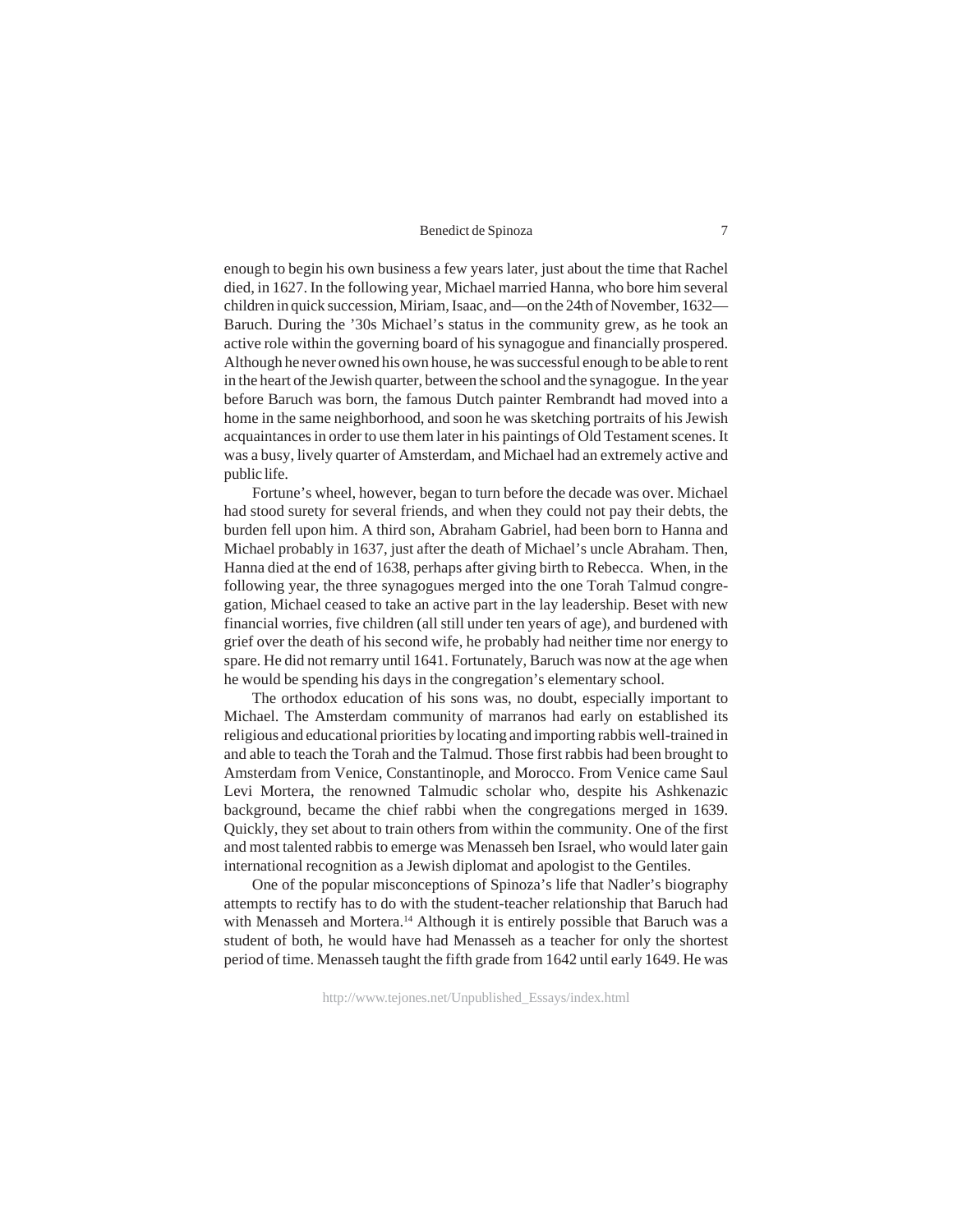enough to begin his own business a few years later, just about the time that Rachel died, in 1627. In the following year, Michael married Hanna, who bore him several children in quick succession, Miriam, Isaac, and—on the 24th of November, 1632— Baruch. During the '30s Michael's status in the community grew, as he took an active role within the governing board of his synagogue and financially prospered. Although he never owned his own house, he was successful enough to be able to rent in the heart of the Jewish quarter, between the school and the synagogue. In the year before Baruch was born, the famous Dutch painter Rembrandt had moved into a home in the same neighborhood, and soon he was sketching portraits of his Jewish acquaintances in order to use them later in his paintings of Old Testament scenes. It was a busy, lively quarter of Amsterdam, and Michael had an extremely active and public life.

Fortune's wheel, however, began to turn before the decade was over. Michael had stood surety for several friends, and when they could not pay their debts, the burden fell upon him. A third son, Abraham Gabriel, had been born to Hanna and Michael probably in 1637, just after the death of Michael's uncle Abraham. Then, Hanna died at the end of 1638, perhaps after giving birth to Rebecca. When, in the following year, the three synagogues merged into the one Torah Talmud congregation, Michael ceased to take an active part in the lay leadership. Beset with new financial worries, five children (all still under ten years of age), and burdened with grief over the death of his second wife, he probably had neither time nor energy to spare. He did not remarry until 1641. Fortunately, Baruch was now at the age when he would be spending his days in the congregation's elementary school.

The orthodox education of his sons was, no doubt, especially important to Michael. The Amsterdam community of marranos had early on established its religious and educational priorities by locating and importing rabbis well-trained in and able to teach the Torah and the Talmud. Those first rabbis had been brought to Amsterdam from Venice, Constantinople, and Morocco. From Venice came Saul Levi Mortera, the renowned Talmudic scholar who, despite his Ashkenazic background, became the chief rabbi when the congregations merged in 1639. Quickly, they set about to train others from within the community. One of the first and most talented rabbis to emerge was Menasseh ben Israel, who would later gain international recognition as a Jewish diplomat and apologist to the Gentiles.

One of the popular misconceptions of Spinoza's life that Nadler's biography attempts to rectify has to do with the student-teacher relationship that Baruch had with Menasseh and Mortera.<sup>14</sup> Although it is entirely possible that Baruch was a student of both, he would have had Menasseh as a teacher for only the shortest period of time. Menasseh taught the fifth grade from 1642 until early 1649. He was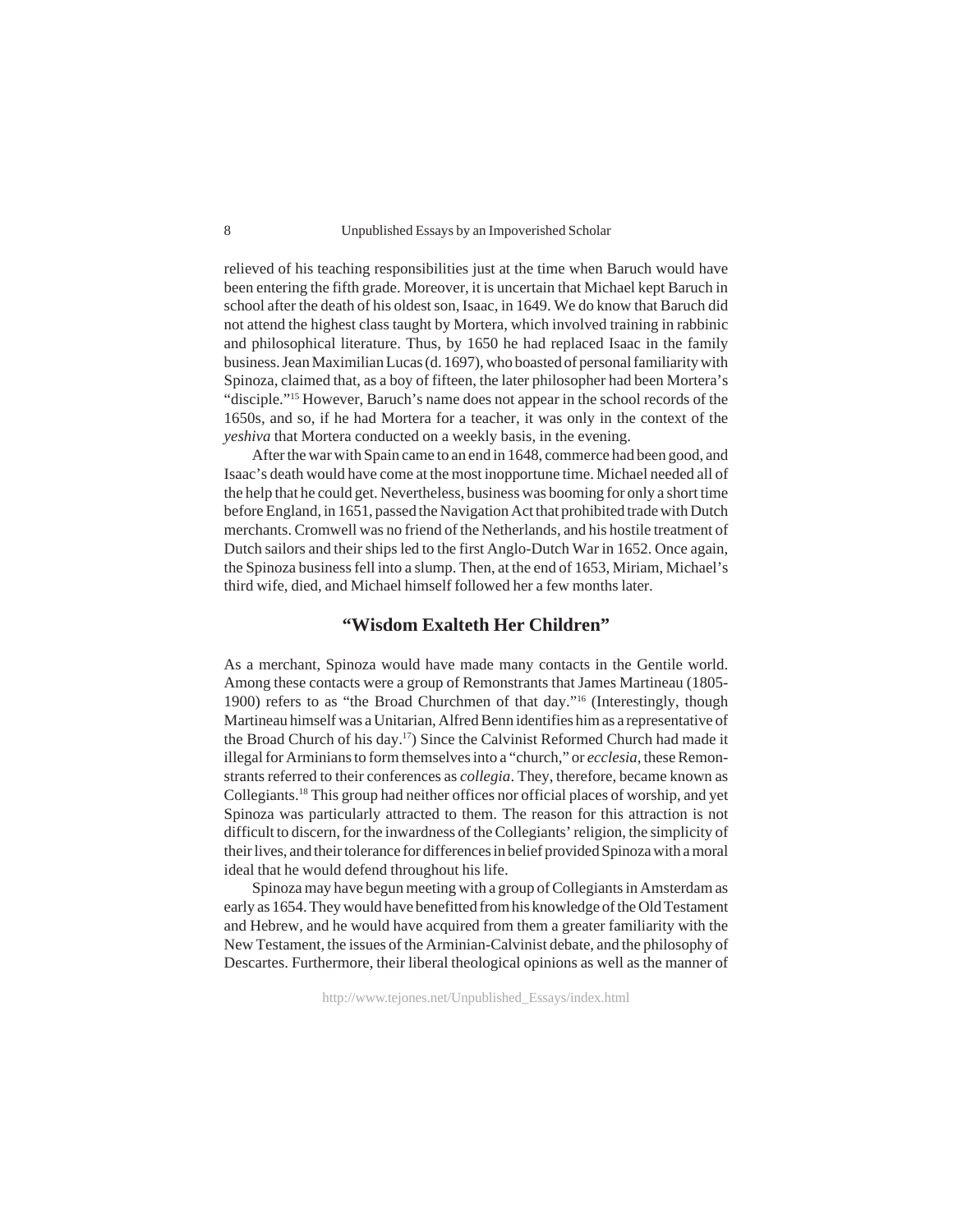relieved of his teaching responsibilities just at the time when Baruch would have been entering the fifth grade. Moreover, it is uncertain that Michael kept Baruch in school after the death of his oldest son, Isaac, in 1649. We do know that Baruch did not attend the highest class taught by Mortera, which involved training in rabbinic and philosophical literature. Thus, by 1650 he had replaced Isaac in the family business. Jean Maximilian Lucas (d. 1697), who boasted of personal familiarity with Spinoza, claimed that, as a boy of fifteen, the later philosopher had been Mortera's "disciple."15 However, Baruch's name does not appear in the school records of the 1650s, and so, if he had Mortera for a teacher, it was only in the context of the *yeshiva* that Mortera conducted on a weekly basis, in the evening.

After the war with Spain came to an end in 1648, commerce had been good, and Isaac's death would have come at the most inopportune time. Michael needed all of the help that he could get. Nevertheless, business was booming for only a short time before England, in 1651, passed the Navigation Act that prohibited trade with Dutch merchants. Cromwell was no friend of the Netherlands, and his hostile treatment of Dutch sailors and their ships led to the first Anglo-Dutch War in 1652. Once again, the Spinoza business fell into a slump. Then, at the end of 1653, Miriam, Michael's third wife, died, and Michael himself followed her a few months later.

## **"Wisdom Exalteth Her Children"**

As a merchant, Spinoza would have made many contacts in the Gentile world. Among these contacts were a group of Remonstrants that James Martineau (1805- 1900) refers to as "the Broad Churchmen of that day."16 (Interestingly, though Martineau himself was a Unitarian, Alfred Benn identifies him as a representative of the Broad Church of his day.17) Since the Calvinist Reformed Church had made it illegal for Arminians to form themselves into a "church," or *ecclesia*, these Remonstrants referred to their conferences as *collegia*. They, therefore, became known as Collegiants.18 This group had neither offices nor official places of worship, and yet Spinoza was particularly attracted to them. The reason for this attraction is not difficult to discern, for the inwardness of the Collegiants' religion, the simplicity of their lives, and their tolerance for differences in belief provided Spinoza with a moral ideal that he would defend throughout his life.

Spinoza may have begun meeting with a group of Collegiants in Amsterdam as early as 1654. They would have benefitted from his knowledge of the Old Testament and Hebrew, and he would have acquired from them a greater familiarity with the New Testament, the issues of the Arminian-Calvinist debate, and the philosophy of Descartes. Furthermore, their liberal theological opinions as well as the manner of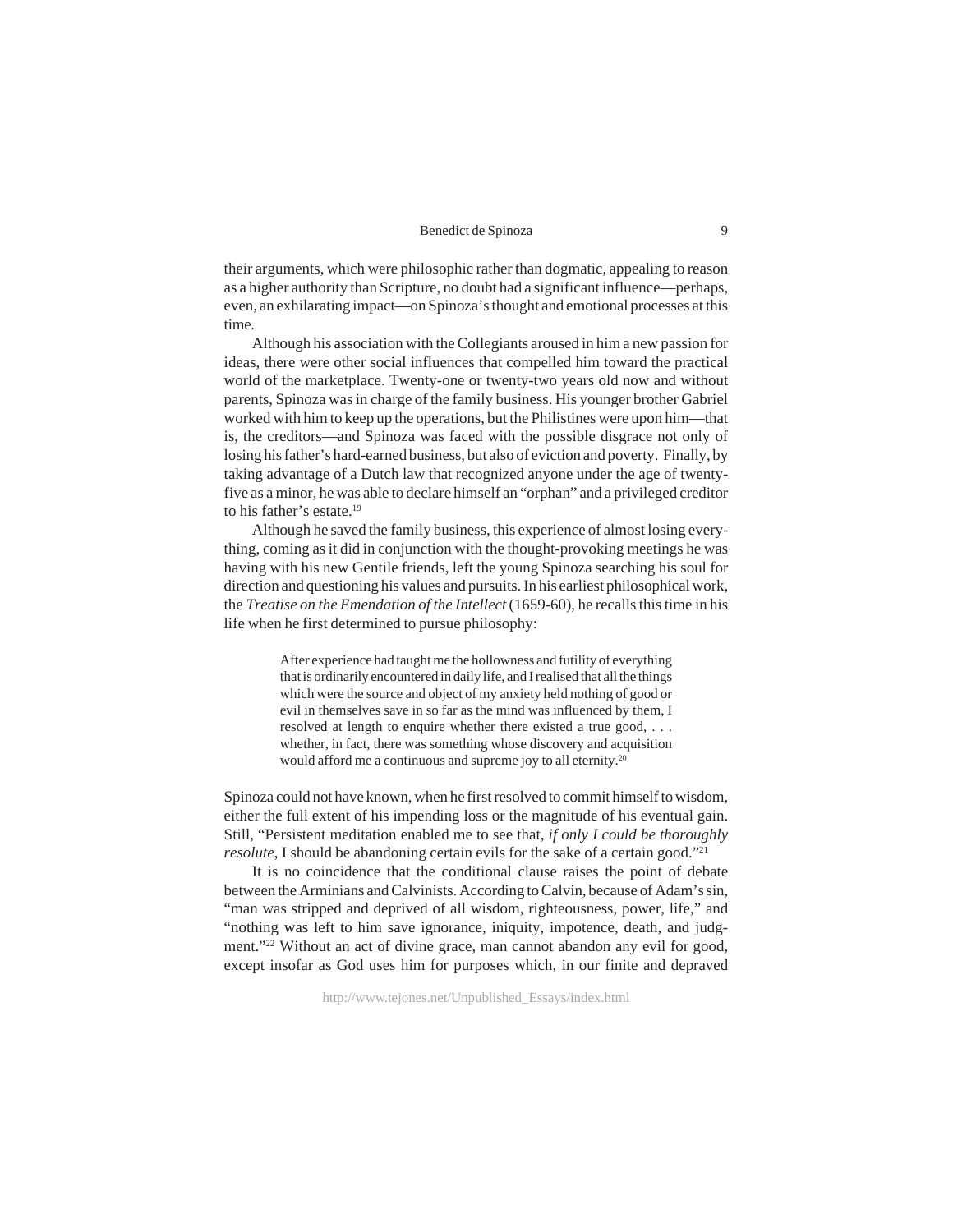their arguments, which were philosophic rather than dogmatic, appealing to reason as a higher authority than Scripture, no doubt had a significant influence—perhaps, even, an exhilarating impact—on Spinoza's thought and emotional processes at this time.

Although his association with the Collegiants aroused in him a new passion for ideas, there were other social influences that compelled him toward the practical world of the marketplace. Twenty-one or twenty-two years old now and without parents, Spinoza was in charge of the family business. His younger brother Gabriel worked with him to keep up the operations, but the Philistines were upon him—that is, the creditors—and Spinoza was faced with the possible disgrace not only of losing his father's hard-earned business, but also of eviction and poverty. Finally, by taking advantage of a Dutch law that recognized anyone under the age of twentyfive as a minor, he was able to declare himself an "orphan" and a privileged creditor to his father's estate.19

Although he saved the family business, this experience of almost losing everything, coming as it did in conjunction with the thought-provoking meetings he was having with his new Gentile friends, left the young Spinoza searching his soul for direction and questioning his values and pursuits. In his earliest philosophical work, the *Treatise on the Emendation of the Intellect* (1659-60), he recalls this time in his life when he first determined to pursue philosophy:

> After experience had taught me the hollowness and futility of everything that is ordinarily encountered in daily life, and I realised that all the things which were the source and object of my anxiety held nothing of good or evil in themselves save in so far as the mind was influenced by them, I resolved at length to enquire whether there existed a true good, . . . whether, in fact, there was something whose discovery and acquisition would afford me a continuous and supreme joy to all eternity.<sup>20</sup>

Spinoza could not have known, when he first resolved to commit himself to wisdom, either the full extent of his impending loss or the magnitude of his eventual gain. Still, "Persistent meditation enabled me to see that, *if only I could be thoroughly resolute*, I should be abandoning certain evils for the sake of a certain good."<sup>21</sup>

It is no coincidence that the conditional clause raises the point of debate between the Arminians and Calvinists. According to Calvin, because of Adam's sin, "man was stripped and deprived of all wisdom, righteousness, power, life," and "nothing was left to him save ignorance, iniquity, impotence, death, and judgment."<sup>22</sup> Without an act of divine grace, man cannot abandon any evil for good, except insofar as God uses him for purposes which, in our finite and depraved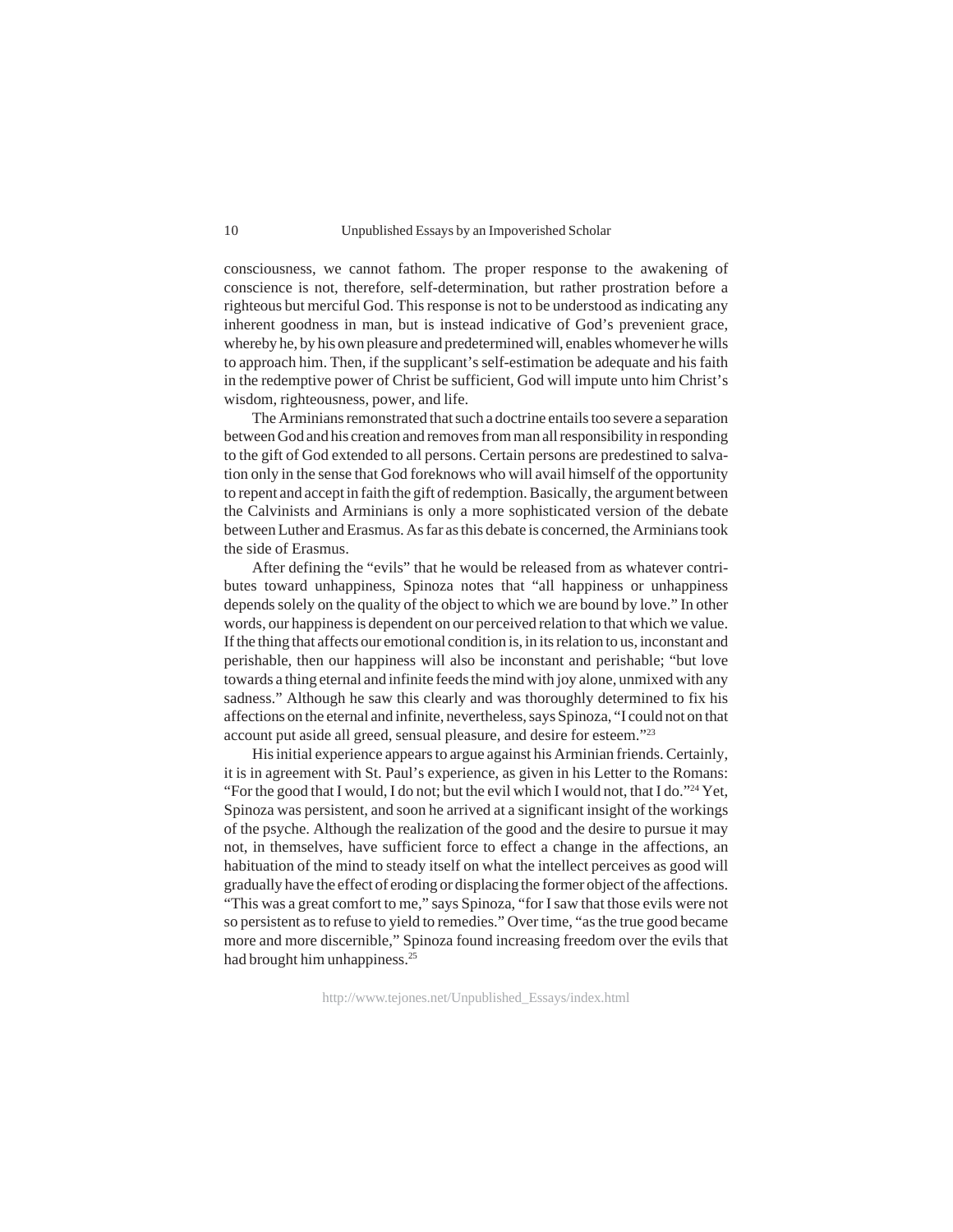consciousness, we cannot fathom. The proper response to the awakening of conscience is not, therefore, self-determination, but rather prostration before a righteous but merciful God. This response is not to be understood as indicating any inherent goodness in man, but is instead indicative of God's prevenient grace, whereby he, by his own pleasure and predetermined will, enables whomever he wills to approach him. Then, if the supplicant's self-estimation be adequate and his faith in the redemptive power of Christ be sufficient, God will impute unto him Christ's wisdom, righteousness, power, and life.

The Arminians remonstrated that such a doctrine entails too severe a separation between God and his creation and removes from man all responsibility in responding to the gift of God extended to all persons. Certain persons are predestined to salvation only in the sense that God foreknows who will avail himself of the opportunity to repent and accept in faith the gift of redemption. Basically, the argument between the Calvinists and Arminians is only a more sophisticated version of the debate between Luther and Erasmus. As far as this debate is concerned, the Arminians took the side of Erasmus.

After defining the "evils" that he would be released from as whatever contributes toward unhappiness, Spinoza notes that "all happiness or unhappiness depends solely on the quality of the object to which we are bound by love." In other words, our happiness is dependent on our perceived relation to that which we value. If the thing that affects our emotional condition is, in its relation to us, inconstant and perishable, then our happiness will also be inconstant and perishable; "but love towards a thing eternal and infinite feeds the mind with joy alone, unmixed with any sadness." Although he saw this clearly and was thoroughly determined to fix his affections on the eternal and infinite, nevertheless, says Spinoza, "I could not on that account put aside all greed, sensual pleasure, and desire for esteem."23

His initial experience appears to argue against his Arminian friends. Certainly, it is in agreement with St. Paul's experience, as given in his Letter to the Romans: "For the good that I would, I do not; but the evil which I would not, that I do."24 Yet, Spinoza was persistent, and soon he arrived at a significant insight of the workings of the psyche. Although the realization of the good and the desire to pursue it may not, in themselves, have sufficient force to effect a change in the affections, an habituation of the mind to steady itself on what the intellect perceives as good will gradually have the effect of eroding or displacing the former object of the affections. "This was a great comfort to me," says Spinoza, "for I saw that those evils were not so persistent as to refuse to yield to remedies." Over time, "as the true good became more and more discernible," Spinoza found increasing freedom over the evils that had brought him unhappiness.<sup>25</sup>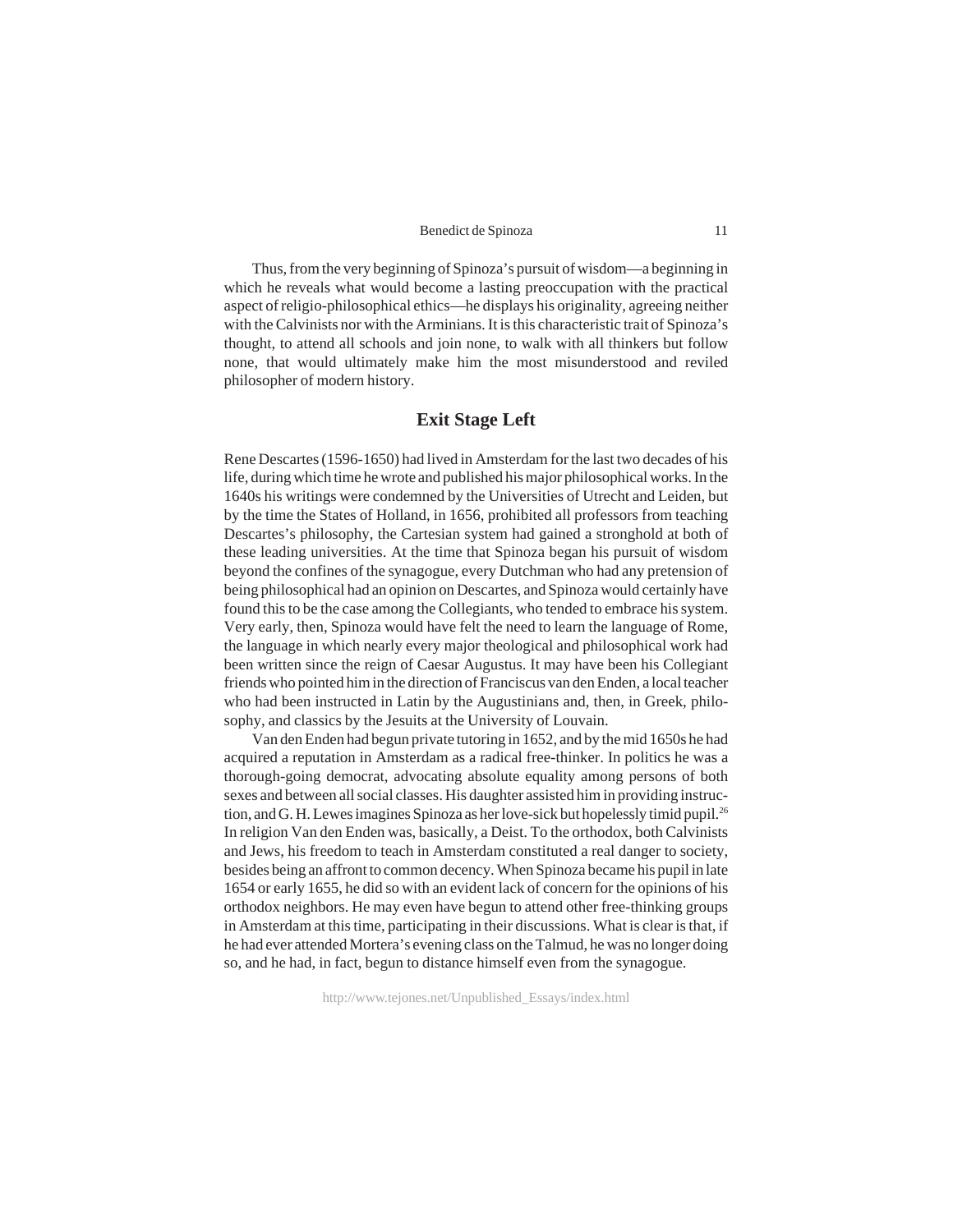Thus, from the very beginning of Spinoza's pursuit of wisdom—a beginning in which he reveals what would become a lasting preoccupation with the practical aspect of religio-philosophical ethics—he displays his originality, agreeing neither with the Calvinists nor with the Arminians. It is this characteristic trait of Spinoza's thought, to attend all schools and join none, to walk with all thinkers but follow none, that would ultimately make him the most misunderstood and reviled philosopher of modern history.

## **Exit Stage Left**

Rene Descartes (1596-1650) had lived in Amsterdam for the last two decades of his life, during which time he wrote and published his major philosophical works. In the 1640s his writings were condemned by the Universities of Utrecht and Leiden, but by the time the States of Holland, in 1656, prohibited all professors from teaching Descartes's philosophy, the Cartesian system had gained a stronghold at both of these leading universities. At the time that Spinoza began his pursuit of wisdom beyond the confines of the synagogue, every Dutchman who had any pretension of being philosophical had an opinion on Descartes, and Spinoza would certainly have found this to be the case among the Collegiants, who tended to embrace his system. Very early, then, Spinoza would have felt the need to learn the language of Rome, the language in which nearly every major theological and philosophical work had been written since the reign of Caesar Augustus. It may have been his Collegiant friends who pointed him in the direction of Franciscus van den Enden, a local teacher who had been instructed in Latin by the Augustinians and, then, in Greek, philosophy, and classics by the Jesuits at the University of Louvain.

Van den Enden had begun private tutoring in 1652, and by the mid 1650s he had acquired a reputation in Amsterdam as a radical free-thinker. In politics he was a thorough-going democrat, advocating absolute equality among persons of both sexes and between all social classes. His daughter assisted him in providing instruction, and G. H. Lewes imagines Spinoza as her love-sick but hopelessly timid pupil.26 In religion Van den Enden was, basically, a Deist. To the orthodox, both Calvinists and Jews, his freedom to teach in Amsterdam constituted a real danger to society, besides being an affront to common decency. When Spinoza became his pupil in late 1654 or early 1655, he did so with an evident lack of concern for the opinions of his orthodox neighbors. He may even have begun to attend other free-thinking groups in Amsterdam at this time, participating in their discussions. What is clear is that, if he had ever attended Mortera's evening class on the Talmud, he was no longer doing so, and he had, in fact, begun to distance himself even from the synagogue.

http://www.tejones.net/Unpublished\_Essays/index.html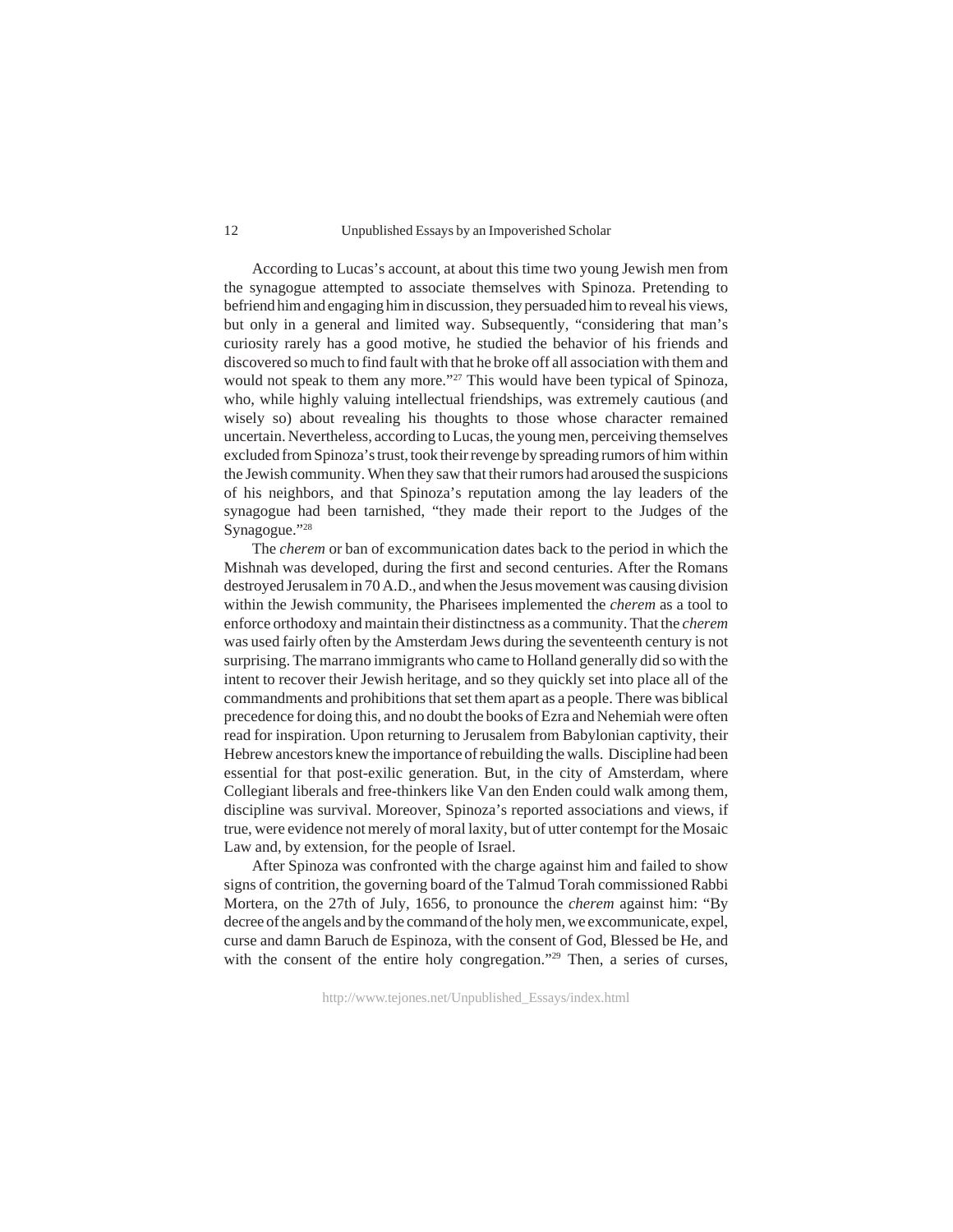#### Unpublished Essays by an Impoverished Scholar

According to Lucas's account, at about this time two young Jewish men from the synagogue attempted to associate themselves with Spinoza. Pretending to befriend him and engaging him in discussion, they persuaded him to reveal his views, but only in a general and limited way. Subsequently, "considering that man's curiosity rarely has a good motive, he studied the behavior of his friends and discovered so much to find fault with that he broke off all association with them and would not speak to them any more."<sup>27</sup> This would have been typical of Spinoza, who, while highly valuing intellectual friendships, was extremely cautious (and wisely so) about revealing his thoughts to those whose character remained uncertain. Nevertheless, according to Lucas, the young men, perceiving themselves excluded from Spinoza's trust, took their revenge by spreading rumors of him within the Jewish community. When they saw that their rumors had aroused the suspicions of his neighbors, and that Spinoza's reputation among the lay leaders of the synagogue had been tarnished, "they made their report to the Judges of the Synagogue."28

The *cherem* or ban of excommunication dates back to the period in which the Mishnah was developed, during the first and second centuries. After the Romans destroyed Jerusalem in 70 A.D., and when the Jesus movement was causing division within the Jewish community, the Pharisees implemented the *cherem* as a tool to enforce orthodoxy and maintain their distinctness as a community. That the *cherem* was used fairly often by the Amsterdam Jews during the seventeenth century is not surprising. The marrano immigrants who came to Holland generally did so with the intent to recover their Jewish heritage, and so they quickly set into place all of the commandments and prohibitions that set them apart as a people. There was biblical precedence for doing this, and no doubt the books of Ezra and Nehemiah were often read for inspiration. Upon returning to Jerusalem from Babylonian captivity, their Hebrew ancestors knew the importance of rebuilding the walls. Discipline had been essential for that post-exilic generation. But, in the city of Amsterdam, where Collegiant liberals and free-thinkers like Van den Enden could walk among them, discipline was survival. Moreover, Spinoza's reported associations and views, if true, were evidence not merely of moral laxity, but of utter contempt for the Mosaic Law and, by extension, for the people of Israel.

After Spinoza was confronted with the charge against him and failed to show signs of contrition, the governing board of the Talmud Torah commissioned Rabbi Mortera, on the 27th of July, 1656, to pronounce the *cherem* against him: "By decree of the angels and by the command of the holy men, we excommunicate, expel, curse and damn Baruch de Espinoza, with the consent of God, Blessed be He, and with the consent of the entire holy congregation."<sup>29</sup> Then, a series of curses,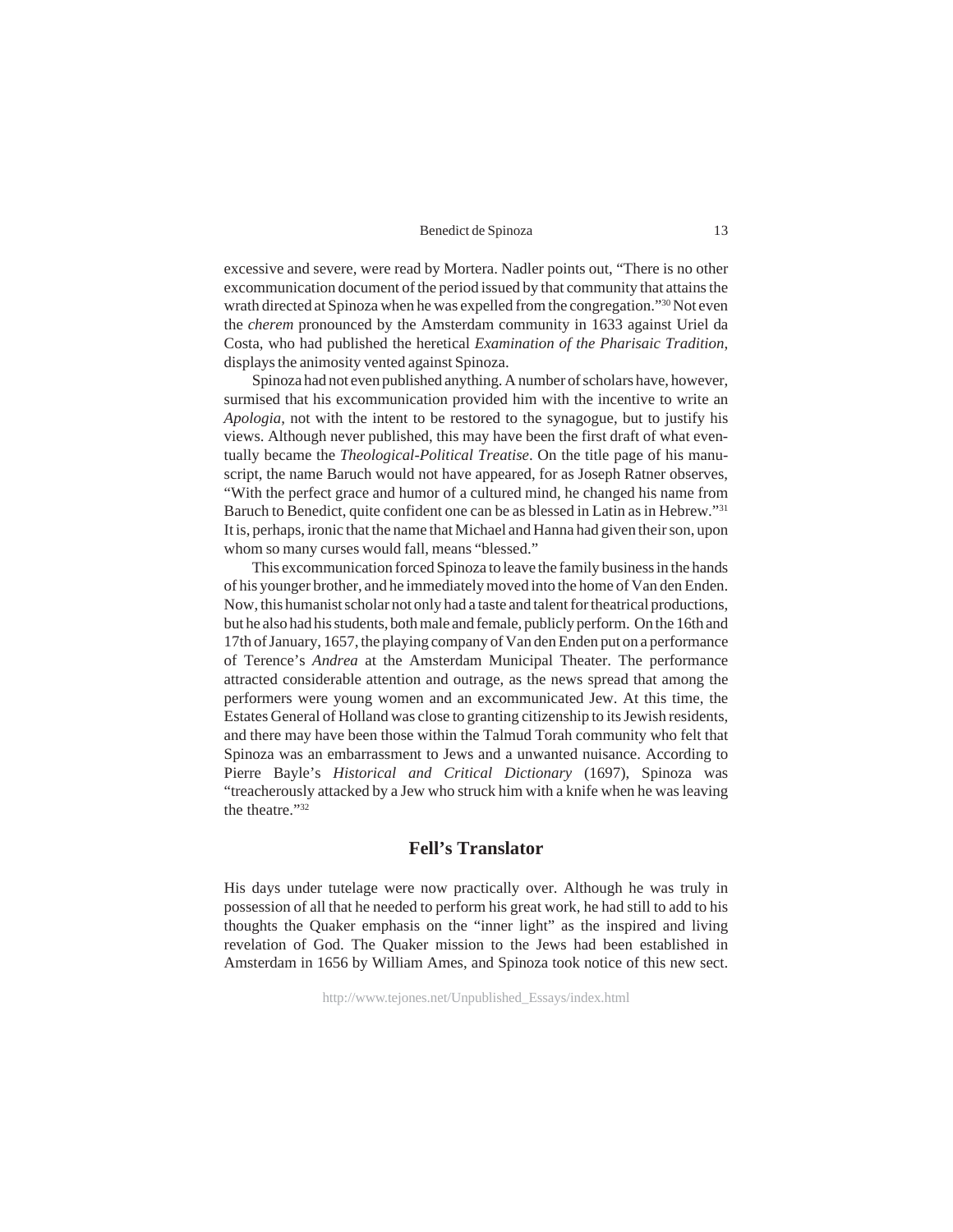excessive and severe, were read by Mortera. Nadler points out, "There is no other excommunication document of the period issued by that community that attains the wrath directed at Spinoza when he was expelled from the congregation."30 Not even the *cherem* pronounced by the Amsterdam community in 1633 against Uriel da Costa, who had published the heretical *Examination of the Pharisaic Tradition*, displays the animosity vented against Spinoza.

Spinoza had not even published anything. A number of scholars have, however, surmised that his excommunication provided him with the incentive to write an *Apologia*, not with the intent to be restored to the synagogue, but to justify his views. Although never published, this may have been the first draft of what eventually became the *Theological-Political Treatise*. On the title page of his manuscript, the name Baruch would not have appeared, for as Joseph Ratner observes, "With the perfect grace and humor of a cultured mind, he changed his name from Baruch to Benedict, quite confident one can be as blessed in Latin as in Hebrew."31 It is, perhaps, ironic that the name that Michael and Hanna had given their son, upon whom so many curses would fall, means "blessed."

This excommunication forced Spinoza to leave the family business in the hands of his younger brother, and he immediately moved into the home of Van den Enden. Now, this humanist scholar not only had a taste and talent for theatrical productions, but he also had his students, both male and female, publicly perform. On the 16th and 17th of January, 1657, the playing company of Van den Enden put on a performance of Terence's *Andrea* at the Amsterdam Municipal Theater. The performance attracted considerable attention and outrage, as the news spread that among the performers were young women and an excommunicated Jew. At this time, the Estates General of Holland was close to granting citizenship to its Jewish residents, and there may have been those within the Talmud Torah community who felt that Spinoza was an embarrassment to Jews and a unwanted nuisance. According to Pierre Bayle's *Historical and Critical Dictionary* (1697), Spinoza was "treacherously attacked by a Jew who struck him with a knife when he was leaving the theatre."32

## **Fell's Translator**

His days under tutelage were now practically over. Although he was truly in possession of all that he needed to perform his great work, he had still to add to his thoughts the Quaker emphasis on the "inner light" as the inspired and living revelation of God. The Quaker mission to the Jews had been established in Amsterdam in 1656 by William Ames, and Spinoza took notice of this new sect.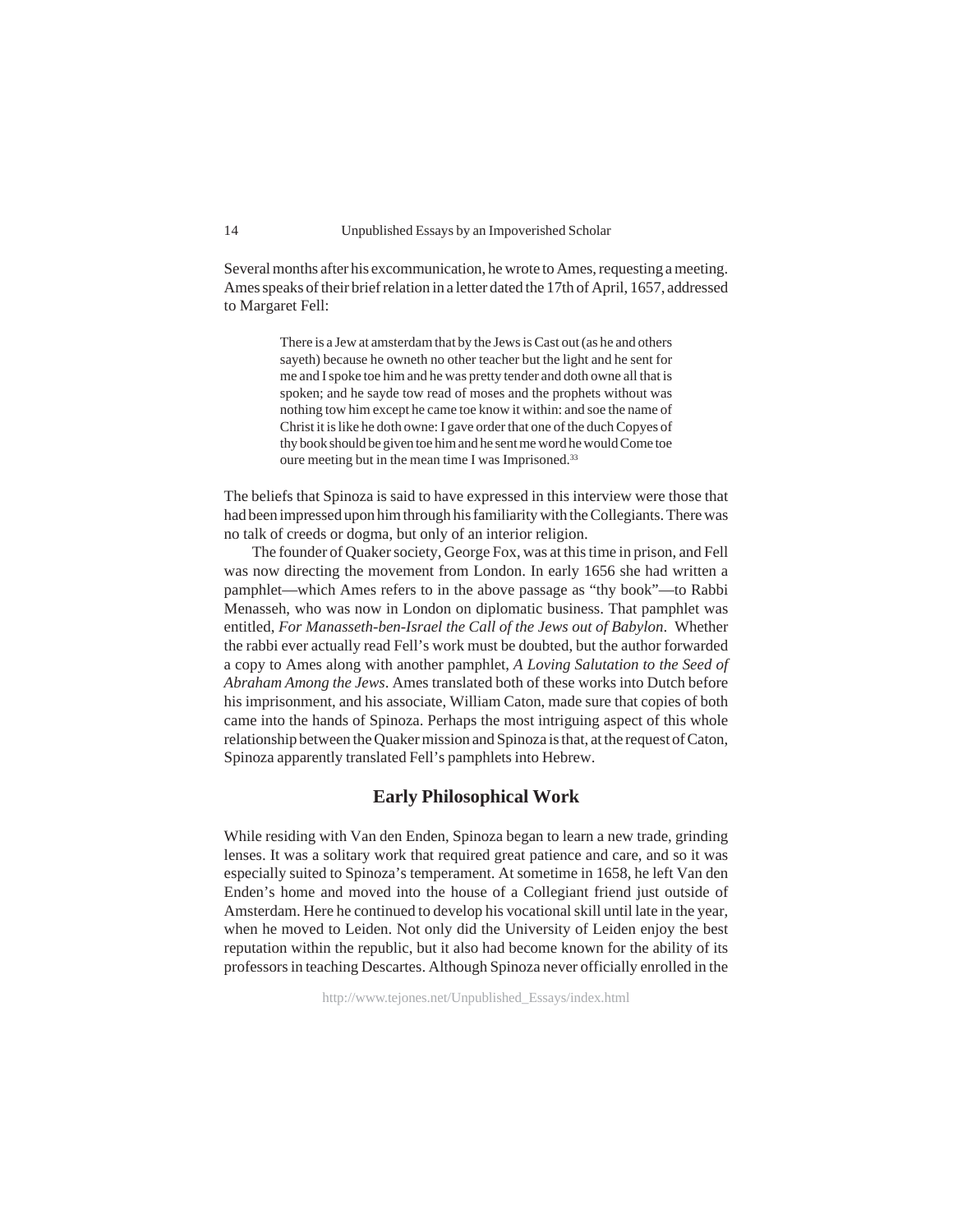Several months after his excommunication, he wrote to Ames, requesting a meeting. Ames speaks of their brief relation in a letter dated the 17th of April, 1657, addressed to Margaret Fell:

> There is a Jew at amsterdam that by the Jews is Cast out (as he and others sayeth) because he owneth no other teacher but the light and he sent for me and I spoke toe him and he was pretty tender and doth owne all that is spoken; and he sayde tow read of moses and the prophets without was nothing tow him except he came toe know it within: and soe the name of Christ it is like he doth owne: I gave order that one of the duch Copyes of thy book should be given toe him and he sent me word he would Come toe oure meeting but in the mean time I was Imprisoned.<sup>33</sup>

The beliefs that Spinoza is said to have expressed in this interview were those that had been impressed upon him through his familiarity with the Collegiants. There was no talk of creeds or dogma, but only of an interior religion.

The founder of Quaker society, George Fox, was at this time in prison, and Fell was now directing the movement from London. In early 1656 she had written a pamphlet—which Ames refers to in the above passage as "thy book"—to Rabbi Menasseh, who was now in London on diplomatic business. That pamphlet was entitled, *For Manasseth-ben-Israel the Call of the Jews out of Babylon*. Whether the rabbi ever actually read Fell's work must be doubted, but the author forwarded a copy to Ames along with another pamphlet, *A Loving Salutation to the Seed of Abraham Among the Jews*. Ames translated both of these works into Dutch before his imprisonment, and his associate, William Caton, made sure that copies of both came into the hands of Spinoza. Perhaps the most intriguing aspect of this whole relationship between the Quaker mission and Spinoza is that, at the request of Caton, Spinoza apparently translated Fell's pamphlets into Hebrew.

## **Early Philosophical Work**

While residing with Van den Enden, Spinoza began to learn a new trade, grinding lenses. It was a solitary work that required great patience and care, and so it was especially suited to Spinoza's temperament. At sometime in 1658, he left Van den Enden's home and moved into the house of a Collegiant friend just outside of Amsterdam. Here he continued to develop his vocational skill until late in the year, when he moved to Leiden. Not only did the University of Leiden enjoy the best reputation within the republic, but it also had become known for the ability of its professors in teaching Descartes. Although Spinoza never officially enrolled in the

http://www.tejones.net/Unpublished\_Essays/index.html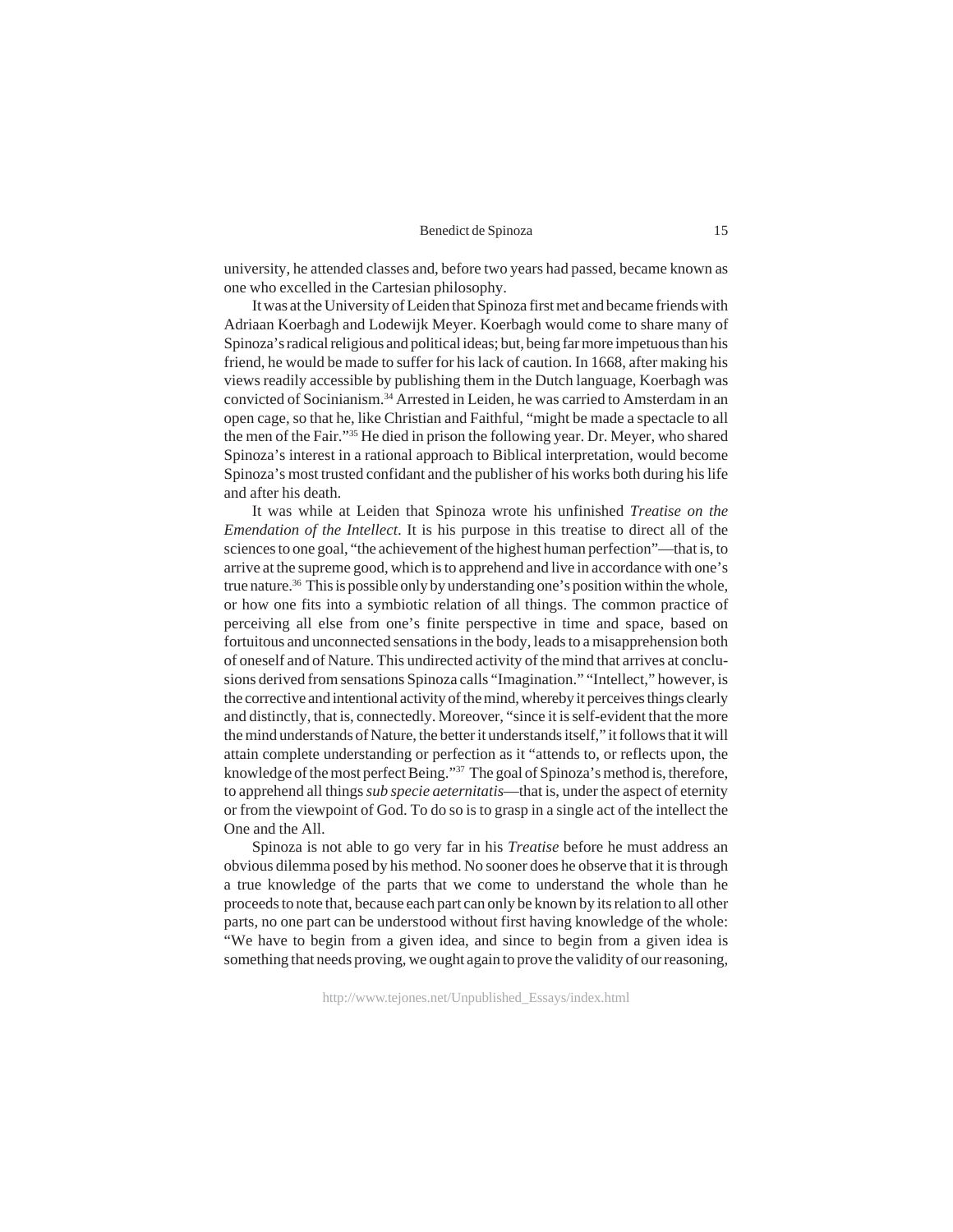university, he attended classes and, before two years had passed, became known as one who excelled in the Cartesian philosophy.

It was at the University of Leiden that Spinoza first met and became friends with Adriaan Koerbagh and Lodewijk Meyer. Koerbagh would come to share many of Spinoza's radical religious and political ideas; but, being far more impetuous than his friend, he would be made to suffer for his lack of caution. In 1668, after making his views readily accessible by publishing them in the Dutch language, Koerbagh was convicted of Socinianism.34 Arrested in Leiden, he was carried to Amsterdam in an open cage, so that he, like Christian and Faithful, "might be made a spectacle to all the men of the Fair."35 He died in prison the following year. Dr. Meyer, who shared Spinoza's interest in a rational approach to Biblical interpretation, would become Spinoza's most trusted confidant and the publisher of his works both during his life and after his death.

It was while at Leiden that Spinoza wrote his unfinished *Treatise on the Emendation of the Intellect*. It is his purpose in this treatise to direct all of the sciences to one goal, "the achievement of the highest human perfection"—that is, to arrive at the supreme good, which is to apprehend and live in accordance with one's true nature.<sup>36</sup> This is possible only by understanding one's position within the whole, or how one fits into a symbiotic relation of all things. The common practice of perceiving all else from one's finite perspective in time and space, based on fortuitous and unconnected sensations in the body, leads to a misapprehension both of oneself and of Nature. This undirected activity of the mind that arrives at conclusions derived from sensations Spinoza calls "Imagination." "Intellect," however, is the corrective and intentional activity of the mind, whereby it perceives things clearly and distinctly, that is, connectedly. Moreover, "since it is self-evident that the more the mind understands of Nature, the better it understands itself," it follows that it will attain complete understanding or perfection as it "attends to, or reflects upon, the knowledge of the most perfect Being."37 The goal of Spinoza's method is, therefore, to apprehend all things *sub specie aeternitatis*—that is, under the aspect of eternity or from the viewpoint of God. To do so is to grasp in a single act of the intellect the One and the All.

Spinoza is not able to go very far in his *Treatise* before he must address an obvious dilemma posed by his method. No sooner does he observe that it is through a true knowledge of the parts that we come to understand the whole than he proceeds to note that, because each part can only be known by its relation to all other parts, no one part can be understood without first having knowledge of the whole: "We have to begin from a given idea, and since to begin from a given idea is something that needs proving, we ought again to prove the validity of our reasoning,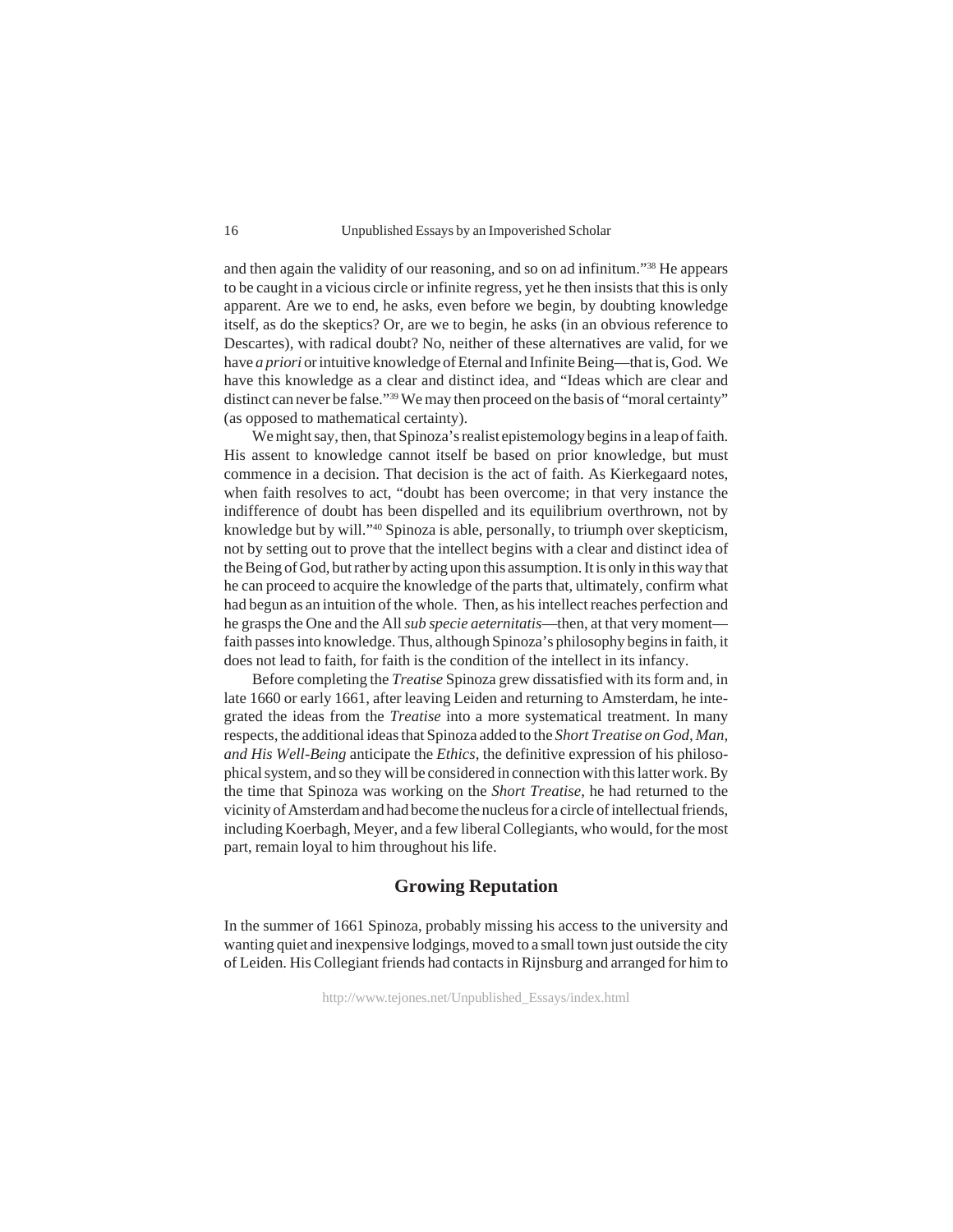and then again the validity of our reasoning, and so on ad infinitum."38 He appears to be caught in a vicious circle or infinite regress, yet he then insists that this is only apparent. Are we to end, he asks, even before we begin, by doubting knowledge itself, as do the skeptics? Or, are we to begin, he asks (in an obvious reference to Descartes), with radical doubt? No, neither of these alternatives are valid, for we have *a priori* or intuitive knowledge of Eternal and Infinite Being—that is, God. We have this knowledge as a clear and distinct idea, and "Ideas which are clear and distinct can never be false."39 We may then proceed on the basis of "moral certainty" (as opposed to mathematical certainty).

We might say, then, that Spinoza's realist epistemology begins in a leap of faith. His assent to knowledge cannot itself be based on prior knowledge, but must commence in a decision. That decision is the act of faith. As Kierkegaard notes, when faith resolves to act, "doubt has been overcome; in that very instance the indifference of doubt has been dispelled and its equilibrium overthrown, not by knowledge but by will."40 Spinoza is able, personally, to triumph over skepticism, not by setting out to prove that the intellect begins with a clear and distinct idea of the Being of God, but rather by acting upon this assumption. It is only in this way that he can proceed to acquire the knowledge of the parts that, ultimately, confirm what had begun as an intuition of the whole. Then, as his intellect reaches perfection and he grasps the One and the All *sub specie aeternitatis*—then, at that very moment faith passes into knowledge. Thus, although Spinoza's philosophy begins in faith, it does not lead to faith, for faith is the condition of the intellect in its infancy.

Before completing the *Treatise* Spinoza grew dissatisfied with its form and, in late 1660 or early 1661, after leaving Leiden and returning to Amsterdam, he integrated the ideas from the *Treatise* into a more systematical treatment. In many respects, the additional ideas that Spinoza added to the *Short Treatise on God, Man, and His Well-Being* anticipate the *Ethics*, the definitive expression of his philosophical system, and so they will be considered in connection with this latter work. By the time that Spinoza was working on the *Short Treatise*, he had returned to the vicinity of Amsterdam and had become the nucleus for a circle of intellectual friends, including Koerbagh, Meyer, and a few liberal Collegiants, who would, for the most part, remain loyal to him throughout his life.

## **Growing Reputation**

In the summer of 1661 Spinoza, probably missing his access to the university and wanting quiet and inexpensive lodgings, moved to a small town just outside the city of Leiden. His Collegiant friends had contacts in Rijnsburg and arranged for him to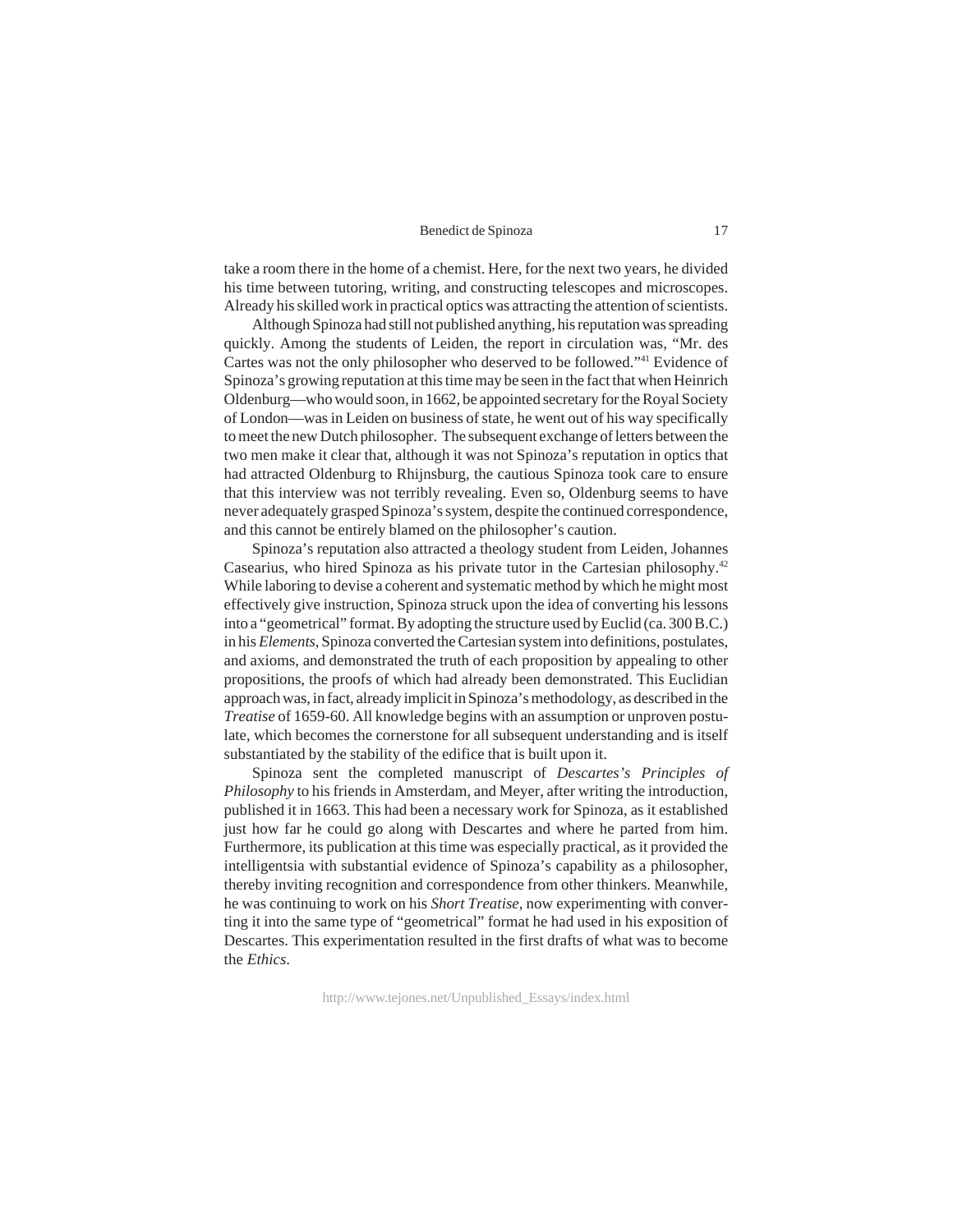take a room there in the home of a chemist. Here, for the next two years, he divided his time between tutoring, writing, and constructing telescopes and microscopes. Already his skilled work in practical optics was attracting the attention of scientists.

Although Spinoza had still not published anything, his reputation was spreading quickly. Among the students of Leiden, the report in circulation was, "Mr. des Cartes was not the only philosopher who deserved to be followed."41 Evidence of Spinoza's growing reputation at this time may be seen in the fact that when Heinrich Oldenburg—who would soon, in 1662, be appointed secretary for the Royal Society of London—was in Leiden on business of state, he went out of his way specifically to meet the new Dutch philosopher. The subsequent exchange of letters between the two men make it clear that, although it was not Spinoza's reputation in optics that had attracted Oldenburg to Rhijnsburg, the cautious Spinoza took care to ensure that this interview was not terribly revealing. Even so, Oldenburg seems to have never adequately grasped Spinoza's system, despite the continued correspondence, and this cannot be entirely blamed on the philosopher's caution.

Spinoza's reputation also attracted a theology student from Leiden, Johannes Casearius, who hired Spinoza as his private tutor in the Cartesian philosophy.42 While laboring to devise a coherent and systematic method by which he might most effectively give instruction, Spinoza struck upon the idea of converting his lessons into a "geometrical" format. By adopting the structure used by Euclid (ca. 300 B.C.) in his *Elements*, Spinoza converted the Cartesian system into definitions, postulates, and axioms, and demonstrated the truth of each proposition by appealing to other propositions, the proofs of which had already been demonstrated. This Euclidian approach was, in fact, already implicit in Spinoza's methodology, as described in the *Treatise* of 1659-60. All knowledge begins with an assumption or unproven postulate, which becomes the cornerstone for all subsequent understanding and is itself substantiated by the stability of the edifice that is built upon it.

Spinoza sent the completed manuscript of *Descartes's Principles of Philosophy* to his friends in Amsterdam, and Meyer, after writing the introduction, published it in 1663. This had been a necessary work for Spinoza, as it established just how far he could go along with Descartes and where he parted from him. Furthermore, its publication at this time was especially practical, as it provided the intelligentsia with substantial evidence of Spinoza's capability as a philosopher, thereby inviting recognition and correspondence from other thinkers. Meanwhile, he was continuing to work on his *Short Treatise*, now experimenting with converting it into the same type of "geometrical" format he had used in his exposition of Descartes. This experimentation resulted in the first drafts of what was to become the *Ethics*.

http://www.tejones.net/Unpublished\_Essays/index.html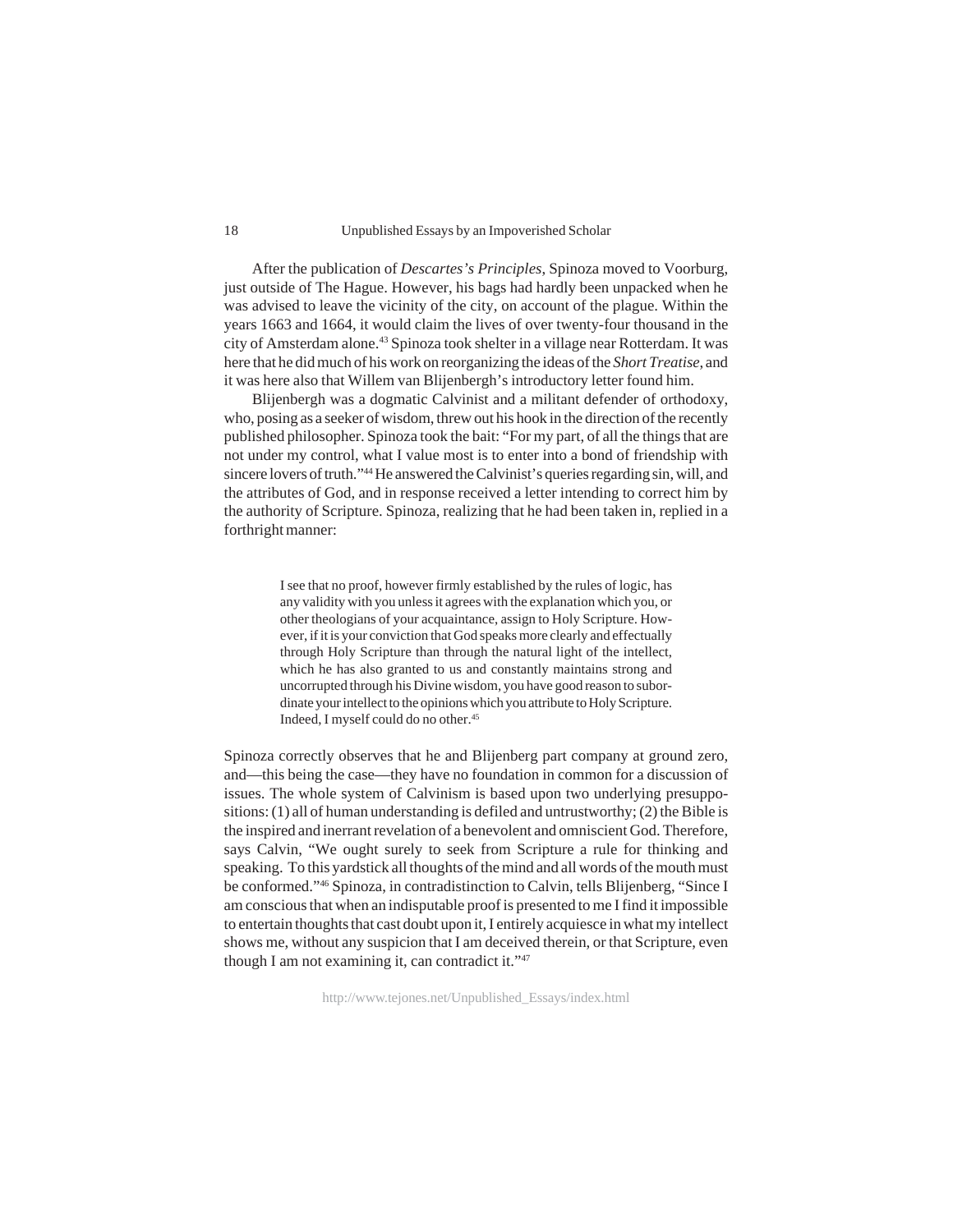#### Unpublished Essays by an Impoverished Scholar

After the publication of *Descartes's Principles*, Spinoza moved to Voorburg, just outside of The Hague. However, his bags had hardly been unpacked when he was advised to leave the vicinity of the city, on account of the plague. Within the years 1663 and 1664, it would claim the lives of over twenty-four thousand in the city of Amsterdam alone.43 Spinoza took shelter in a village near Rotterdam. It was here that he did much of his work on reorganizing the ideas of the *Short Treatise*, and it was here also that Willem van Blijenbergh's introductory letter found him.

Blijenbergh was a dogmatic Calvinist and a militant defender of orthodoxy, who, posing as a seeker of wisdom, threw out his hook in the direction of the recently published philosopher. Spinoza took the bait: "For my part, of all the things that are not under my control, what I value most is to enter into a bond of friendship with sincere lovers of truth."44 He answered the Calvinist's queries regarding sin, will, and the attributes of God, and in response received a letter intending to correct him by the authority of Scripture. Spinoza, realizing that he had been taken in, replied in a forthright manner:

> I see that no proof, however firmly established by the rules of logic, has any validity with you unless it agrees with the explanation which you, or other theologians of your acquaintance, assign to Holy Scripture. However, if it is your conviction that God speaks more clearly and effectually through Holy Scripture than through the natural light of the intellect, which he has also granted to us and constantly maintains strong and uncorrupted through his Divine wisdom, you have good reason to subordinate your intellect to the opinions which you attribute to Holy Scripture. Indeed, I myself could do no other.45

Spinoza correctly observes that he and Blijenberg part company at ground zero, and—this being the case—they have no foundation in common for a discussion of issues. The whole system of Calvinism is based upon two underlying presuppositions: (1) all of human understanding is defiled and untrustworthy; (2) the Bible is the inspired and inerrant revelation of a benevolent and omniscient God. Therefore, says Calvin, "We ought surely to seek from Scripture a rule for thinking and speaking. To this yardstick all thoughts of the mind and all words of the mouth must be conformed."46 Spinoza, in contradistinction to Calvin, tells Blijenberg, "Since I am conscious that when an indisputable proof is presented to me I find it impossible to entertain thoughts that cast doubt upon it, I entirely acquiesce in what my intellect shows me, without any suspicion that I am deceived therein, or that Scripture, even though I am not examining it, can contradict it."47

http://www.tejones.net/Unpublished\_Essays/index.html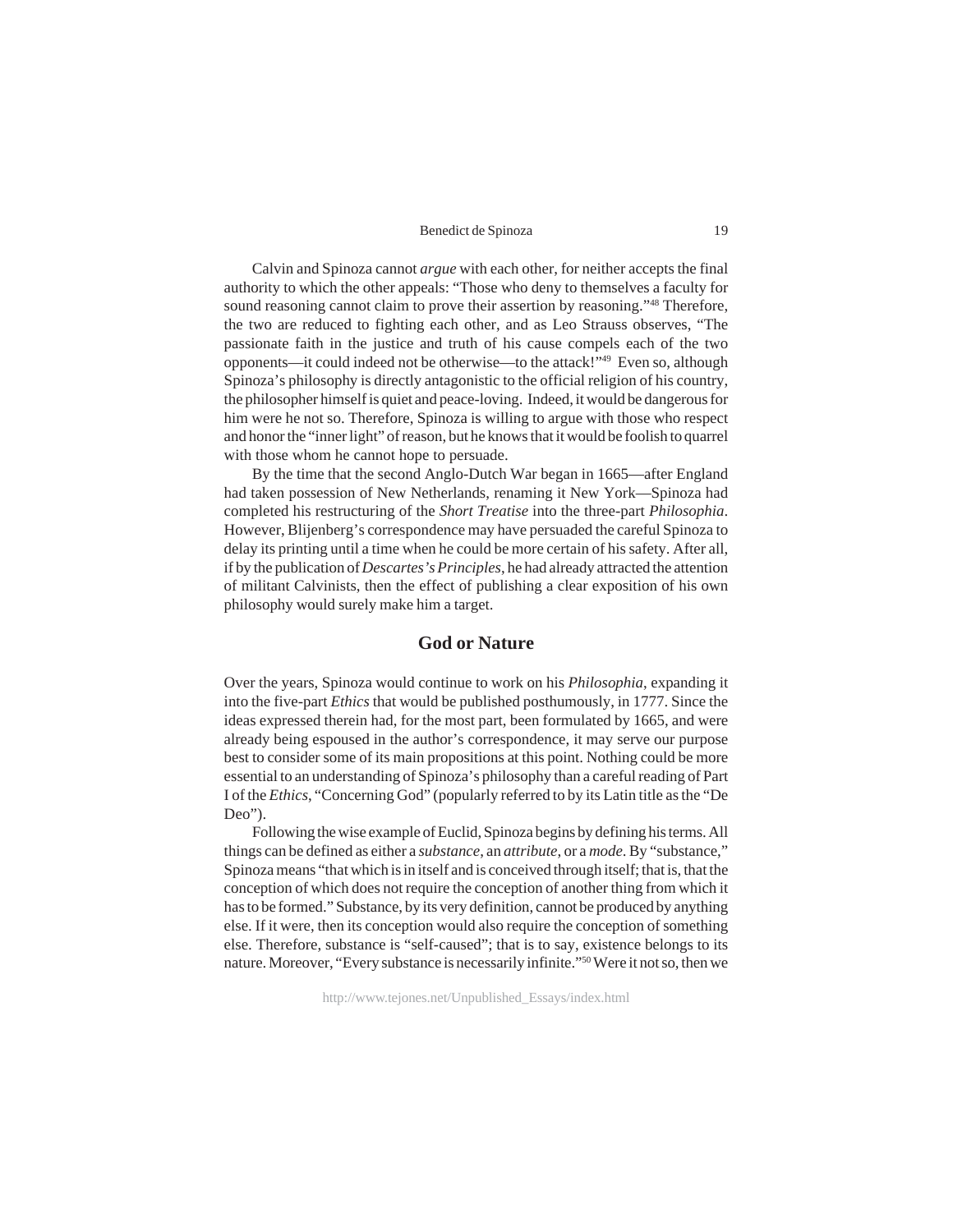Calvin and Spinoza cannot *argue* with each other, for neither accepts the final authority to which the other appeals: "Those who deny to themselves a faculty for sound reasoning cannot claim to prove their assertion by reasoning."<sup>48</sup> Therefore, the two are reduced to fighting each other, and as Leo Strauss observes, "The passionate faith in the justice and truth of his cause compels each of the two opponents—it could indeed not be otherwise—to the attack!"49 Even so, although Spinoza's philosophy is directly antagonistic to the official religion of his country, the philosopher himself is quiet and peace-loving. Indeed, it would be dangerous for him were he not so. Therefore, Spinoza is willing to argue with those who respect and honor the "inner light" of reason, but he knows that it would be foolish to quarrel with those whom he cannot hope to persuade.

By the time that the second Anglo-Dutch War began in 1665—after England had taken possession of New Netherlands, renaming it New York—Spinoza had completed his restructuring of the *Short Treatise* into the three-part *Philosophia*. However, Blijenberg's correspondence may have persuaded the careful Spinoza to delay its printing until a time when he could be more certain of his safety. After all, if by the publication of *Descartes's Principles*, he had already attracted the attention of militant Calvinists, then the effect of publishing a clear exposition of his own philosophy would surely make him a target.

## **God or Nature**

Over the years, Spinoza would continue to work on his *Philosophia*, expanding it into the five-part *Ethics* that would be published posthumously, in 1777. Since the ideas expressed therein had, for the most part, been formulated by 1665, and were already being espoused in the author's correspondence, it may serve our purpose best to consider some of its main propositions at this point. Nothing could be more essential to an understanding of Spinoza's philosophy than a careful reading of Part I of the *Ethics*, "Concerning God" (popularly referred to by its Latin title as the "De Deo").

Following the wise example of Euclid, Spinoza begins by defining his terms. All things can be defined as either a *substance*, an *attribute*, or a *mode*. By "substance," Spinoza means "that which is in itself and is conceived through itself; that is, that the conception of which does not require the conception of another thing from which it has to be formed." Substance, by its very definition, cannot be produced by anything else. If it were, then its conception would also require the conception of something else. Therefore, substance is "self-caused"; that is to say, existence belongs to its nature. Moreover, "Every substance is necessarily infinite."50 Were it not so, then we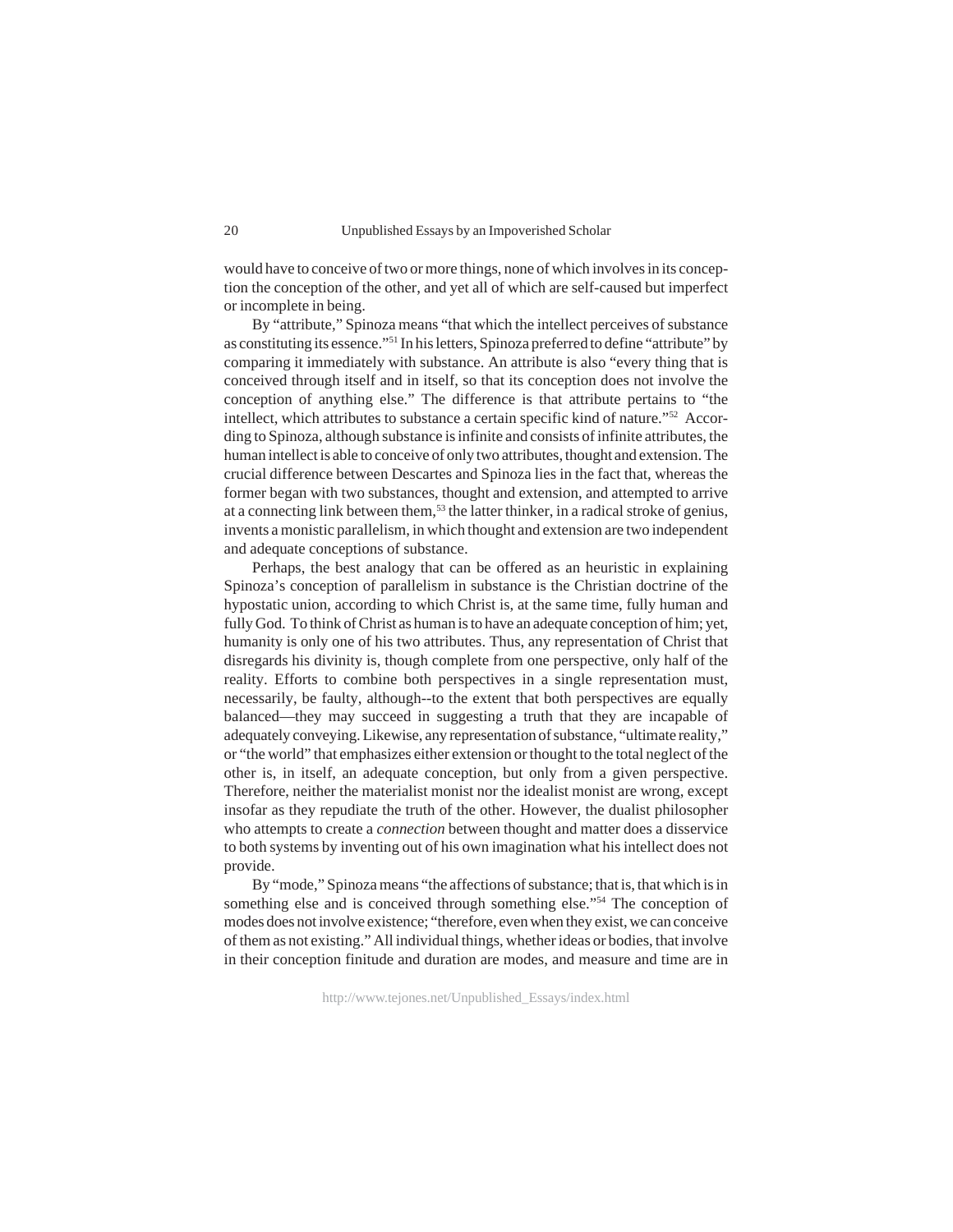would have to conceive of two or more things, none of which involves in its conception the conception of the other, and yet all of which are self-caused but imperfect or incomplete in being.

By "attribute," Spinoza means "that which the intellect perceives of substance as constituting its essence."51 In his letters, Spinoza preferred to define "attribute" by comparing it immediately with substance. An attribute is also "every thing that is conceived through itself and in itself, so that its conception does not involve the conception of anything else." The difference is that attribute pertains to "the intellect, which attributes to substance a certain specific kind of nature."52 According to Spinoza, although substance is infinite and consists of infinite attributes, the human intellect is able to conceive of only two attributes, thought and extension. The crucial difference between Descartes and Spinoza lies in the fact that, whereas the former began with two substances, thought and extension, and attempted to arrive at a connecting link between them,<sup>53</sup> the latter thinker, in a radical stroke of genius, invents a monistic parallelism, in which thought and extension are two independent and adequate conceptions of substance.

Perhaps, the best analogy that can be offered as an heuristic in explaining Spinoza's conception of parallelism in substance is the Christian doctrine of the hypostatic union, according to which Christ is, at the same time, fully human and fully God. To think of Christ as human is to have an adequate conception of him; yet, humanity is only one of his two attributes. Thus, any representation of Christ that disregards his divinity is, though complete from one perspective, only half of the reality. Efforts to combine both perspectives in a single representation must, necessarily, be faulty, although--to the extent that both perspectives are equally balanced—they may succeed in suggesting a truth that they are incapable of adequately conveying. Likewise, any representation of substance, "ultimate reality," or "the world" that emphasizes either extension or thought to the total neglect of the other is, in itself, an adequate conception, but only from a given perspective. Therefore, neither the materialist monist nor the idealist monist are wrong, except insofar as they repudiate the truth of the other. However, the dualist philosopher who attempts to create a *connection* between thought and matter does a disservice to both systems by inventing out of his own imagination what his intellect does not provide.

By "mode," Spinoza means "the affections of substance; that is, that which is in something else and is conceived through something else."<sup>54</sup> The conception of modes does not involve existence; "therefore, even when they exist, we can conceive of them as not existing." All individual things, whether ideas or bodies, that involve in their conception finitude and duration are modes, and measure and time are in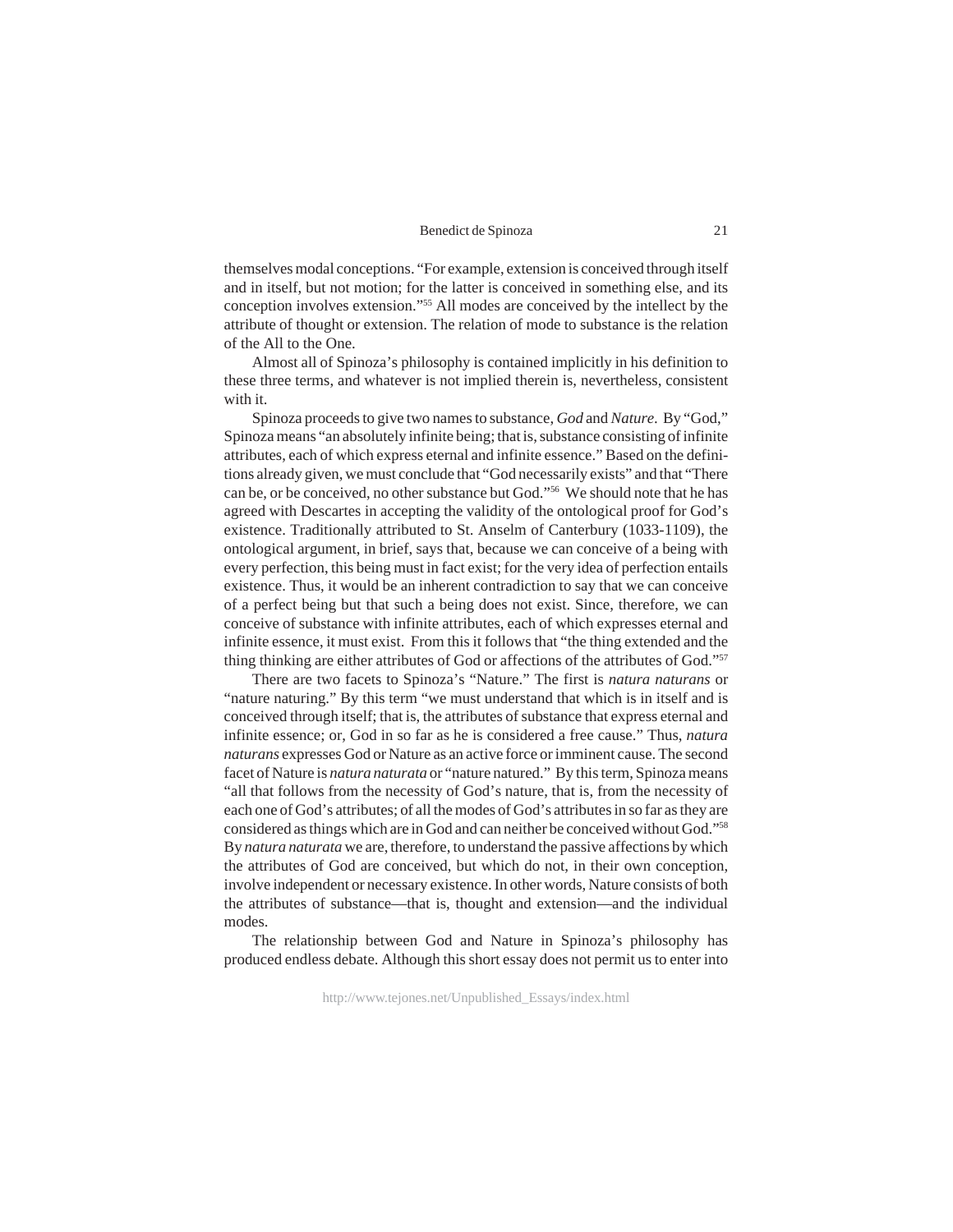themselves modal conceptions. "For example, extension is conceived through itself and in itself, but not motion; for the latter is conceived in something else, and its conception involves extension."55 All modes are conceived by the intellect by the attribute of thought or extension. The relation of mode to substance is the relation of the All to the One.

Almost all of Spinoza's philosophy is contained implicitly in his definition to these three terms, and whatever is not implied therein is, nevertheless, consistent with it.

Spinoza proceeds to give two names to substance, *God* and *Nature*. By "God," Spinoza means "an absolutely infinite being; that is, substance consisting of infinite attributes, each of which express eternal and infinite essence." Based on the definitions already given, we must conclude that "God necessarily exists" and that "There can be, or be conceived, no other substance but God."56 We should note that he has agreed with Descartes in accepting the validity of the ontological proof for God's existence. Traditionally attributed to St. Anselm of Canterbury (1033-1109), the ontological argument, in brief, says that, because we can conceive of a being with every perfection, this being must in fact exist; for the very idea of perfection entails existence. Thus, it would be an inherent contradiction to say that we can conceive of a perfect being but that such a being does not exist. Since, therefore, we can conceive of substance with infinite attributes, each of which expresses eternal and infinite essence, it must exist. From this it follows that "the thing extended and the thing thinking are either attributes of God or affections of the attributes of God."57

There are two facets to Spinoza's "Nature." The first is *natura naturans* or "nature naturing." By this term "we must understand that which is in itself and is conceived through itself; that is, the attributes of substance that express eternal and infinite essence; or, God in so far as he is considered a free cause." Thus, *natura naturans* expresses God or Nature as an active force or imminent cause. The second facet of Nature is *natura naturata* or "nature natured." By this term, Spinoza means "all that follows from the necessity of God's nature, that is, from the necessity of each one of God's attributes; of all the modes of God's attributes in so far as they are considered as things which are in God and can neither be conceived without God."58 By *natura naturata* we are, therefore, to understand the passive affections by which the attributes of God are conceived, but which do not, in their own conception, involve independent or necessary existence. In other words, Nature consists of both the attributes of substance—that is, thought and extension—and the individual modes.

The relationship between God and Nature in Spinoza's philosophy has produced endless debate. Although this short essay does not permit us to enter into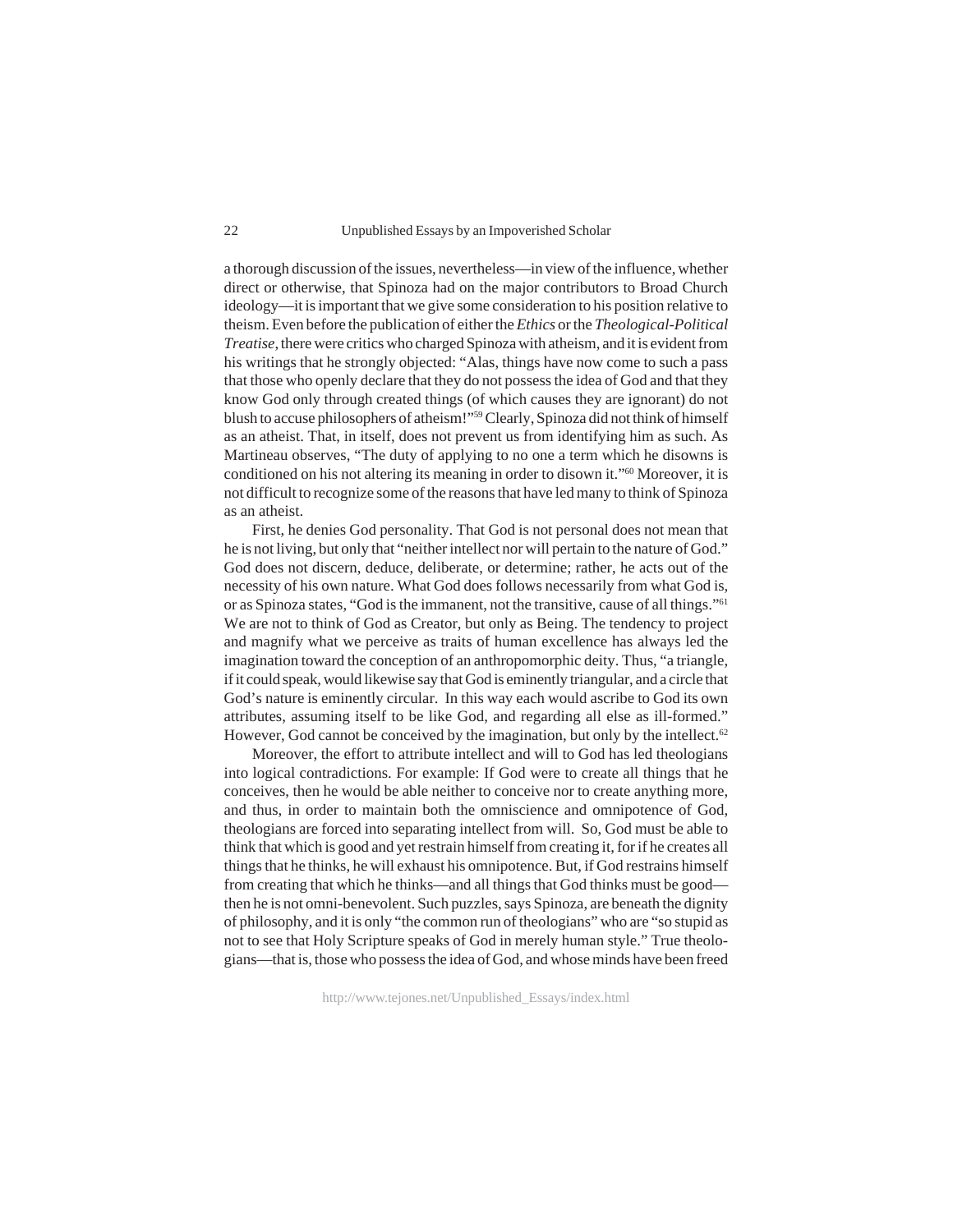a thorough discussion of the issues, nevertheless—in view of the influence, whether direct or otherwise, that Spinoza had on the major contributors to Broad Church ideology—it is important that we give some consideration to his position relative to theism. Even before the publication of either the *Ethics* or the *Theological-Political Treatise*, there were critics who charged Spinoza with atheism, and it is evident from his writings that he strongly objected: "Alas, things have now come to such a pass that those who openly declare that they do not possess the idea of God and that they know God only through created things (of which causes they are ignorant) do not blush to accuse philosophers of atheism!"59 Clearly, Spinoza did not think of himself as an atheist. That, in itself, does not prevent us from identifying him as such. As Martineau observes, "The duty of applying to no one a term which he disowns is conditioned on his not altering its meaning in order to disown it."60 Moreover, it is not difficult to recognize some of the reasons that have led many to think of Spinoza as an atheist.

First, he denies God personality. That God is not personal does not mean that he is not living, but only that "neither intellect nor will pertain to the nature of God." God does not discern, deduce, deliberate, or determine; rather, he acts out of the necessity of his own nature. What God does follows necessarily from what God is, or as Spinoza states, "God is the immanent, not the transitive, cause of all things."61 We are not to think of God as Creator, but only as Being. The tendency to project and magnify what we perceive as traits of human excellence has always led the imagination toward the conception of an anthropomorphic deity. Thus, "a triangle, if it could speak, would likewise say that God is eminently triangular, and a circle that God's nature is eminently circular. In this way each would ascribe to God its own attributes, assuming itself to be like God, and regarding all else as ill-formed." However, God cannot be conceived by the imagination, but only by the intellect.<sup>62</sup>

Moreover, the effort to attribute intellect and will to God has led theologians into logical contradictions. For example: If God were to create all things that he conceives, then he would be able neither to conceive nor to create anything more, and thus, in order to maintain both the omniscience and omnipotence of God, theologians are forced into separating intellect from will. So, God must be able to think that which is good and yet restrain himself from creating it, for if he creates all things that he thinks, he will exhaust his omnipotence. But, if God restrains himself from creating that which he thinks—and all things that God thinks must be good then he is not omni-benevolent. Such puzzles, says Spinoza, are beneath the dignity of philosophy, and it is only "the common run of theologians" who are "so stupid as not to see that Holy Scripture speaks of God in merely human style." True theologians—that is, those who possess the idea of God, and whose minds have been freed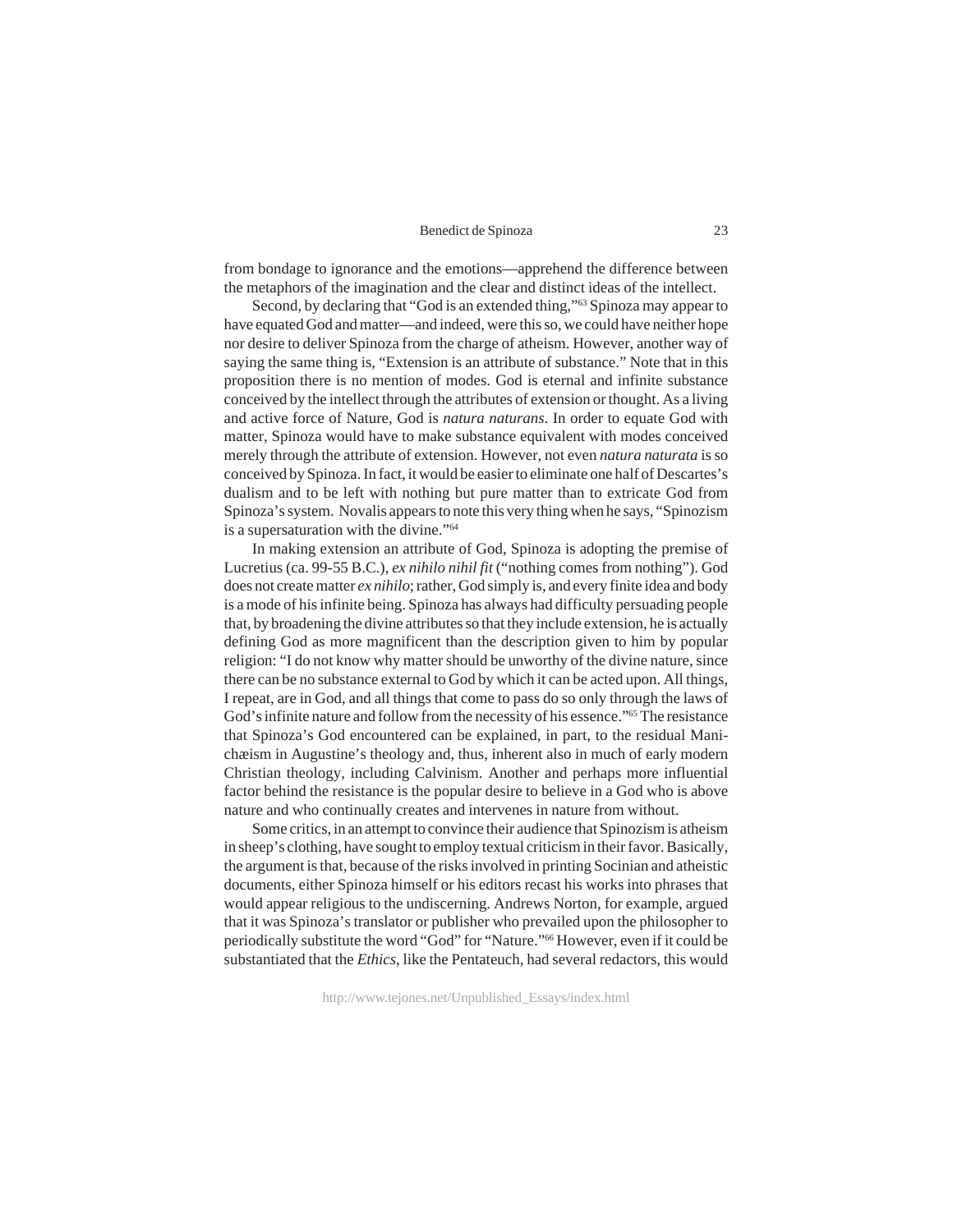from bondage to ignorance and the emotions—apprehend the difference between the metaphors of the imagination and the clear and distinct ideas of the intellect.

Second, by declaring that "God is an extended thing,"63 Spinoza may appear to have equated God and matter—and indeed, were this so, we could have neither hope nor desire to deliver Spinoza from the charge of atheism. However, another way of saying the same thing is, "Extension is an attribute of substance." Note that in this proposition there is no mention of modes. God is eternal and infinite substance conceived by the intellect through the attributes of extension or thought. As a living and active force of Nature, God is *natura naturans*. In order to equate God with matter, Spinoza would have to make substance equivalent with modes conceived merely through the attribute of extension. However, not even *natura naturata* is so conceived by Spinoza. In fact, it would be easier to eliminate one half of Descartes's dualism and to be left with nothing but pure matter than to extricate God from Spinoza's system. Novalis appears to note this very thing when he says, "Spinozism is a supersaturation with the divine."64

In making extension an attribute of God, Spinoza is adopting the premise of Lucretius (ca. 99-55 B.C.), *ex nihilo nihil fit* ("nothing comes from nothing"). God does not create matter *ex nihilo*; rather, God simply is, and every finite idea and body is a mode of his infinite being. Spinoza has always had difficulty persuading people that, by broadening the divine attributes so that they include extension, he is actually defining God as more magnificent than the description given to him by popular religion: "I do not know why matter should be unworthy of the divine nature, since there can be no substance external to God by which it can be acted upon. All things, I repeat, are in God, and all things that come to pass do so only through the laws of God's infinite nature and follow from the necessity of his essence."65 The resistance that Spinoza's God encountered can be explained, in part, to the residual Manichæism in Augustine's theology and, thus, inherent also in much of early modern Christian theology, including Calvinism. Another and perhaps more influential factor behind the resistance is the popular desire to believe in a God who is above nature and who continually creates and intervenes in nature from without.

Some critics, in an attempt to convince their audience that Spinozism is atheism in sheep's clothing, have sought to employ textual criticism in their favor. Basically, the argument is that, because of the risks involved in printing Socinian and atheistic documents, either Spinoza himself or his editors recast his works into phrases that would appear religious to the undiscerning. Andrews Norton, for example, argued that it was Spinoza's translator or publisher who prevailed upon the philosopher to periodically substitute the word "God" for "Nature."66 However, even if it could be substantiated that the *Ethics*, like the Pentateuch, had several redactors, this would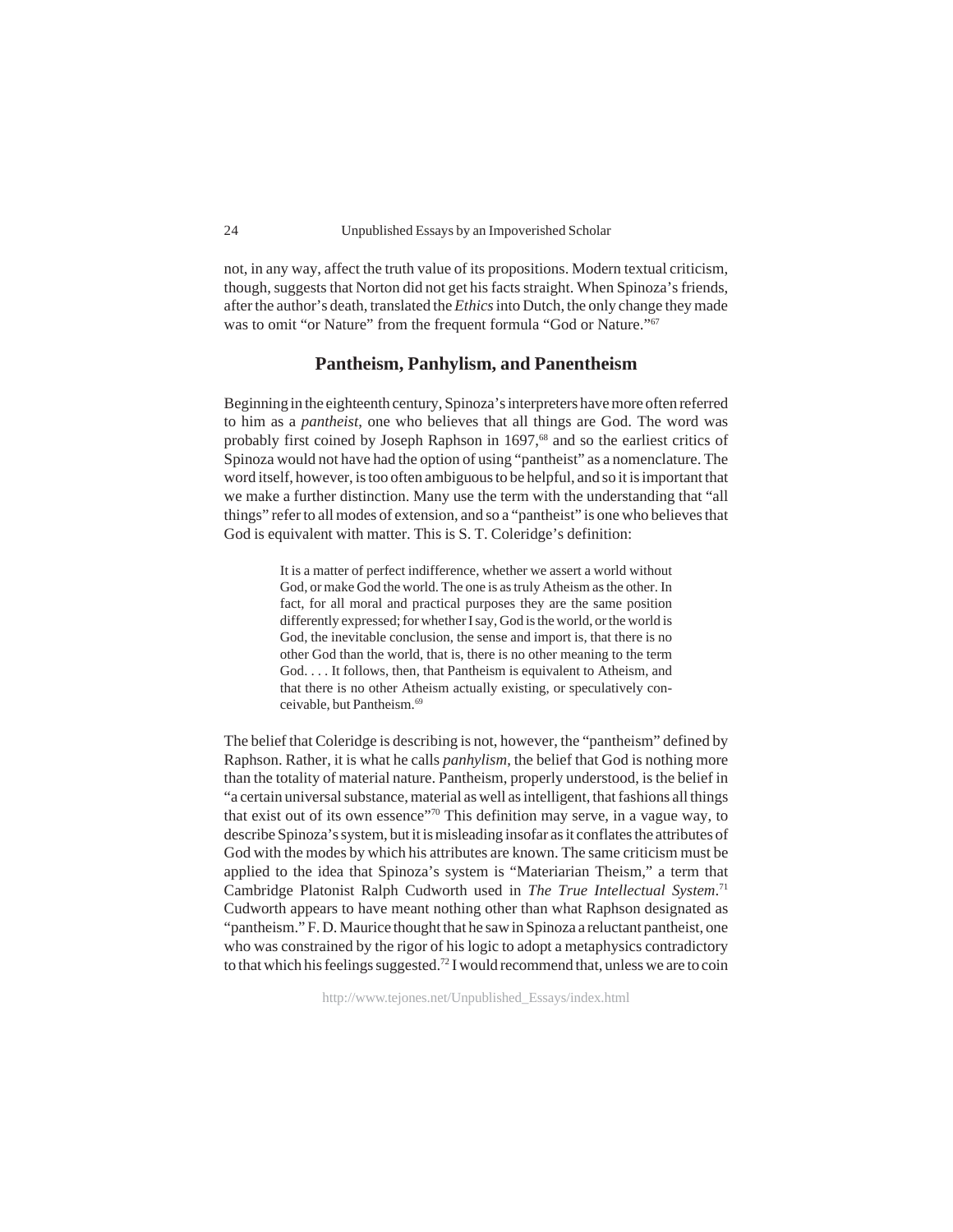not, in any way, affect the truth value of its propositions. Modern textual criticism, though, suggests that Norton did not get his facts straight. When Spinoza's friends, after the author's death, translated the *Ethics* into Dutch, the only change they made was to omit "or Nature" from the frequent formula "God or Nature."<sup>67</sup>

## **Pantheism, Panhylism, and Panentheism**

Beginning in the eighteenth century, Spinoza's interpreters have more often referred to him as a *pantheist*, one who believes that all things are God. The word was probably first coined by Joseph Raphson in 1697,<sup>68</sup> and so the earliest critics of Spinoza would not have had the option of using "pantheist" as a nomenclature. The word itself, however, is too often ambiguous to be helpful, and so it is important that we make a further distinction. Many use the term with the understanding that "all things" refer to all modes of extension, and so a "pantheist" is one who believes that God is equivalent with matter. This is S. T. Coleridge's definition:

> It is a matter of perfect indifference, whether we assert a world without God, or make God the world. The one is as truly Atheism as the other. In fact, for all moral and practical purposes they are the same position differently expressed; for whether I say, God is the world, or the world is God, the inevitable conclusion, the sense and import is, that there is no other God than the world, that is, there is no other meaning to the term God. . . . It follows, then, that Pantheism is equivalent to Atheism, and that there is no other Atheism actually existing, or speculatively conceivable, but Pantheism.69

The belief that Coleridge is describing is not, however, the "pantheism" defined by Raphson. Rather, it is what he calls *panhylism*, the belief that God is nothing more than the totality of material nature. Pantheism, properly understood, is the belief in "a certain universal substance, material as well as intelligent, that fashions all things that exist out of its own essence"70 This definition may serve, in a vague way, to describe Spinoza's system, but it is misleading insofar as it conflates the attributes of God with the modes by which his attributes are known. The same criticism must be applied to the idea that Spinoza's system is "Materiarian Theism," a term that Cambridge Platonist Ralph Cudworth used in *The True Intellectual System*. 71 Cudworth appears to have meant nothing other than what Raphson designated as "pantheism." F. D. Maurice thought that he saw in Spinoza a reluctant pantheist, one who was constrained by the rigor of his logic to adopt a metaphysics contradictory to that which his feelings suggested.<sup>72</sup> I would recommend that, unless we are to coin

http://www.tejones.net/Unpublished\_Essays/index.html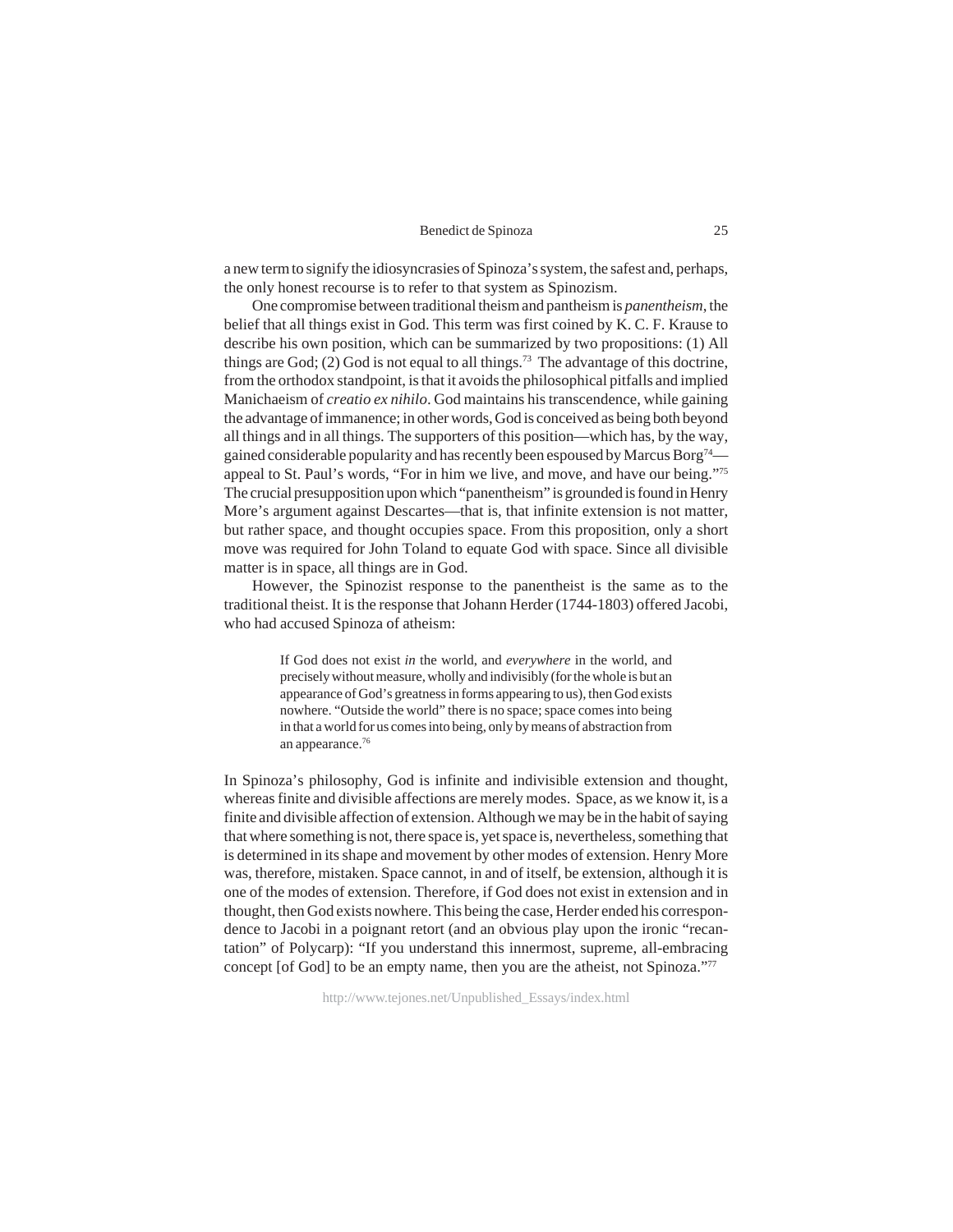a new term to signify the idiosyncrasies of Spinoza's system, the safest and, perhaps, the only honest recourse is to refer to that system as Spinozism.

One compromise between traditional theism and pantheism is *panentheism*, the belief that all things exist in God. This term was first coined by K. C. F. Krause to describe his own position, which can be summarized by two propositions: (1) All things are God;  $(2)$  God is not equal to all things.<sup>73</sup> The advantage of this doctrine, from the orthodox standpoint, is that it avoids the philosophical pitfalls and implied Manichaeism of *creatio ex nihilo*. God maintains his transcendence, while gaining the advantage of immanence; in other words, God is conceived as being both beyond all things and in all things. The supporters of this position—which has, by the way, gained considerable popularity and has recently been espoused by Marcus Borg<sup>74</sup> appeal to St. Paul's words, "For in him we live, and move, and have our being."75 The crucial presupposition upon which "panentheism" is grounded is found in Henry More's argument against Descartes—that is, that infinite extension is not matter, but rather space, and thought occupies space. From this proposition, only a short move was required for John Toland to equate God with space. Since all divisible matter is in space, all things are in God.

However, the Spinozist response to the panentheist is the same as to the traditional theist. It is the response that Johann Herder (1744-1803) offered Jacobi, who had accused Spinoza of atheism:

> If God does not exist *in* the world, and *everywhere* in the world, and precisely without measure, wholly and indivisibly (for the whole is but an appearance of God's greatness in forms appearing to us), then God exists nowhere. "Outside the world" there is no space; space comes into being in that a world for us comes into being, only by means of abstraction from an appearance.76

In Spinoza's philosophy, God is infinite and indivisible extension and thought, whereas finite and divisible affections are merely modes. Space, as we know it, is a finite and divisible affection of extension. Although we may be in the habit of saying that where something is not, there space is, yet space is, nevertheless, something that is determined in its shape and movement by other modes of extension. Henry More was, therefore, mistaken. Space cannot, in and of itself, be extension, although it is one of the modes of extension. Therefore, if God does not exist in extension and in thought, then God exists nowhere. This being the case, Herder ended his correspondence to Jacobi in a poignant retort (and an obvious play upon the ironic "recantation" of Polycarp): "If you understand this innermost, supreme, all-embracing concept [of God] to be an empty name, then you are the atheist, not Spinoza."77

http://www.tejones.net/Unpublished\_Essays/index.html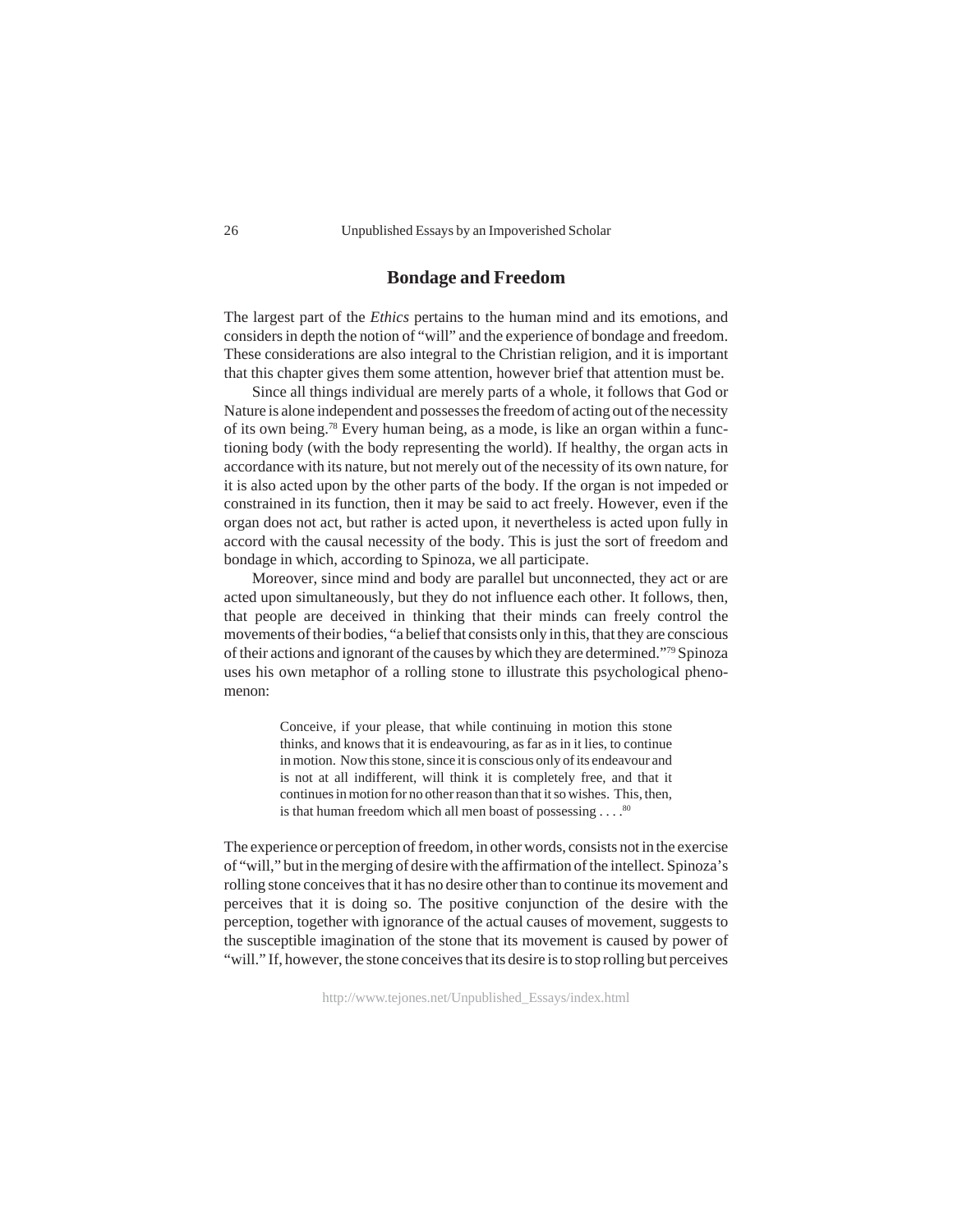## **Bondage and Freedom**

The largest part of the *Ethics* pertains to the human mind and its emotions, and considers in depth the notion of "will" and the experience of bondage and freedom. These considerations are also integral to the Christian religion, and it is important that this chapter gives them some attention, however brief that attention must be.

Since all things individual are merely parts of a whole, it follows that God or Nature is alone independent and possesses the freedom of acting out of the necessity of its own being.78 Every human being, as a mode, is like an organ within a functioning body (with the body representing the world). If healthy, the organ acts in accordance with its nature, but not merely out of the necessity of its own nature, for it is also acted upon by the other parts of the body. If the organ is not impeded or constrained in its function, then it may be said to act freely. However, even if the organ does not act, but rather is acted upon, it nevertheless is acted upon fully in accord with the causal necessity of the body. This is just the sort of freedom and bondage in which, according to Spinoza, we all participate.

Moreover, since mind and body are parallel but unconnected, they act or are acted upon simultaneously, but they do not influence each other. It follows, then, that people are deceived in thinking that their minds can freely control the movements of their bodies, "a belief that consists only in this, that they are conscious of their actions and ignorant of the causes by which they are determined."79 Spinoza uses his own metaphor of a rolling stone to illustrate this psychological phenomenon:

> Conceive, if your please, that while continuing in motion this stone thinks, and knows that it is endeavouring, as far as in it lies, to continue in motion. Now this stone, since it is conscious only of its endeavour and is not at all indifferent, will think it is completely free, and that it continues in motion for no other reason than that it so wishes. This, then, is that human freedom which all men boast of possessing  $\ldots$ .<sup>80</sup>

The experience or perception of freedom, in other words, consists not in the exercise of "will," but in the merging of desire with the affirmation of the intellect. Spinoza's rolling stone conceives that it has no desire other than to continue its movement and perceives that it is doing so. The positive conjunction of the desire with the perception, together with ignorance of the actual causes of movement, suggests to the susceptible imagination of the stone that its movement is caused by power of "will." If, however, the stone conceives that its desire is to stop rolling but perceives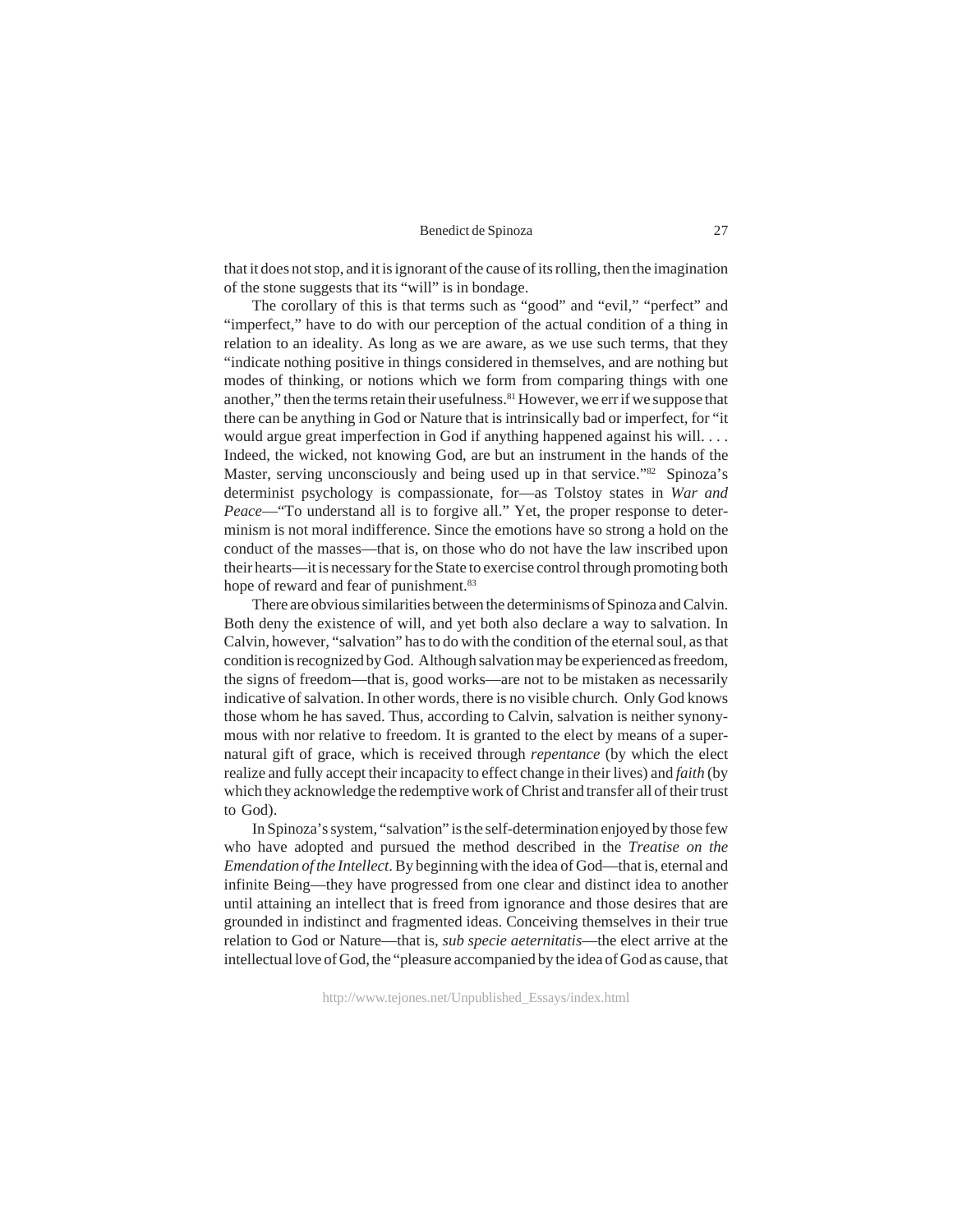that it does not stop, and it is ignorant of the cause of its rolling, then the imagination of the stone suggests that its "will" is in bondage.

The corollary of this is that terms such as "good" and "evil," "perfect" and "imperfect," have to do with our perception of the actual condition of a thing in relation to an ideality. As long as we are aware, as we use such terms, that they "indicate nothing positive in things considered in themselves, and are nothing but modes of thinking, or notions which we form from comparing things with one another," then the terms retain their usefulness.81 However, we err if we suppose that there can be anything in God or Nature that is intrinsically bad or imperfect, for "it would argue great imperfection in God if anything happened against his will. . . . Indeed, the wicked, not knowing God, are but an instrument in the hands of the Master, serving unconsciously and being used up in that service."<sup>82</sup> Spinoza's determinist psychology is compassionate, for—as Tolstoy states in *War and Peace*—"To understand all is to forgive all." Yet, the proper response to determinism is not moral indifference. Since the emotions have so strong a hold on the conduct of the masses—that is, on those who do not have the law inscribed upon their hearts—it is necessary for the State to exercise control through promoting both hope of reward and fear of punishment.<sup>83</sup>

There are obvious similarities between the determinisms of Spinoza and Calvin. Both deny the existence of will, and yet both also declare a way to salvation. In Calvin, however, "salvation" has to do with the condition of the eternal soul, as that condition is recognized by God. Although salvation may be experienced as freedom, the signs of freedom—that is, good works—are not to be mistaken as necessarily indicative of salvation. In other words, there is no visible church. Only God knows those whom he has saved. Thus, according to Calvin, salvation is neither synonymous with nor relative to freedom. It is granted to the elect by means of a supernatural gift of grace, which is received through *repentance* (by which the elect realize and fully accept their incapacity to effect change in their lives) and *faith* (by which they acknowledge the redemptive work of Christ and transfer all of their trust to God).

In Spinoza's system, "salvation" is the self-determination enjoyed by those few who have adopted and pursued the method described in the *Treatise on the Emendation of the Intellect*. By beginning with the idea of God—that is, eternal and infinite Being—they have progressed from one clear and distinct idea to another until attaining an intellect that is freed from ignorance and those desires that are grounded in indistinct and fragmented ideas. Conceiving themselves in their true relation to God or Nature—that is, *sub specie aeternitatis*—the elect arrive at the intellectual love of God, the "pleasure accompanied by the idea of God as cause, that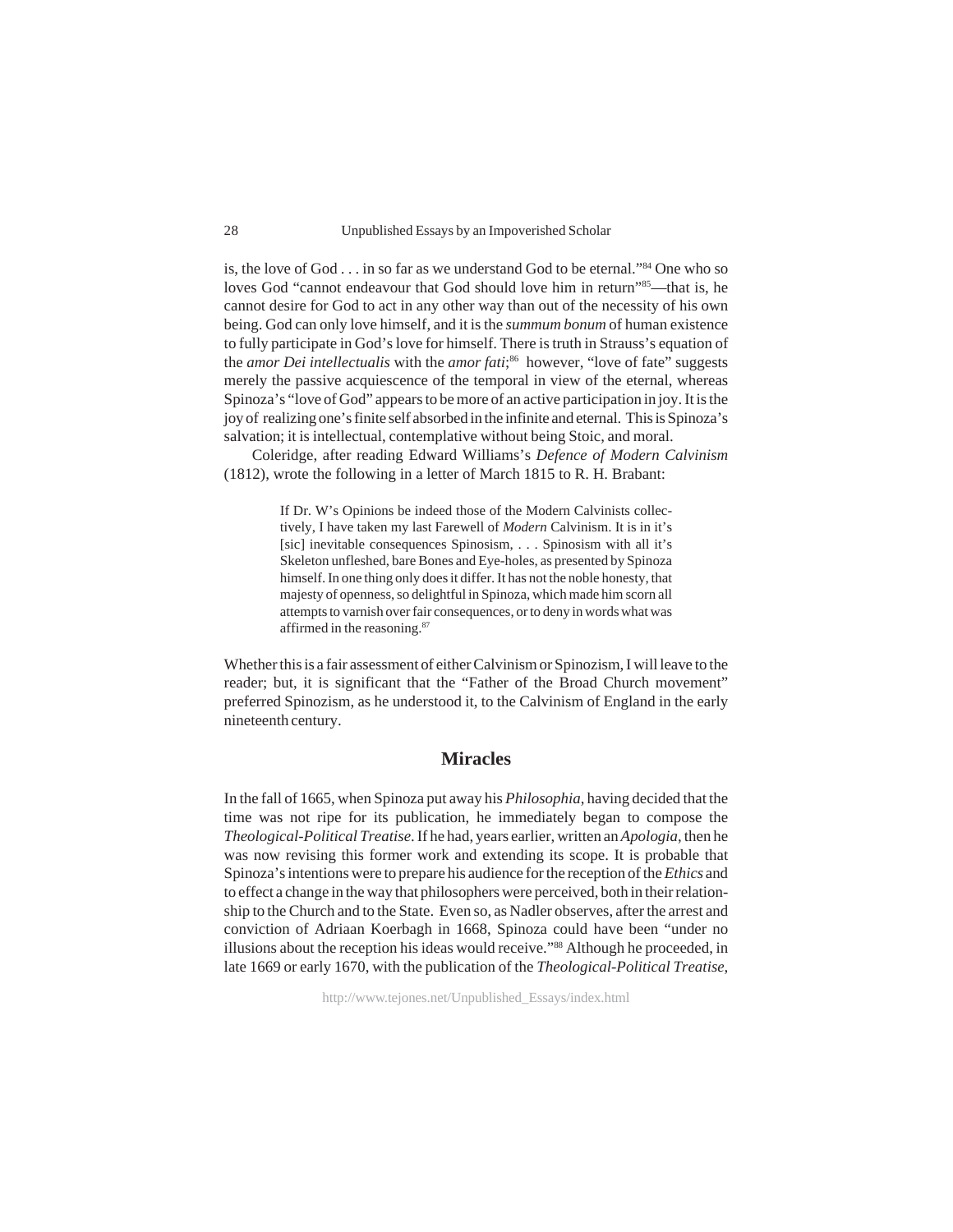is, the love of God . . . in so far as we understand God to be eternal."84 One who so loves God "cannot endeavour that God should love him in return"85—that is, he cannot desire for God to act in any other way than out of the necessity of his own being. God can only love himself, and it is the *summum bonum* of human existence to fully participate in God's love for himself. There is truth in Strauss's equation of the *amor Dei intellectualis* with the *amor fati*; 86 however, "love of fate" suggests merely the passive acquiescence of the temporal in view of the eternal, whereas Spinoza's "love of God" appears to be more of an active participation in joy. It is the joy of realizing one's finite self absorbed in the infinite and eternal. This is Spinoza's salvation; it is intellectual, contemplative without being Stoic, and moral.

Coleridge, after reading Edward Williams's *Defence of Modern Calvinism* (1812), wrote the following in a letter of March 1815 to R. H. Brabant:

> If Dr. W's Opinions be indeed those of the Modern Calvinists collectively, I have taken my last Farewell of *Modern* Calvinism. It is in it's [sic] inevitable consequences Spinosism, . . . Spinosism with all it's Skeleton unfleshed, bare Bones and Eye-holes, as presented by Spinoza himself. In one thing only does it differ. It has not the noble honesty, that majesty of openness, so delightful in Spinoza, which made him scorn all attempts to varnish over fair consequences, or to deny in words what was affirmed in the reasoning.87

Whether this is a fair assessment of either Calvinism or Spinozism, I will leave to the reader; but, it is significant that the "Father of the Broad Church movement" preferred Spinozism, as he understood it, to the Calvinism of England in the early nineteenth century.

### **Miracles**

In the fall of 1665, when Spinoza put away his *Philosophia*, having decided that the time was not ripe for its publication, he immediately began to compose the *Theological-Political Treatise*. If he had, years earlier, written an *Apologia*, then he was now revising this former work and extending its scope. It is probable that Spinoza's intentions were to prepare his audience for the reception of the *Ethics* and to effect a change in the way that philosophers were perceived, both in their relationship to the Church and to the State. Even so, as Nadler observes, after the arrest and conviction of Adriaan Koerbagh in 1668, Spinoza could have been "under no illusions about the reception his ideas would receive."88 Although he proceeded, in late 1669 or early 1670, with the publication of the *Theological-Political Treatise*,

http://www.tejones.net/Unpublished\_Essays/index.html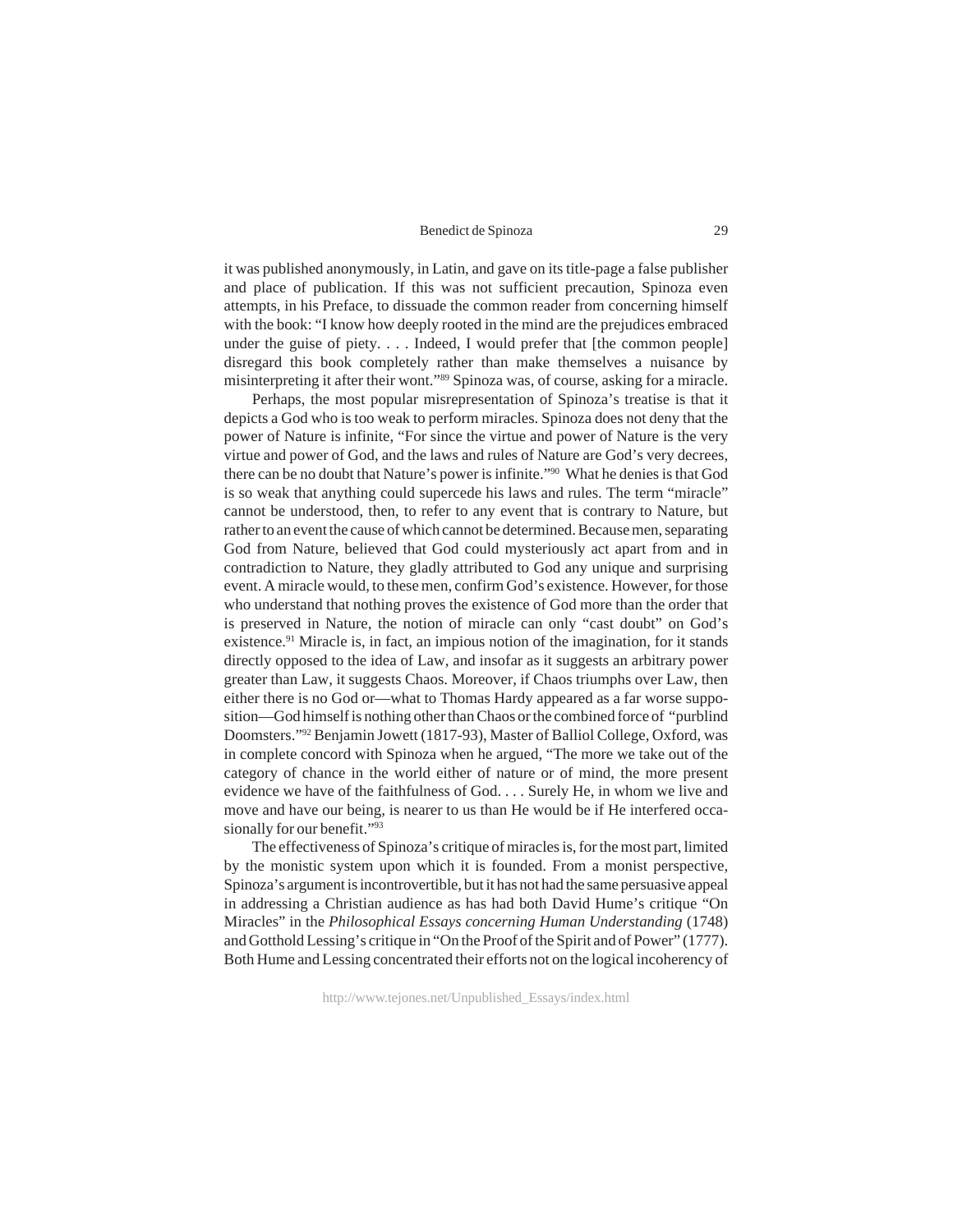it was published anonymously, in Latin, and gave on its title-page a false publisher and place of publication. If this was not sufficient precaution, Spinoza even attempts, in his Preface, to dissuade the common reader from concerning himself with the book: "I know how deeply rooted in the mind are the prejudices embraced under the guise of piety. . . . Indeed, I would prefer that [the common people] disregard this book completely rather than make themselves a nuisance by misinterpreting it after their wont."89 Spinoza was, of course, asking for a miracle.

Perhaps, the most popular misrepresentation of Spinoza's treatise is that it depicts a God who is too weak to perform miracles. Spinoza does not deny that the power of Nature is infinite, "For since the virtue and power of Nature is the very virtue and power of God, and the laws and rules of Nature are God's very decrees, there can be no doubt that Nature's power is infinite."90 What he denies is that God is so weak that anything could supercede his laws and rules. The term "miracle" cannot be understood, then, to refer to any event that is contrary to Nature, but rather to an event the cause of which cannot be determined. Because men, separating God from Nature, believed that God could mysteriously act apart from and in contradiction to Nature, they gladly attributed to God any unique and surprising event. A miracle would, to these men, confirm God's existence. However, for those who understand that nothing proves the existence of God more than the order that is preserved in Nature, the notion of miracle can only "cast doubt" on God's existence.<sup>91</sup> Miracle is, in fact, an impious notion of the imagination, for it stands directly opposed to the idea of Law, and insofar as it suggests an arbitrary power greater than Law, it suggests Chaos. Moreover, if Chaos triumphs over Law, then either there is no God or—what to Thomas Hardy appeared as a far worse supposition—God himself is nothing other than Chaos or the combined force of "purblind Doomsters."92 Benjamin Jowett (1817-93), Master of Balliol College, Oxford, was in complete concord with Spinoza when he argued, "The more we take out of the category of chance in the world either of nature or of mind, the more present evidence we have of the faithfulness of God. . . . Surely He, in whom we live and move and have our being, is nearer to us than He would be if He interfered occasionally for our benefit."<sup>93</sup>

The effectiveness of Spinoza's critique of miracles is, for the most part, limited by the monistic system upon which it is founded. From a monist perspective, Spinoza's argument is incontrovertible, but it has not had the same persuasive appeal in addressing a Christian audience as has had both David Hume's critique "On Miracles" in the *Philosophical Essays concerning Human Understanding* (1748) and Gotthold Lessing's critique in "On the Proof of the Spirit and of Power" (1777). Both Hume and Lessing concentrated their efforts not on the logical incoherency of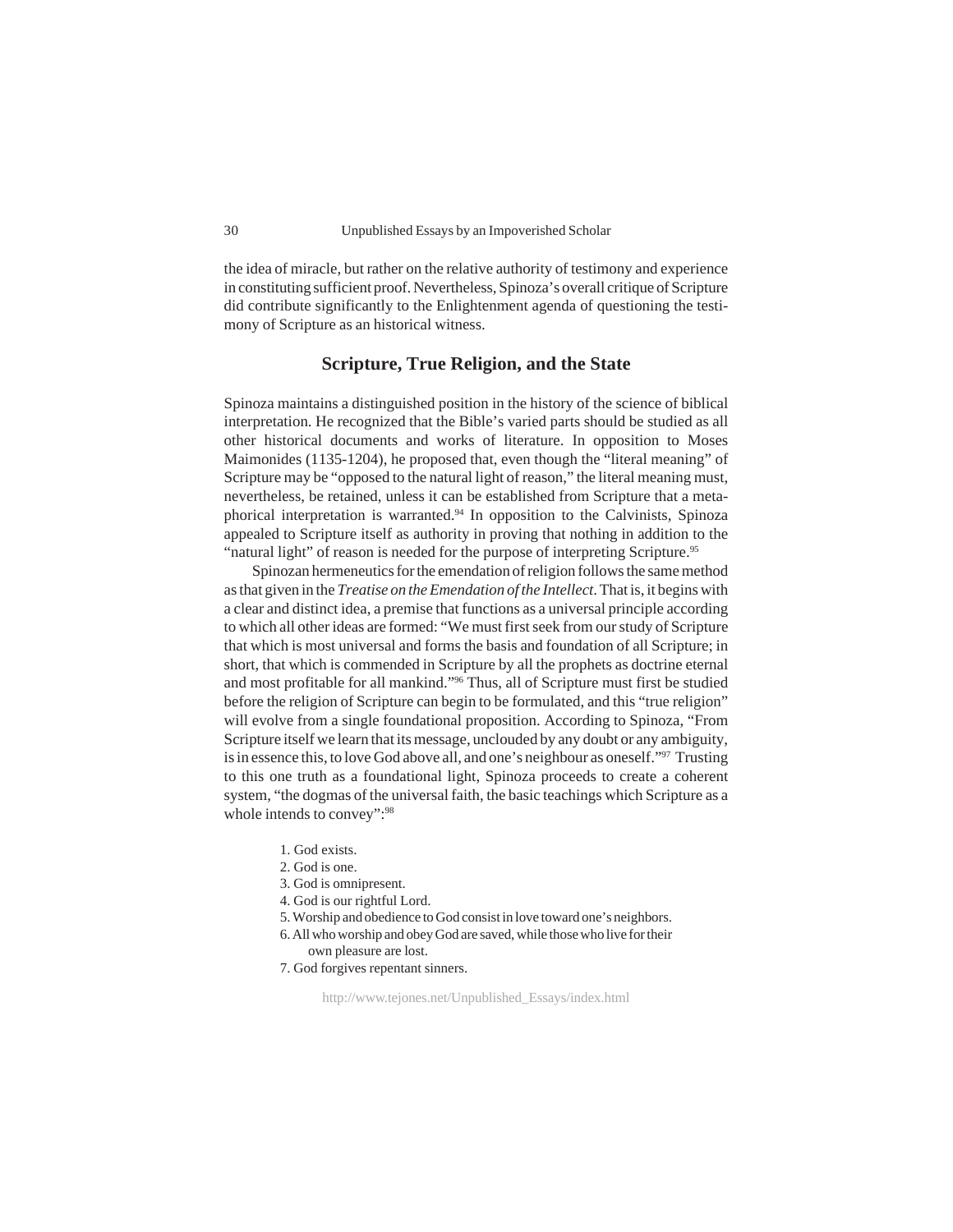the idea of miracle, but rather on the relative authority of testimony and experience in constituting sufficient proof. Nevertheless, Spinoza's overall critique of Scripture did contribute significantly to the Enlightenment agenda of questioning the testimony of Scripture as an historical witness.

## **Scripture, True Religion, and the State**

Spinoza maintains a distinguished position in the history of the science of biblical interpretation. He recognized that the Bible's varied parts should be studied as all other historical documents and works of literature. In opposition to Moses Maimonides (1135-1204), he proposed that, even though the "literal meaning" of Scripture may be "opposed to the natural light of reason," the literal meaning must, nevertheless, be retained, unless it can be established from Scripture that a metaphorical interpretation is warranted.94 In opposition to the Calvinists, Spinoza appealed to Scripture itself as authority in proving that nothing in addition to the "natural light" of reason is needed for the purpose of interpreting Scripture.<sup>95</sup>

Spinozan hermeneutics for the emendation of religion follows the same method as that given in the *Treatise on the Emendation of the Intellect*. That is, it begins with a clear and distinct idea, a premise that functions as a universal principle according to which all other ideas are formed: "We must first seek from our study of Scripture that which is most universal and forms the basis and foundation of all Scripture; in short, that which is commended in Scripture by all the prophets as doctrine eternal and most profitable for all mankind."96 Thus, all of Scripture must first be studied before the religion of Scripture can begin to be formulated, and this "true religion" will evolve from a single foundational proposition. According to Spinoza, "From Scripture itself we learn that its message, unclouded by any doubt or any ambiguity, is in essence this, to love God above all, and one's neighbour as oneself."97 Trusting to this one truth as a foundational light, Spinoza proceeds to create a coherent system, "the dogmas of the universal faith, the basic teachings which Scripture as a whole intends to convey":<sup>98</sup>

- 1. God exists.
- 2. God is one.
- 3. God is omnipresent.
- 4. God is our rightful Lord.
- 5. Worship and obedience to God consist in love toward one's neighbors.
- 6. All who worship and obey God are saved, while those who live for their own pleasure are lost.
- 7. God forgives repentant sinners.

http://www.tejones.net/Unpublished\_Essays/index.html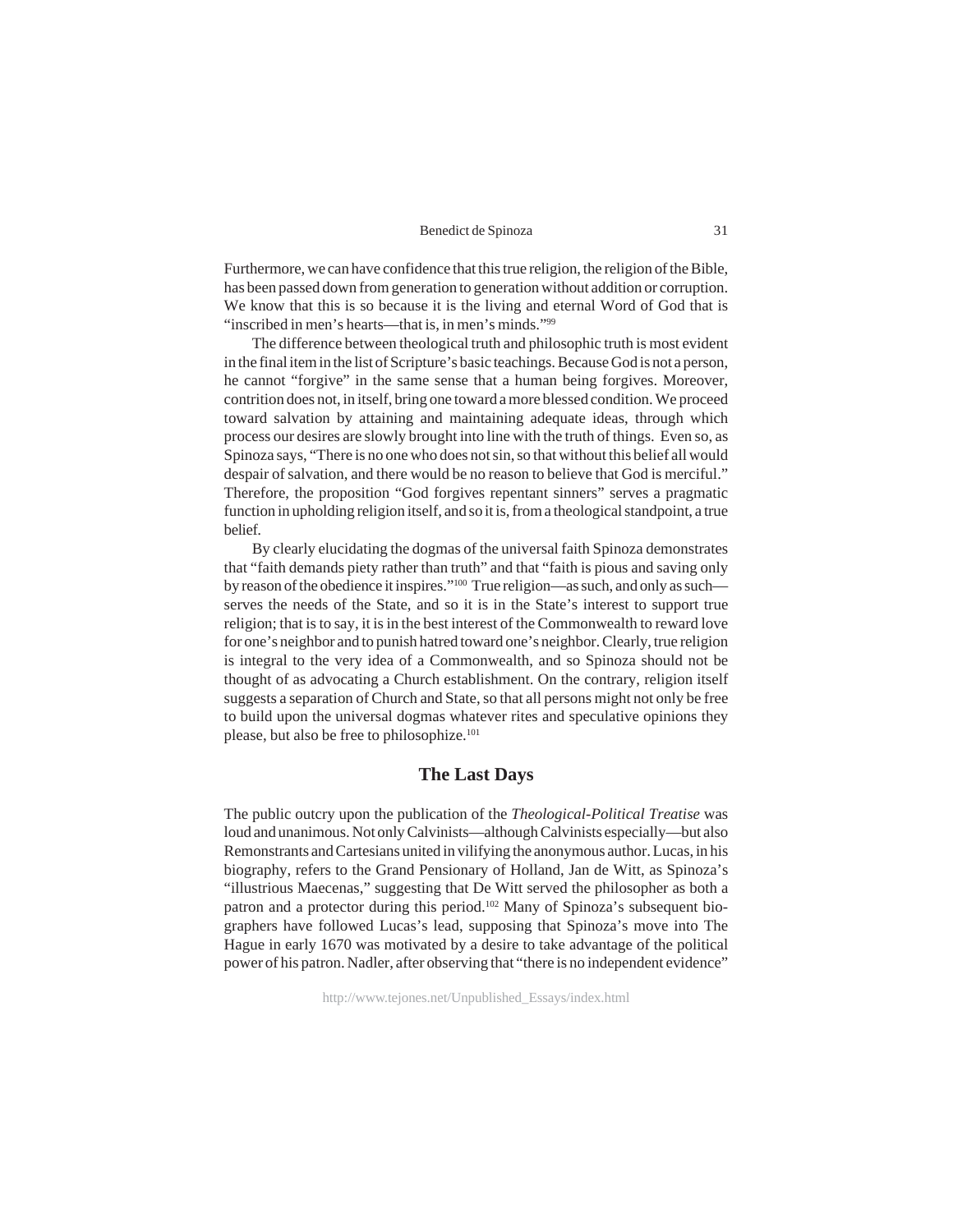Furthermore, we can have confidence that this true religion, the religion of the Bible, has been passed down from generation to generation without addition or corruption. We know that this is so because it is the living and eternal Word of God that is "inscribed in men's hearts—that is, in men's minds."99

The difference between theological truth and philosophic truth is most evident in the final item in the list of Scripture's basic teachings. Because God is not a person, he cannot "forgive" in the same sense that a human being forgives. Moreover, contrition does not, in itself, bring one toward a more blessed condition. We proceed toward salvation by attaining and maintaining adequate ideas, through which process our desires are slowly brought into line with the truth of things. Even so, as Spinoza says, "There is no one who does not sin, so that without this belief all would despair of salvation, and there would be no reason to believe that God is merciful." Therefore, the proposition "God forgives repentant sinners" serves a pragmatic function in upholding religion itself, and so it is, from a theological standpoint, a true belief.

By clearly elucidating the dogmas of the universal faith Spinoza demonstrates that "faith demands piety rather than truth" and that "faith is pious and saving only by reason of the obedience it inspires."100 True religion—as such, and only as such serves the needs of the State, and so it is in the State's interest to support true religion; that is to say, it is in the best interest of the Commonwealth to reward love for one's neighbor and to punish hatred toward one's neighbor. Clearly, true religion is integral to the very idea of a Commonwealth, and so Spinoza should not be thought of as advocating a Church establishment. On the contrary, religion itself suggests a separation of Church and State, so that all persons might not only be free to build upon the universal dogmas whatever rites and speculative opinions they please, but also be free to philosophize.<sup>101</sup>

## **The Last Days**

The public outcry upon the publication of the *Theological-Political Treatise* was loud and unanimous. Not only Calvinists—although Calvinists especially—but also Remonstrants and Cartesians united in vilifying the anonymous author. Lucas, in his biography, refers to the Grand Pensionary of Holland, Jan de Witt, as Spinoza's "illustrious Maecenas," suggesting that De Witt served the philosopher as both a patron and a protector during this period.<sup>102</sup> Many of Spinoza's subsequent biographers have followed Lucas's lead, supposing that Spinoza's move into The Hague in early 1670 was motivated by a desire to take advantage of the political power of his patron. Nadler, after observing that "there is no independent evidence"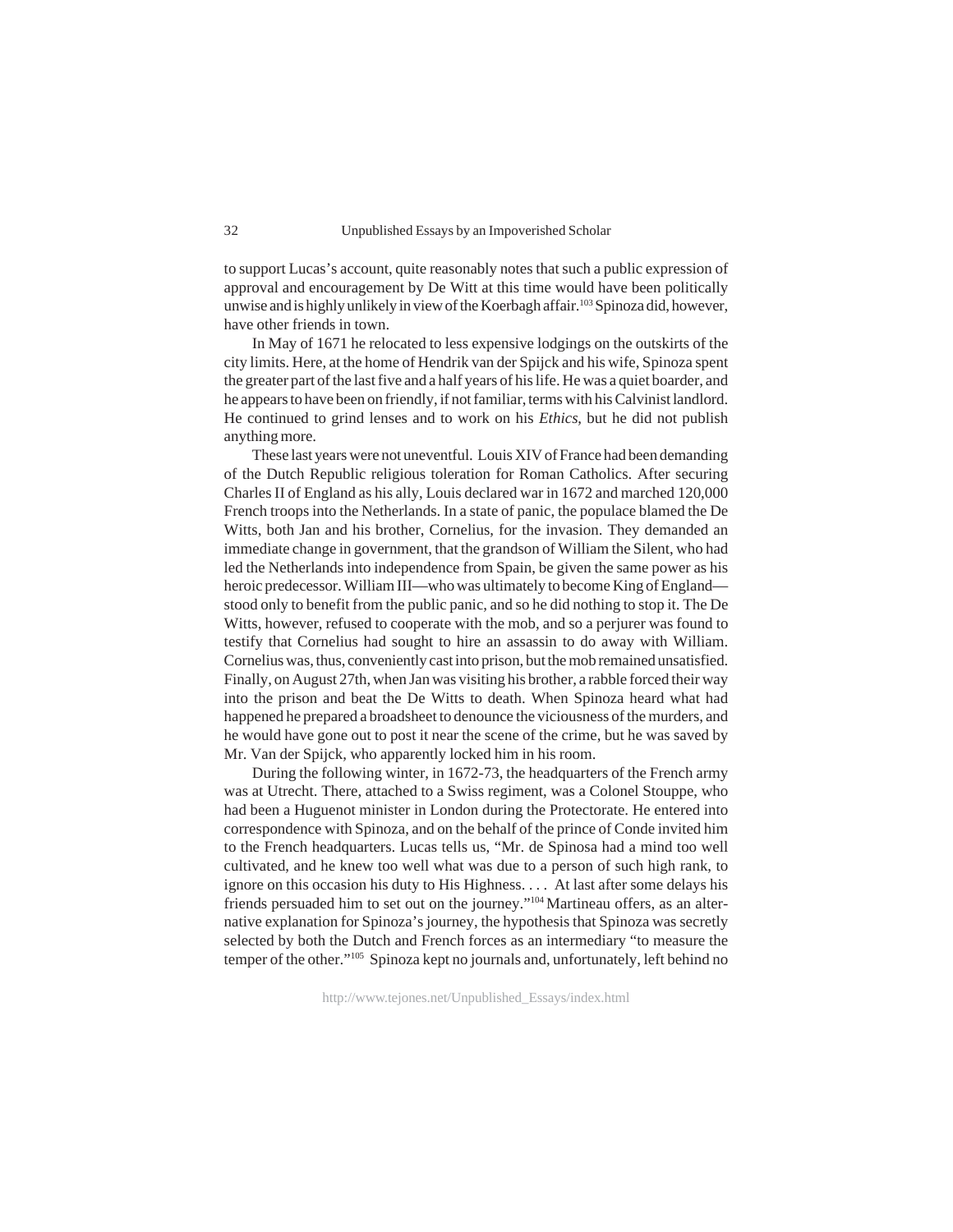to support Lucas's account, quite reasonably notes that such a public expression of approval and encouragement by De Witt at this time would have been politically unwise and is highly unlikely in view of the Koerbagh affair.<sup>103</sup> Spinoza did, however, have other friends in town.

In May of 1671 he relocated to less expensive lodgings on the outskirts of the city limits. Here, at the home of Hendrik van der Spijck and his wife, Spinoza spent the greater part of the last five and a half years of his life. He was a quiet boarder, and he appears to have been on friendly, if not familiar, terms with his Calvinist landlord. He continued to grind lenses and to work on his *Ethics*, but he did not publish anything more.

These last years were not uneventful. Louis XIV of France had been demanding of the Dutch Republic religious toleration for Roman Catholics. After securing Charles II of England as his ally, Louis declared war in 1672 and marched 120,000 French troops into the Netherlands. In a state of panic, the populace blamed the De Witts, both Jan and his brother, Cornelius, for the invasion. They demanded an immediate change in government, that the grandson of William the Silent, who had led the Netherlands into independence from Spain, be given the same power as his heroic predecessor. William III—who was ultimately to become King of England stood only to benefit from the public panic, and so he did nothing to stop it. The De Witts, however, refused to cooperate with the mob, and so a perjurer was found to testify that Cornelius had sought to hire an assassin to do away with William. Cornelius was, thus, conveniently cast into prison, but the mob remained unsatisfied. Finally, on August 27th, when Jan was visiting his brother, a rabble forced their way into the prison and beat the De Witts to death. When Spinoza heard what had happened he prepared a broadsheet to denounce the viciousness of the murders, and he would have gone out to post it near the scene of the crime, but he was saved by Mr. Van der Spijck, who apparently locked him in his room.

During the following winter, in 1672-73, the headquarters of the French army was at Utrecht. There, attached to a Swiss regiment, was a Colonel Stouppe, who had been a Huguenot minister in London during the Protectorate. He entered into correspondence with Spinoza, and on the behalf of the prince of Conde invited him to the French headquarters. Lucas tells us, "Mr. de Spinosa had a mind too well cultivated, and he knew too well what was due to a person of such high rank, to ignore on this occasion his duty to His Highness. . . . At last after some delays his friends persuaded him to set out on the journey."104 Martineau offers, as an alternative explanation for Spinoza's journey, the hypothesis that Spinoza was secretly selected by both the Dutch and French forces as an intermediary "to measure the temper of the other."105 Spinoza kept no journals and, unfortunately, left behind no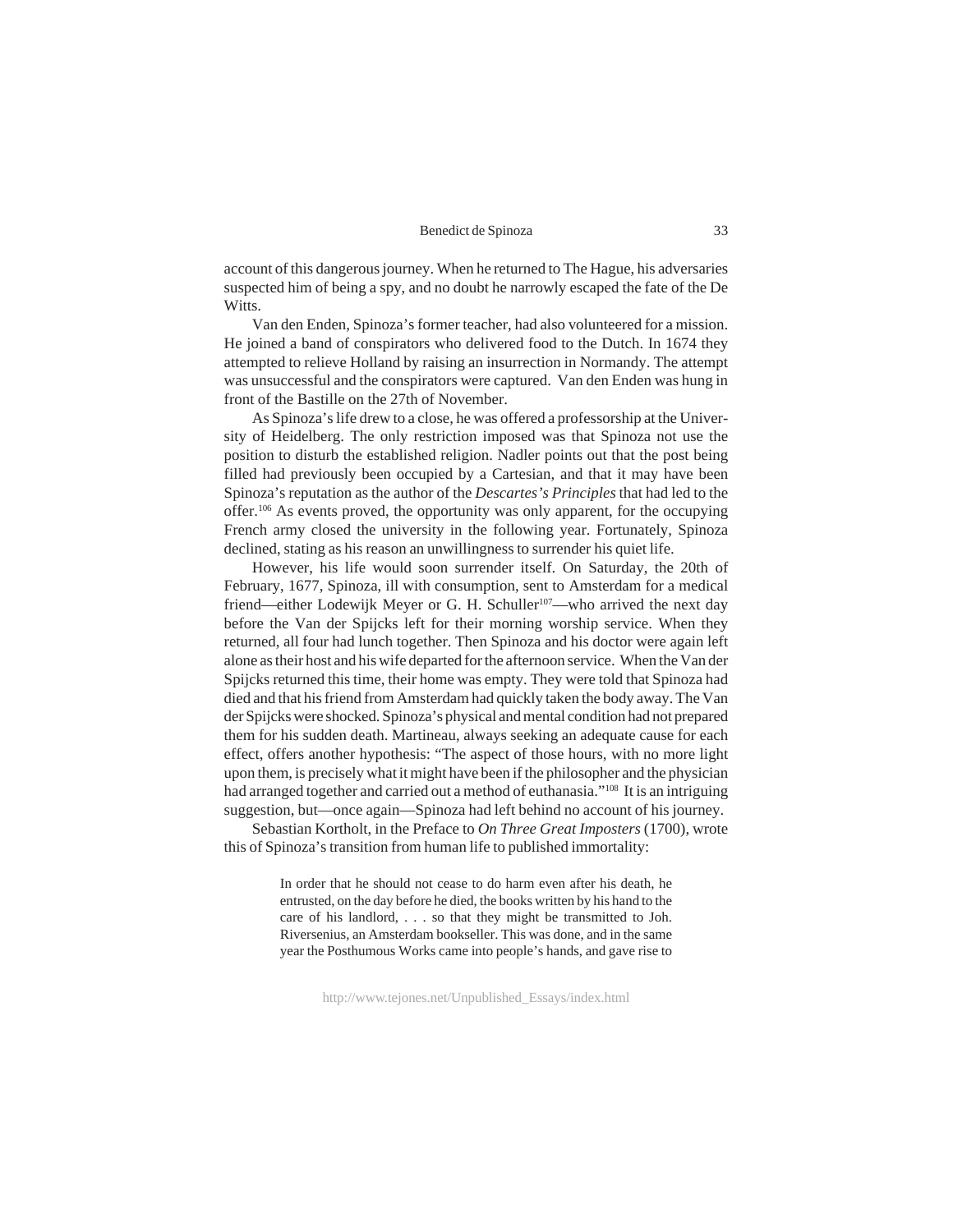account of this dangerous journey. When he returned to The Hague, his adversaries suspected him of being a spy, and no doubt he narrowly escaped the fate of the De Witts.

Van den Enden, Spinoza's former teacher, had also volunteered for a mission. He joined a band of conspirators who delivered food to the Dutch. In 1674 they attempted to relieve Holland by raising an insurrection in Normandy. The attempt was unsuccessful and the conspirators were captured. Van den Enden was hung in front of the Bastille on the 27th of November.

As Spinoza's life drew to a close, he was offered a professorship at the University of Heidelberg. The only restriction imposed was that Spinoza not use the position to disturb the established religion. Nadler points out that the post being filled had previously been occupied by a Cartesian, and that it may have been Spinoza's reputation as the author of the *Descartes's Principles* that had led to the offer.106 As events proved, the opportunity was only apparent, for the occupying French army closed the university in the following year. Fortunately, Spinoza declined, stating as his reason an unwillingness to surrender his quiet life.

However, his life would soon surrender itself. On Saturday, the 20th of February, 1677, Spinoza, ill with consumption, sent to Amsterdam for a medical friend—either Lodewijk Meyer or G. H. Schuller<sup>107</sup>—who arrived the next day before the Van der Spijcks left for their morning worship service. When they returned, all four had lunch together. Then Spinoza and his doctor were again left alone as their host and his wife departed for the afternoon service. When the Van der Spijcks returned this time, their home was empty. They were told that Spinoza had died and that his friend from Amsterdam had quickly taken the body away. The Van der Spijcks were shocked. Spinoza's physical and mental condition had not prepared them for his sudden death. Martineau, always seeking an adequate cause for each effect, offers another hypothesis: "The aspect of those hours, with no more light upon them, is precisely what it might have been if the philosopher and the physician had arranged together and carried out a method of euthanasia."108 It is an intriguing suggestion, but—once again—Spinoza had left behind no account of his journey.

Sebastian Kortholt, in the Preface to *On Three Great Imposters* (1700), wrote this of Spinoza's transition from human life to published immortality:

> In order that he should not cease to do harm even after his death, he entrusted, on the day before he died, the books written by his hand to the care of his landlord, . . . so that they might be transmitted to Joh. Riversenius, an Amsterdam bookseller. This was done, and in the same year the Posthumous Works came into people's hands, and gave rise to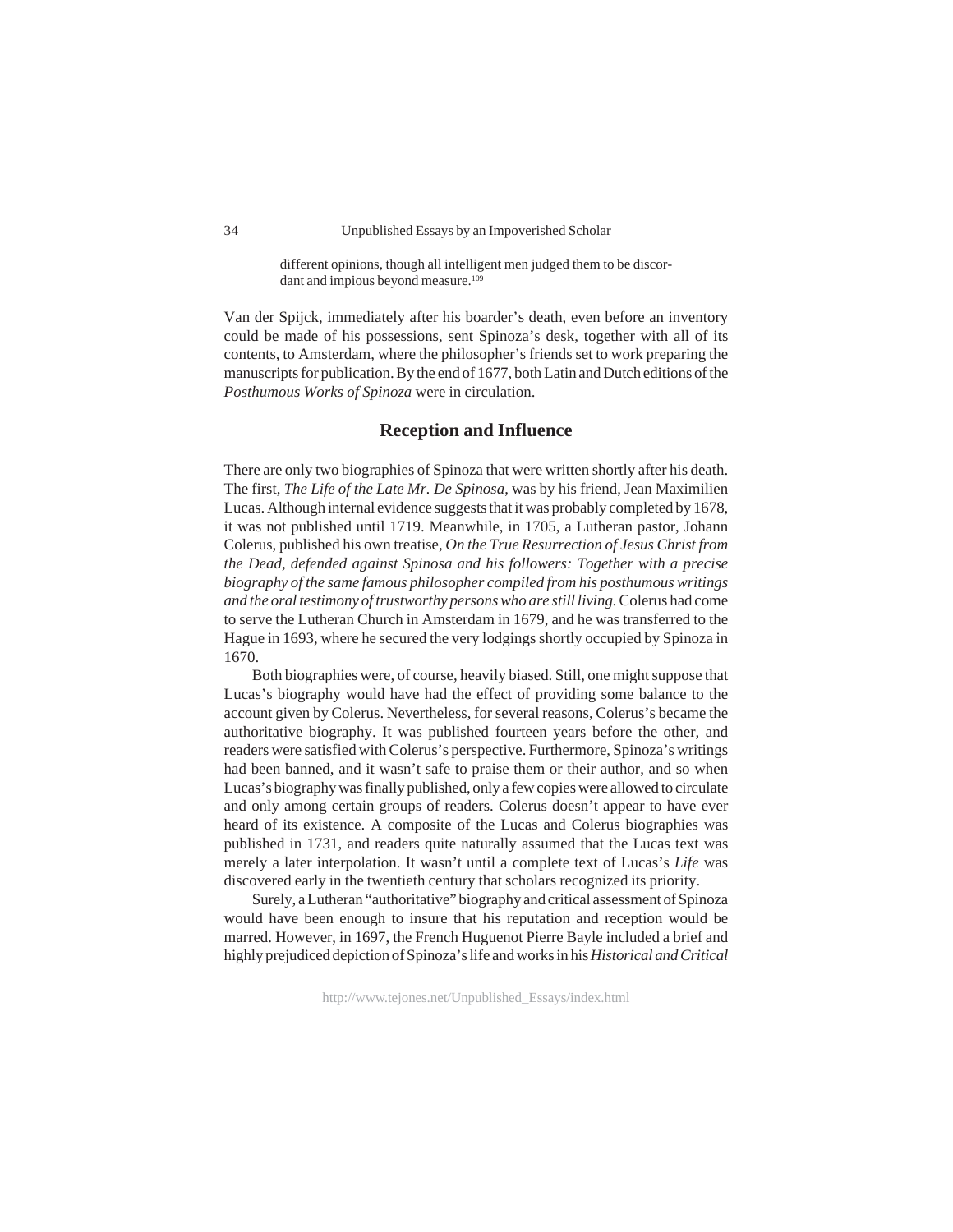different opinions, though all intelligent men judged them to be discordant and impious beyond measure.<sup>109</sup>

Van der Spijck, immediately after his boarder's death, even before an inventory could be made of his possessions, sent Spinoza's desk, together with all of its contents, to Amsterdam, where the philosopher's friends set to work preparing the manuscripts for publication. By the end of 1677, both Latin and Dutch editions of the *Posthumous Works of Spinoza* were in circulation.

## **Reception and Influence**

There are only two biographies of Spinoza that were written shortly after his death. The first, *The Life of the Late Mr. De Spinosa*, was by his friend, Jean Maximilien Lucas. Although internal evidence suggests that it was probably completed by 1678, it was not published until 1719. Meanwhile, in 1705, a Lutheran pastor, Johann Colerus, published his own treatise, *On the True Resurrection of Jesus Christ from the Dead, defended against Spinosa and his followers: Together with a precise biography of the same famous philosopher compiled from his posthumous writings and the oral testimony of trustworthy persons who are still living.* Colerus had come to serve the Lutheran Church in Amsterdam in 1679, and he was transferred to the Hague in 1693, where he secured the very lodgings shortly occupied by Spinoza in 1670.

Both biographies were, of course, heavily biased. Still, one might suppose that Lucas's biography would have had the effect of providing some balance to the account given by Colerus. Nevertheless, for several reasons, Colerus's became the authoritative biography. It was published fourteen years before the other, and readers were satisfied with Colerus's perspective. Furthermore, Spinoza's writings had been banned, and it wasn't safe to praise them or their author, and so when Lucas's biography was finally published, only a few copies were allowed to circulate and only among certain groups of readers. Colerus doesn't appear to have ever heard of its existence. A composite of the Lucas and Colerus biographies was published in 1731, and readers quite naturally assumed that the Lucas text was merely a later interpolation. It wasn't until a complete text of Lucas's *Life* was discovered early in the twentieth century that scholars recognized its priority.

Surely, a Lutheran "authoritative" biography and critical assessment of Spinoza would have been enough to insure that his reputation and reception would be marred. However, in 1697, the French Huguenot Pierre Bayle included a brief and highly prejudiced depiction of Spinoza's life and works in his *Historical and Critical*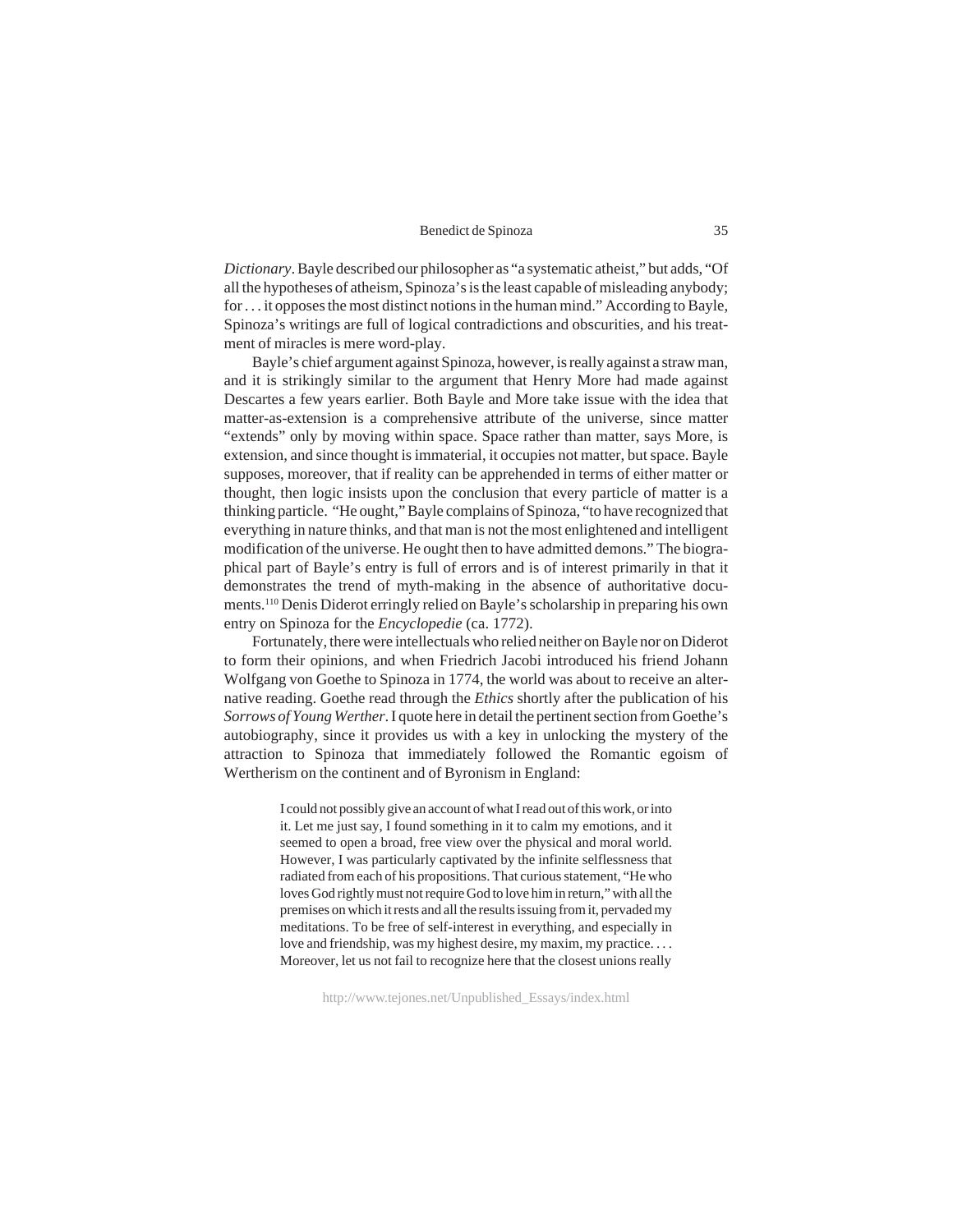*Dictionary*. Bayle described our philosopher as "a systematic atheist," but adds, "Of all the hypotheses of atheism, Spinoza's is the least capable of misleading anybody; for . . . it opposes the most distinct notions in the human mind." According to Bayle, Spinoza's writings are full of logical contradictions and obscurities, and his treatment of miracles is mere word-play.

Bayle's chief argument against Spinoza, however, is really against a straw man, and it is strikingly similar to the argument that Henry More had made against Descartes a few years earlier. Both Bayle and More take issue with the idea that matter-as-extension is a comprehensive attribute of the universe, since matter "extends" only by moving within space. Space rather than matter, says More, is extension, and since thought is immaterial, it occupies not matter, but space. Bayle supposes, moreover, that if reality can be apprehended in terms of either matter or thought, then logic insists upon the conclusion that every particle of matter is a thinking particle. "He ought," Bayle complains of Spinoza, "to have recognized that everything in nature thinks, and that man is not the most enlightened and intelligent modification of the universe. He ought then to have admitted demons." The biographical part of Bayle's entry is full of errors and is of interest primarily in that it demonstrates the trend of myth-making in the absence of authoritative documents.110 Denis Diderot erringly relied on Bayle's scholarship in preparing his own entry on Spinoza for the *Encyclopedie* (ca. 1772).

Fortunately, there were intellectuals who relied neither on Bayle nor on Diderot to form their opinions, and when Friedrich Jacobi introduced his friend Johann Wolfgang von Goethe to Spinoza in 1774, the world was about to receive an alternative reading. Goethe read through the *Ethics* shortly after the publication of his *Sorrows of Young Werther*. I quote here in detail the pertinent section from Goethe's autobiography, since it provides us with a key in unlocking the mystery of the attraction to Spinoza that immediately followed the Romantic egoism of Wertherism on the continent and of Byronism in England:

> I could not possibly give an account of what I read out of this work, or into it. Let me just say, I found something in it to calm my emotions, and it seemed to open a broad, free view over the physical and moral world. However, I was particularly captivated by the infinite selflessness that radiated from each of his propositions. That curious statement, "He who loves God rightly must not require God to love him in return," with all the premises on which it rests and all the results issuing from it, pervaded my meditations. To be free of self-interest in everything, and especially in love and friendship, was my highest desire, my maxim, my practice. . . . Moreover, let us not fail to recognize here that the closest unions really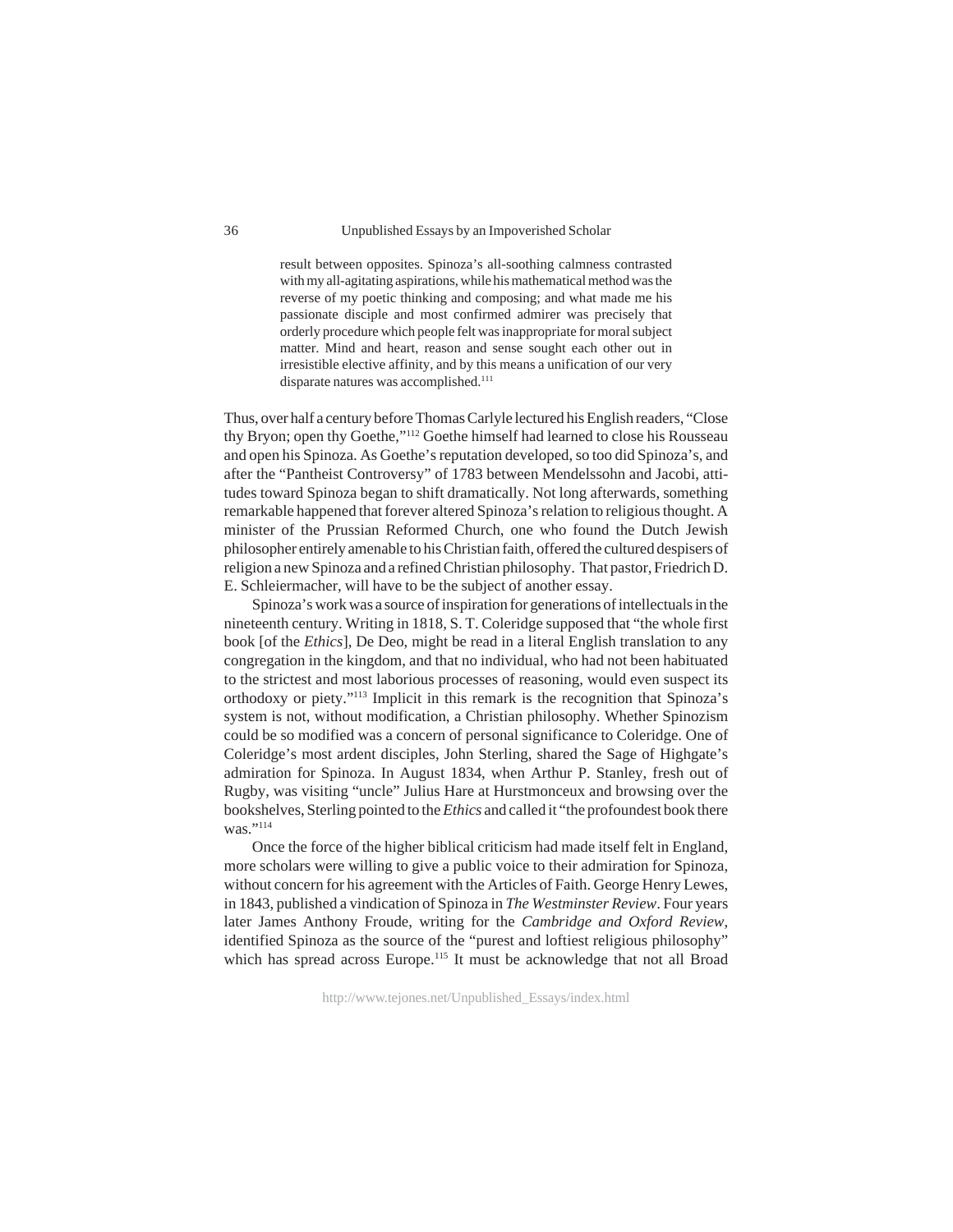result between opposites. Spinoza's all-soothing calmness contrasted with my all-agitating aspirations, while his mathematical method was the reverse of my poetic thinking and composing; and what made me his passionate disciple and most confirmed admirer was precisely that orderly procedure which people felt was inappropriate for moral subject matter. Mind and heart, reason and sense sought each other out in irresistible elective affinity, and by this means a unification of our very disparate natures was accomplished.<sup>111</sup>

Thus, over half a century before Thomas Carlyle lectured his English readers, "Close thy Bryon; open thy Goethe,"112 Goethe himself had learned to close his Rousseau and open his Spinoza. As Goethe's reputation developed, so too did Spinoza's, and after the "Pantheist Controversy" of 1783 between Mendelssohn and Jacobi, attitudes toward Spinoza began to shift dramatically. Not long afterwards, something remarkable happened that forever altered Spinoza's relation to religious thought. A minister of the Prussian Reformed Church, one who found the Dutch Jewish philosopher entirely amenable to his Christian faith, offered the cultured despisers of religion a new Spinoza and a refined Christian philosophy. That pastor, Friedrich D. E. Schleiermacher, will have to be the subject of another essay.

Spinoza's work was a source of inspiration for generations of intellectuals in the nineteenth century. Writing in 1818, S. T. Coleridge supposed that "the whole first book [of the *Ethics*], De Deo, might be read in a literal English translation to any congregation in the kingdom, and that no individual, who had not been habituated to the strictest and most laborious processes of reasoning, would even suspect its orthodoxy or piety."113 Implicit in this remark is the recognition that Spinoza's system is not, without modification, a Christian philosophy. Whether Spinozism could be so modified was a concern of personal significance to Coleridge. One of Coleridge's most ardent disciples, John Sterling, shared the Sage of Highgate's admiration for Spinoza. In August 1834, when Arthur P. Stanley, fresh out of Rugby, was visiting "uncle" Julius Hare at Hurstmonceux and browsing over the bookshelves, Sterling pointed to the *Ethics* and called it "the profoundest book there was."<sup>114</sup>

Once the force of the higher biblical criticism had made itself felt in England, more scholars were willing to give a public voice to their admiration for Spinoza, without concern for his agreement with the Articles of Faith. George Henry Lewes, in 1843, published a vindication of Spinoza in *The Westminster Review*. Four years later James Anthony Froude, writing for the *Cambridge and Oxford Review*, identified Spinoza as the source of the "purest and loftiest religious philosophy" which has spread across Europe.<sup>115</sup> It must be acknowledge that not all Broad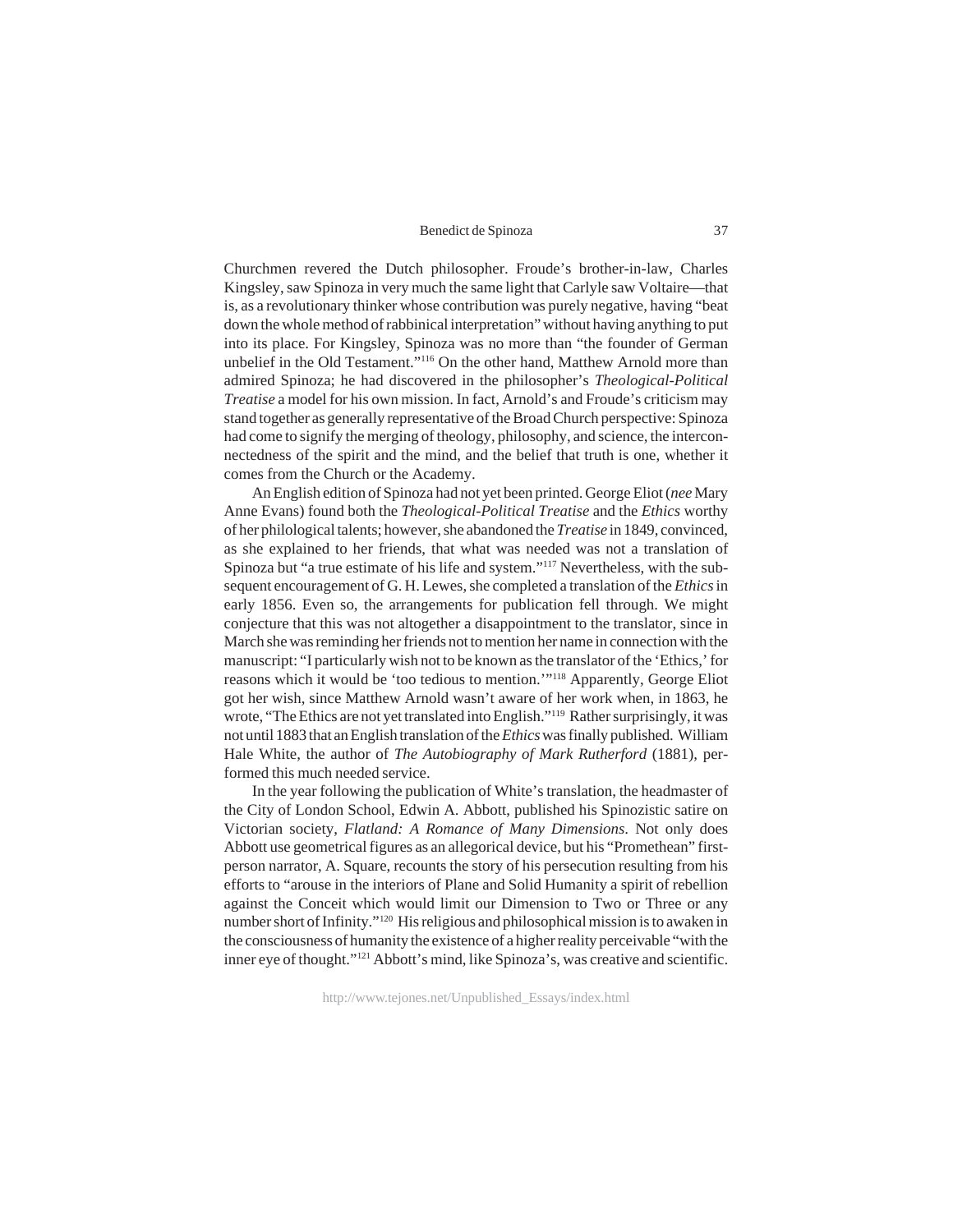Churchmen revered the Dutch philosopher. Froude's brother-in-law, Charles Kingsley, saw Spinoza in very much the same light that Carlyle saw Voltaire—that is, as a revolutionary thinker whose contribution was purely negative, having "beat down the whole method of rabbinical interpretation" without having anything to put into its place. For Kingsley, Spinoza was no more than "the founder of German unbelief in the Old Testament."116 On the other hand, Matthew Arnold more than admired Spinoza; he had discovered in the philosopher's *Theological-Political Treatise* a model for his own mission. In fact, Arnold's and Froude's criticism may stand together as generally representative of the Broad Church perspective: Spinoza had come to signify the merging of theology, philosophy, and science, the interconnectedness of the spirit and the mind, and the belief that truth is one, whether it comes from the Church or the Academy.

An English edition of Spinoza had not yet been printed. George Eliot (*nee* Mary Anne Evans) found both the *Theological-Political Treatise* and the *Ethics* worthy of her philological talents; however, she abandoned the *Treatise* in 1849, convinced, as she explained to her friends, that what was needed was not a translation of Spinoza but "a true estimate of his life and system."117 Nevertheless, with the subsequent encouragement of G. H. Lewes, she completed a translation of the *Ethics* in early 1856. Even so, the arrangements for publication fell through. We might conjecture that this was not altogether a disappointment to the translator, since in March she was reminding her friends not to mention her name in connection with the manuscript: "I particularly wish not to be known as the translator of the 'Ethics,' for reasons which it would be 'too tedious to mention.'"118 Apparently, George Eliot got her wish, since Matthew Arnold wasn't aware of her work when, in 1863, he wrote, "The Ethics are not yet translated into English."119 Rather surprisingly, it was not until 1883 that an English translation of the *Ethics* was finally published. William Hale White, the author of *The Autobiography of Mark Rutherford* (1881), performed this much needed service.

In the year following the publication of White's translation, the headmaster of the City of London School, Edwin A. Abbott, published his Spinozistic satire on Victorian society, *Flatland: A Romance of Many Dimensions*. Not only does Abbott use geometrical figures as an allegorical device, but his "Promethean" firstperson narrator, A. Square, recounts the story of his persecution resulting from his efforts to "arouse in the interiors of Plane and Solid Humanity a spirit of rebellion against the Conceit which would limit our Dimension to Two or Three or any number short of Infinity."120 His religious and philosophical mission is to awaken in the consciousness of humanity the existence of a higher reality perceivable "with the inner eye of thought."121 Abbott's mind, like Spinoza's, was creative and scientific.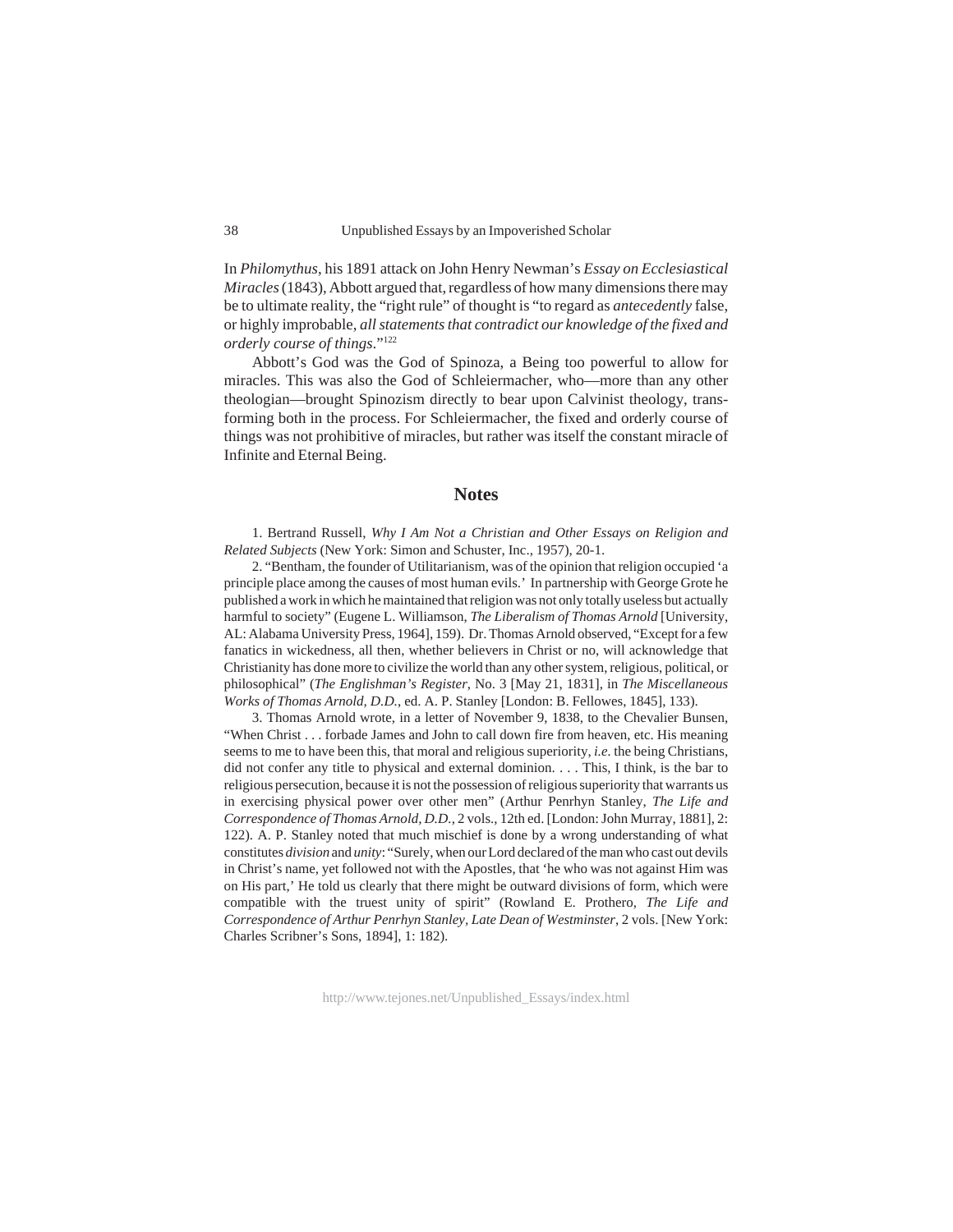In *Philomythus*, his 1891 attack on John Henry Newman's *Essay on Ecclesiastical Miracles* (1843), Abbott argued that, regardless of how many dimensions there may be to ultimate reality, the "right rule" of thought is "to regard as *antecedently* false, or highly improbable, *all statements that contradict our knowledge of the fixed and orderly course of things*."122

Abbott's God was the God of Spinoza, a Being too powerful to allow for miracles. This was also the God of Schleiermacher, who—more than any other theologian—brought Spinozism directly to bear upon Calvinist theology, transforming both in the process. For Schleiermacher, the fixed and orderly course of things was not prohibitive of miracles, but rather was itself the constant miracle of Infinite and Eternal Being.

#### **Notes**

1. Bertrand Russell, *Why I Am Not a Christian and Other Essays on Religion and Related Subjects* (New York: Simon and Schuster, Inc., 1957), 20-1.

2. "Bentham, the founder of Utilitarianism, was of the opinion that religion occupied 'a principle place among the causes of most human evils.' In partnership with George Grote he published a work in which he maintained that religion was not only totally useless but actually harmful to society" (Eugene L. Williamson, *The Liberalism of Thomas Arnold* [University, AL: Alabama University Press, 1964], 159). Dr. Thomas Arnold observed, "Except for a few fanatics in wickedness, all then, whether believers in Christ or no, will acknowledge that Christianity has done more to civilize the world than any other system, religious, political, or philosophical" (*The Englishman's Register*, No. 3 [May 21, 1831], in *The Miscellaneous Works of Thomas Arnold, D.D.*, ed. A. P. Stanley [London: B. Fellowes, 1845], 133).

3. Thomas Arnold wrote, in a letter of November 9, 1838, to the Chevalier Bunsen, "When Christ . . . forbade James and John to call down fire from heaven, etc. His meaning seems to me to have been this, that moral and religious superiority, *i.e.* the being Christians, did not confer any title to physical and external dominion. . . . This, I think, is the bar to religious persecution, because it is not the possession of religious superiority that warrants us in exercising physical power over other men" (Arthur Penrhyn Stanley, *The Life and Correspondence of Thomas Arnold, D.D.*, 2 vols., 12th ed. [London: John Murray, 1881], 2: 122). A. P. Stanley noted that much mischief is done by a wrong understanding of what constitutes *division* and *unity*: "Surely, when our Lord declared of the man who cast out devils in Christ's name, yet followed not with the Apostles, that 'he who was not against Him was on His part,' He told us clearly that there might be outward divisions of form, which were compatible with the truest unity of spirit" (Rowland E. Prothero, *The Life and Correspondence of Arthur Penrhyn Stanley, Late Dean of Westminster*, 2 vols. [New York: Charles Scribner's Sons, 1894], 1: 182).

http://www.tejones.net/Unpublished\_Essays/index.html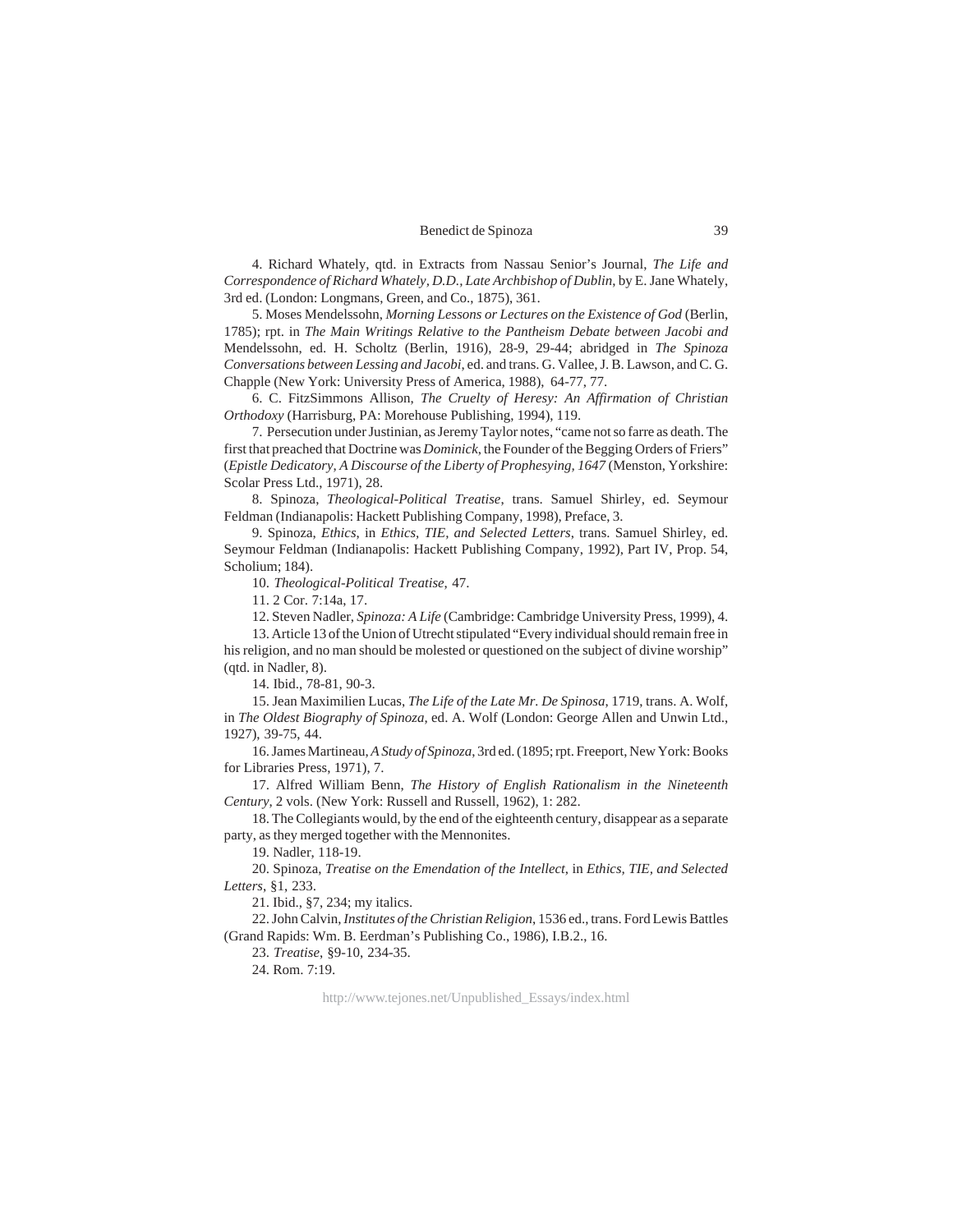4. Richard Whately, qtd. in Extracts from Nassau Senior's Journal, *The Life and Correspondence of Richard Whately, D.D., Late Archbishop of Dublin*, by E. Jane Whately, 3rd ed. (London: Longmans, Green, and Co., 1875), 361.

5. Moses Mendelssohn, *Morning Lessons or Lectures on the Existence of God* (Berlin, 1785); rpt. in *The Main Writings Relative to the Pantheism Debate between Jacobi and* Mendelssohn, ed. H. Scholtz (Berlin, 1916), 28-9, 29-44; abridged in *The Spinoza Conversations between Lessing and Jacobi*, ed. and trans. G. Vallee, J. B. Lawson, and C. G. Chapple (New York: University Press of America, 1988), 64-77, 77.

6. C. FitzSimmons Allison, *The Cruelty of Heresy: An Affirmation of Christian Orthodoxy* (Harrisburg, PA: Morehouse Publishing, 1994), 119.

7. Persecution under Justinian, as Jeremy Taylor notes, "came not so farre as death. The first that preached that Doctrine was *Dominick*, the Founder of the Begging Orders of Friers" (*Epistle Dedicatory*, *A Discourse of the Liberty of Prophesying, 1647* (Menston, Yorkshire: Scolar Press Ltd., 1971), 28.

8. Spinoza, *Theological-Political Treatise*, trans. Samuel Shirley, ed. Seymour Feldman (Indianapolis: Hackett Publishing Company, 1998), Preface, 3.

9. Spinoza, *Ethics*, in *Ethics, TIE, and Selected Letters*, trans. Samuel Shirley, ed. Seymour Feldman (Indianapolis: Hackett Publishing Company, 1992), Part IV, Prop. 54, Scholium; 184).

10. *Theological-Political Treatise*, 47.

11. 2 Cor. 7:14a, 17.

12. Steven Nadler, *Spinoza: A Life* (Cambridge: Cambridge University Press, 1999), 4.

13. Article 13 of the Union of Utrecht stipulated "Every individual should remain free in his religion, and no man should be molested or questioned on the subject of divine worship" (qtd. in Nadler, 8).

14. Ibid., 78-81, 90-3.

15. Jean Maximilien Lucas, *The Life of the Late Mr. De Spinosa*, 1719, trans. A. Wolf, in *The Oldest Biography of Spinoza*, ed. A. Wolf (London: George Allen and Unwin Ltd., 1927), 39-75, 44.

16. James Martineau, *A Study of Spinoza*, 3rd ed. (1895; rpt. Freeport, New York: Books for Libraries Press, 1971), 7.

17. Alfred William Benn, *The History of English Rationalism in the Nineteenth Century*, 2 vols. (New York: Russell and Russell, 1962), 1: 282.

18. The Collegiants would, by the end of the eighteenth century, disappear as a separate party, as they merged together with the Mennonites.

19. Nadler, 118-19.

20. Spinoza, *Treatise on the Emendation of the Intellect*, in *Ethics, TIE, and Selected Letters*, §1, 233.

21. Ibid., §7, 234; my italics.

22. John Calvin, *Institutes of the Christian Religion*, 1536 ed., trans. Ford Lewis Battles (Grand Rapids: Wm. B. Eerdman's Publishing Co., 1986), I.B.2., 16.

23. *Treatise*, §9-10, 234-35.

24. Rom. 7:19.

http://www.tejones.net/Unpublished\_Essays/index.html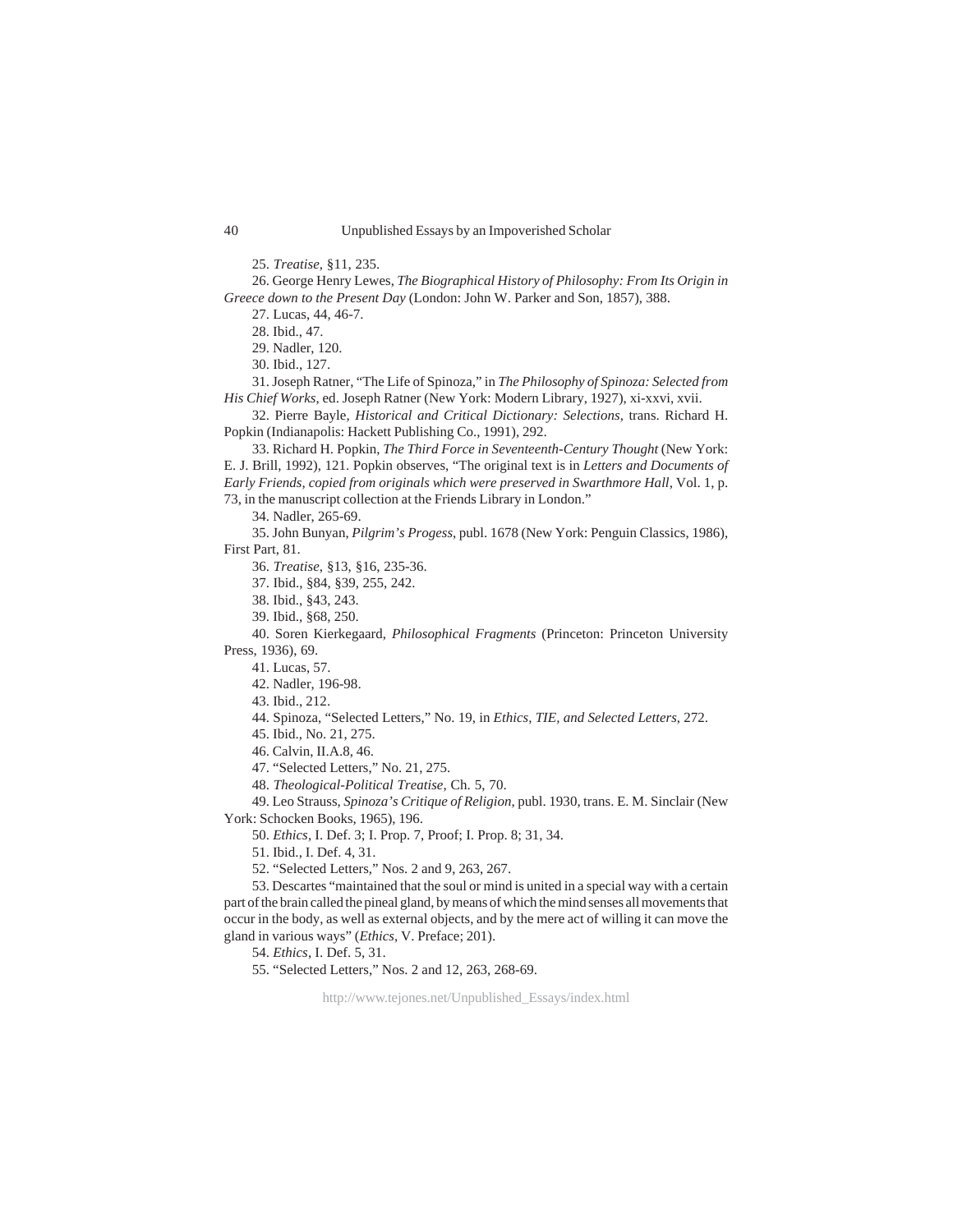25. *Treatise*, §11, 235.

26. George Henry Lewes, *The Biographical History of Philosophy: From Its Origin in Greece down to the Present Day* (London: John W. Parker and Son, 1857), 388.

27. Lucas, 44, 46-7.

28. Ibid., 47.

29. Nadler, 120.

30. Ibid., 127.

31. Joseph Ratner, "The Life of Spinoza," in *The Philosophy of Spinoza: Selected from His Chief Works*, ed. Joseph Ratner (New York: Modern Library, 1927), xi-xxvi, xvii.

32. Pierre Bayle, *Historical and Critical Dictionary: Selections*, trans. Richard H. Popkin (Indianapolis: Hackett Publishing Co., 1991), 292.

33. Richard H. Popkin, *The Third Force in Seventeenth-Century Thought* (New York: E. J. Brill, 1992), 121. Popkin observes, "The original text is in *Letters and Documents of Early Friends, copied from originals which were preserved in Swarthmore Hall*, Vol. 1, p. 73, in the manuscript collection at the Friends Library in London."

34. Nadler, 265-69.

35. John Bunyan, *Pilgrim's Progess*, publ. 1678 (New York: Penguin Classics, 1986), First Part, 81.

36. *Treatise*, §13, §16, 235-36.

37. Ibid., §84, §39, 255, 242.

38. Ibid., §43, 243.

39. Ibid., §68, 250.

40. Soren Kierkegaard, *Philosophical Fragments* (Princeton: Princeton University Press, 1936), 69.

41. Lucas, 57.

42. Nadler, 196-98.

43. Ibid., 212.

44. Spinoza, "Selected Letters," No. 19, in *Ethics, TIE, and Selected Letters*, 272.

45. Ibid., No. 21, 275.

46. Calvin, II.A.8, 46.

47. "Selected Letters," No. 21, 275.

48. *Theological-Political Treatise*, Ch. 5, 70.

49. Leo Strauss, *Spinoza's Critique of Religion*, publ. 1930, trans. E. M. Sinclair (New York: Schocken Books, 1965), 196.

50. *Ethics*, I. Def. 3; I. Prop. 7, Proof; I. Prop. 8; 31, 34.

51. Ibid., I. Def. 4, 31.

52. "Selected Letters," Nos. 2 and 9, 263, 267.

53. Descartes "maintained that the soul or mind is united in a special way with a certain part of the brain called the pineal gland, by means of which the mind senses all movements that occur in the body, as well as external objects, and by the mere act of willing it can move the gland in various ways" (*Ethics*, V. Preface; 201).

54. *Ethics*, I. Def. 5, 31.

55. "Selected Letters," Nos. 2 and 12, 263, 268-69.

http://www.tejones.net/Unpublished\_Essays/index.html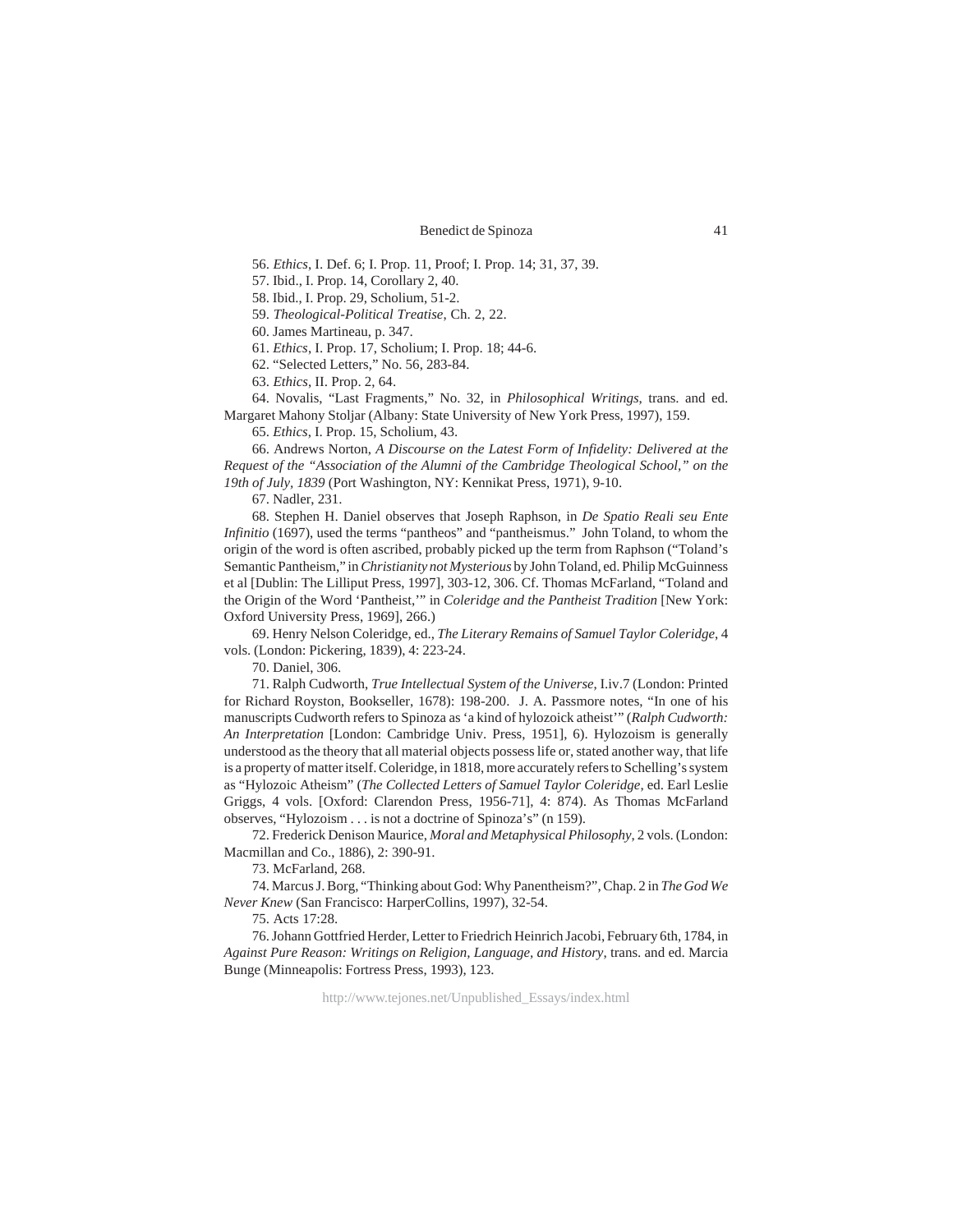56. *Ethics*, I. Def. 6; I. Prop. 11, Proof; I. Prop. 14; 31, 37, 39.

57. Ibid., I. Prop. 14, Corollary 2, 40.

58. Ibid., I. Prop. 29, Scholium, 51-2.

59. *Theological-Political Treatise*, Ch. 2, 22.

60. James Martineau, p. 347.

61. *Ethics*, I. Prop. 17, Scholium; I. Prop. 18; 44-6.

62. "Selected Letters," No. 56, 283-84.

63. *Ethics*, II. Prop. 2, 64.

64. Novalis, "Last Fragments," No. 32, in *Philosophical Writings*, trans. and ed. Margaret Mahony Stoljar (Albany: State University of New York Press, 1997), 159.

65. *Ethics*, I. Prop. 15, Scholium, 43.

66. Andrews Norton, *A Discourse on the Latest Form of Infidelity: Delivered at the Request of the "Association of the Alumni of the Cambridge Theological School," on the 19th of July, 1839* (Port Washington, NY: Kennikat Press, 1971), 9-10.

67. Nadler, 231.

68. Stephen H. Daniel observes that Joseph Raphson, in *De Spatio Reali seu Ente Infinitio* (1697), used the terms "pantheos" and "pantheismus." John Toland, to whom the origin of the word is often ascribed, probably picked up the term from Raphson ("Toland's Semantic Pantheism," in *Christianity not Mysterious* by John Toland, ed. Philip McGuinness et al [Dublin: The Lilliput Press, 1997], 303-12, 306. Cf. Thomas McFarland, "Toland and the Origin of the Word 'Pantheist,'" in *Coleridge and the Pantheist Tradition* [New York: Oxford University Press, 1969], 266.)

69. Henry Nelson Coleridge, ed., *The Literary Remains of Samuel Taylor Coleridge*, 4 vols. (London: Pickering, 1839), 4: 223-24.

70. Daniel, 306.

71. Ralph Cudworth, *True Intellectual System of the Universe*, I.iv.7 (London: Printed for Richard Royston, Bookseller, 1678): 198-200. J. A. Passmore notes, "In one of his manuscripts Cudworth refers to Spinoza as 'a kind of hylozoick atheist'" (*Ralph Cudworth: An Interpretation* [London: Cambridge Univ. Press, 1951], 6). Hylozoism is generally understood as the theory that all material objects possess life or, stated another way, that life is a property of matter itself. Coleridge, in 1818, more accurately refers to Schelling's system as "Hylozoic Atheism" (*The Collected Letters of Samuel Taylor Coleridge*, ed. Earl Leslie Griggs, 4 vols. [Oxford: Clarendon Press, 1956-71], 4: 874). As Thomas McFarland observes, "Hylozoism . . . is not a doctrine of Spinoza's" (n 159).

72. Frederick Denison Maurice, *Moral and Metaphysical Philosophy*, 2 vols. (London: Macmillan and Co., 1886), 2: 390-91.

73. McFarland, 268.

74. Marcus J. Borg, "Thinking about God: Why Panentheism?", Chap. 2 in *The God We Never Knew* (San Francisco: HarperCollins, 1997), 32-54.

75. Acts 17:28.

76. Johann Gottfried Herder, Letter to Friedrich Heinrich Jacobi, February 6th, 1784, in *Against Pure Reason: Writings on Religion, Language, and History*, trans. and ed. Marcia Bunge (Minneapolis: Fortress Press, 1993), 123.

http://www.tejones.net/Unpublished\_Essays/index.html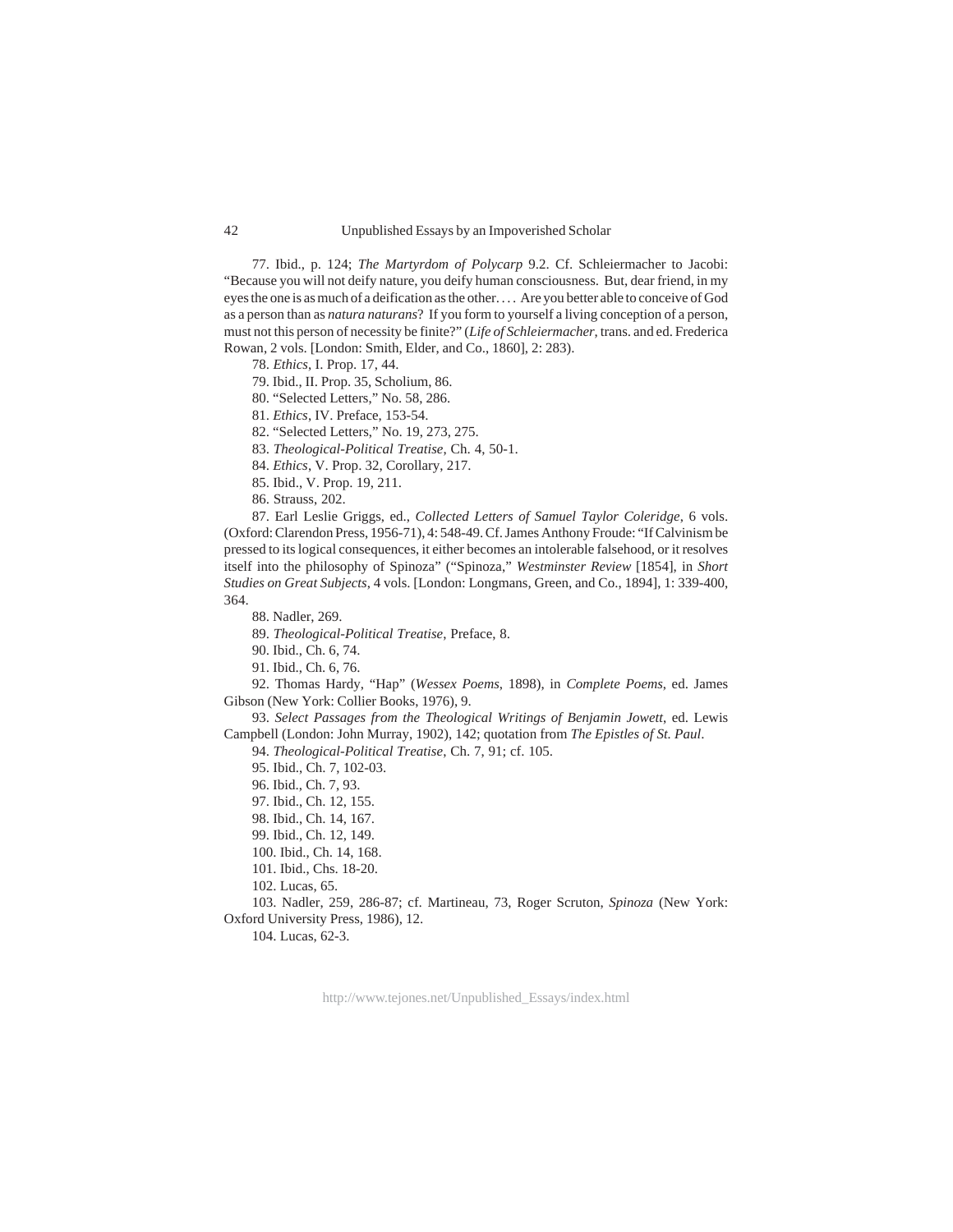#### Unpublished Essays by an Impoverished Scholar

77. Ibid., p. 124; *The Martyrdom of Polycarp* 9.2. Cf. Schleiermacher to Jacobi: "Because you will not deify nature, you deify human consciousness. But, dear friend, in my eyes the one is as much of a deification as the other. . . . Are you better able to conceive of God as a person than as *natura naturans*? If you form to yourself a living conception of a person, must not this person of necessity be finite?" (*Life of Schleiermacher*, trans. and ed. Frederica Rowan, 2 vols. [London: Smith, Elder, and Co., 1860], 2: 283).

78. *Ethics*, I. Prop. 17, 44.

79. Ibid., II. Prop. 35, Scholium, 86.

80. "Selected Letters," No. 58, 286.

81. *Ethics*, IV. Preface, 153-54.

82. "Selected Letters," No. 19, 273, 275.

83. *Theological-Political Treatise*, Ch. 4, 50-1.

84. *Ethics*, V. Prop. 32, Corollary, 217.

85. Ibid., V. Prop. 19, 211.

86. Strauss, 202.

87. Earl Leslie Griggs, ed., *Collected Letters of Samuel Taylor Coleridge*, 6 vols. (Oxford: Clarendon Press, 1956-71), 4: 548-49. Cf. James Anthony Froude: "If Calvinism be pressed to its logical consequences, it either becomes an intolerable falsehood, or it resolves itself into the philosophy of Spinoza" ("Spinoza," *Westminster Review* [1854], in *Short Studies on Great Subjects*, 4 vols. [London: Longmans, Green, and Co., 1894], 1: 339-400, 364.

88. Nadler, 269.

89. *Theological-Political Treatise*, Preface, 8.

90. Ibid., Ch. 6, 74.

91. Ibid., Ch. 6, 76.

92. Thomas Hardy, "Hap" (*Wessex Poems*, 1898), in *Complete Poems*, ed. James Gibson (New York: Collier Books, 1976), 9.

93. Select Passages from the Theological Writings of Benjamin Jowett, ed. Lewis Campbell (London: John Murray, 1902), 142; quotation from *The Epistles of St. Paul*.

94. *Theological-Political Treatise*, Ch. 7, 91; cf. 105.

95. Ibid., Ch. 7, 102-03.

96. Ibid., Ch. 7, 93.

97. Ibid., Ch. 12, 155.

98. Ibid., Ch. 14, 167.

99. Ibid., Ch. 12, 149.

100. Ibid., Ch. 14, 168.

101. Ibid., Chs. 18-20.

102. Lucas, 65.

103. Nadler, 259, 286-87; cf. Martineau, 73, Roger Scruton, *Spinoza* (New York: Oxford University Press, 1986), 12.

104. Lucas, 62-3.

http://www.tejones.net/Unpublished\_Essays/index.html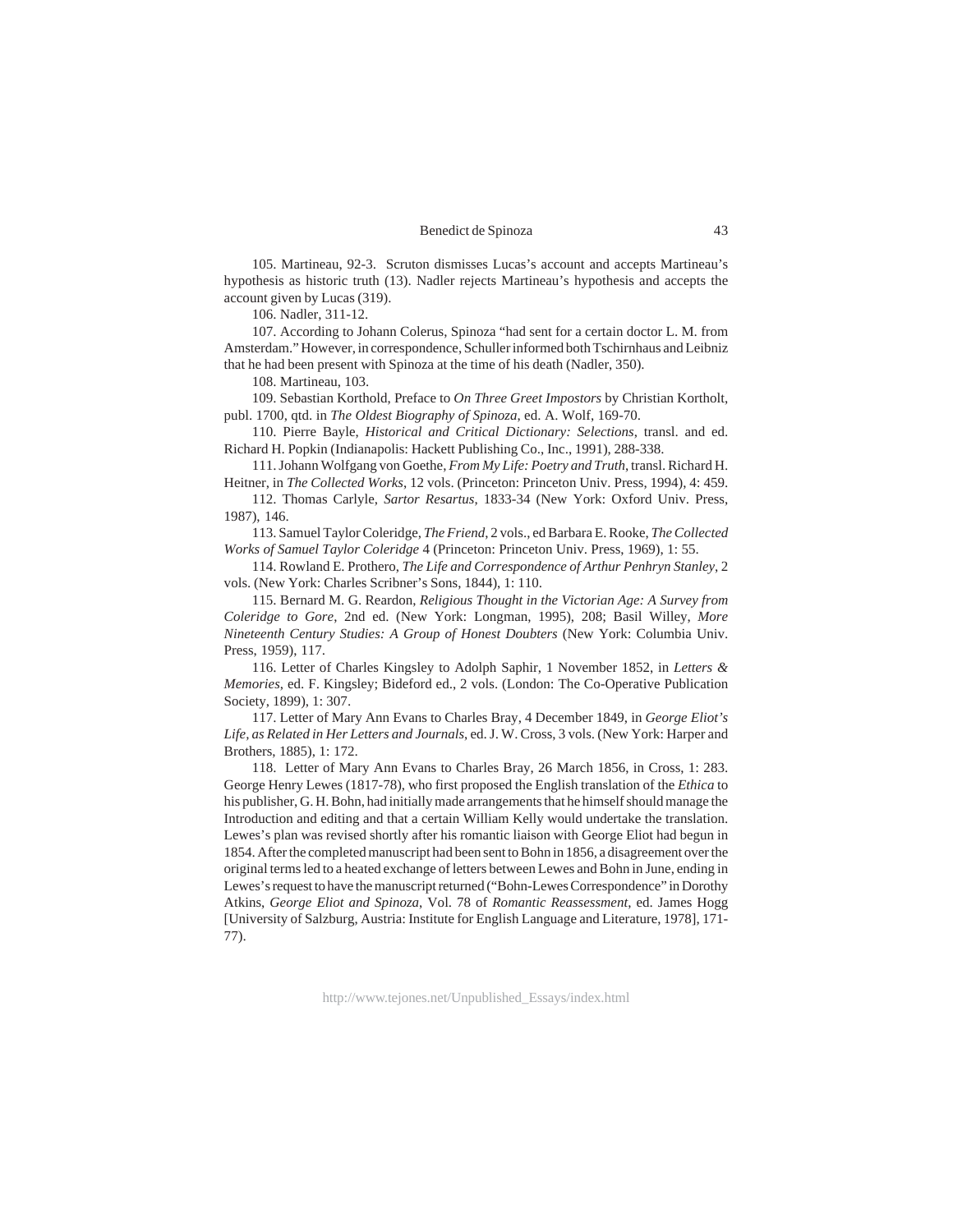105. Martineau, 92-3. Scruton dismisses Lucas's account and accepts Martineau's hypothesis as historic truth (13). Nadler rejects Martineau's hypothesis and accepts the account given by Lucas (319).

106. Nadler, 311-12.

107. According to Johann Colerus, Spinoza "had sent for a certain doctor L. M. from Amsterdam." However, in correspondence, Schuller informed both Tschirnhaus and Leibniz that he had been present with Spinoza at the time of his death (Nadler, 350).

108. Martineau, 103.

109. Sebastian Korthold, Preface to *On Three Greet Impostors* by Christian Kortholt, publ. 1700, qtd. in *The Oldest Biography of Spinoza*, ed. A. Wolf, 169-70.

110. Pierre Bayle, *Historical and Critical Dictionary: Selections*, transl. and ed. Richard H. Popkin (Indianapolis: Hackett Publishing Co., Inc., 1991), 288-338.

111. Johann Wolfgang von Goethe, *From My Life: Poetry and Truth*, transl. Richard H. Heitner, in *The Collected Works*, 12 vols. (Princeton: Princeton Univ. Press, 1994), 4: 459.

112. Thomas Carlyle, *Sartor Resartus*, 1833-34 (New York: Oxford Univ. Press, 1987), 146.

113. Samuel Taylor Coleridge, *The Friend*, 2 vols., ed Barbara E. Rooke, *The Collected Works of Samuel Taylor Coleridge* 4 (Princeton: Princeton Univ. Press, 1969), 1: 55.

114. Rowland E. Prothero, *The Life and Correspondence of Arthur Penhryn Stanley*, 2 vols. (New York: Charles Scribner's Sons, 1844), 1: 110.

115. Bernard M. G. Reardon, *Religious Thought in the Victorian Age: A Survey from Coleridge to Gore*, 2nd ed. (New York: Longman, 1995), 208; Basil Willey, *More Nineteenth Century Studies: A Group of Honest Doubters* (New York: Columbia Univ. Press, 1959), 117.

116. Letter of Charles Kingsley to Adolph Saphir, 1 November 1852, in *Letters & Memories*, ed. F. Kingsley; Bideford ed., 2 vols. (London: The Co-Operative Publication Society, 1899), 1: 307.

117. Letter of Mary Ann Evans to Charles Bray, 4 December 1849, in *George Eliot's Life, as Related in Her Letters and Journals*, ed. J. W. Cross, 3 vols. (New York: Harper and Brothers, 1885), 1: 172.

118. Letter of Mary Ann Evans to Charles Bray, 26 March 1856, in Cross, 1: 283. George Henry Lewes (1817-78), who first proposed the English translation of the *Ethica* to his publisher, G. H. Bohn, had initially made arrangements that he himself should manage the Introduction and editing and that a certain William Kelly would undertake the translation. Lewes's plan was revised shortly after his romantic liaison with George Eliot had begun in 1854. After the completed manuscript had been sent to Bohn in 1856, a disagreement over the original terms led to a heated exchange of letters between Lewes and Bohn in June, ending in Lewes's request to have the manuscript returned ("Bohn-Lewes Correspondence" in Dorothy Atkins, *George Eliot and Spinoza*, Vol. 78 of *Romantic Reassessment*, ed. James Hogg [University of Salzburg, Austria: Institute for English Language and Literature, 1978], 171- 77).

http://www.tejones.net/Unpublished\_Essays/index.html